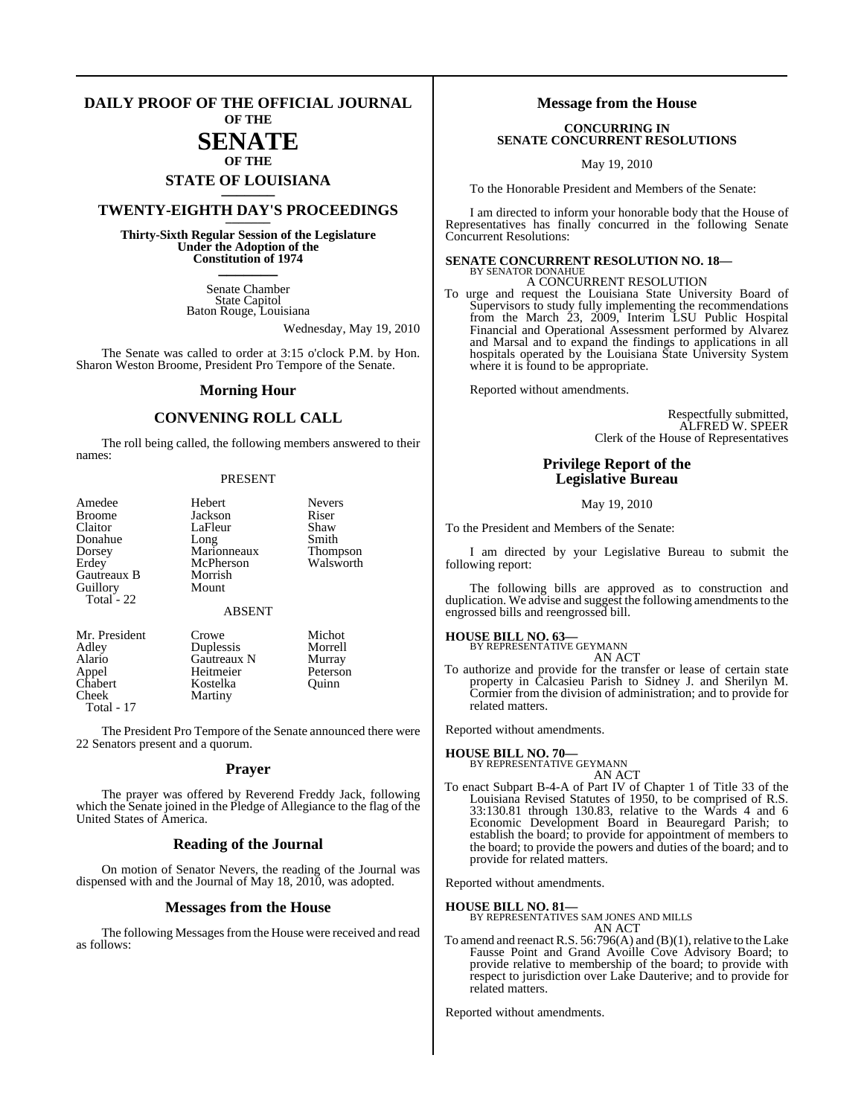#### **DAILY PROOF OF THE OFFICIAL JOURNAL OF THE**

# **SENATE**

## **OF THE STATE OF LOUISIANA \_\_\_\_\_\_\_**

## **TWENTY-EIGHTH DAY'S PROCEEDINGS \_\_\_\_\_\_\_**

**Thirty-Sixth Regular Session of the Legislature Under the Adoption of the Constitution of 1974 \_\_\_\_\_\_\_**

> Senate Chamber State Capitol Baton Rouge, Louisiana

> > Wednesday, May 19, 2010

The Senate was called to order at 3:15 o'clock P.M. by Hon. Sharon Weston Broome, President Pro Tempore of the Senate.

#### **Morning Hour**

### **CONVENING ROLL CALL**

The roll being called, the following members answered to their names:

#### PRESENT

| Amedee                                | Hebert                            | <b>Nevers</b> |
|---------------------------------------|-----------------------------------|---------------|
| <b>Broome</b>                         | Jackson                           | Riser         |
| Claitor                               | LaFleur                           | Shaw          |
| Donahue                               | Long                              | Smith         |
| Dorsey                                | Marionneaux                       | Thompson      |
| Erdey                                 | McPherson                         | Walsworth     |
| Gautreaux B<br>Guillory<br>Total - 22 | Morrish<br>Mount<br><b>ABSENT</b> |               |
| Mr. President                         | Crowe                             | Michot        |
| Adley                                 | Duplessis                         | Morrell       |
| Alario                                | Gautreaux N                       | Murray        |
| Appel                                 | Heitmeier                         | Peterson      |
| Chabert                               | Kostelka                          | Ouinn         |

Cheek Martiny

Total - 17

The President Pro Tempore of the Senate announced there were 22 Senators present and a quorum.

#### **Prayer**

The prayer was offered by Reverend Freddy Jack, following which the Senate joined in the Pledge of Allegiance to the flag of the United States of America.

#### **Reading of the Journal**

On motion of Senator Nevers, the reading of the Journal was dispensed with and the Journal of May 18, 2010, was adopted.

#### **Messages from the House**

The following Messages from the House were received and read as follows:

#### **Message from the House**

#### **CONCURRING IN SENATE CONCURRENT RESOLUTIONS**

May 19, 2010

To the Honorable President and Members of the Senate:

I am directed to inform your honorable body that the House of Representatives has finally concurred in the following Senate Concurrent Resolutions:

#### **SENATE CONCURRENT RESOLUTION NO. 18—** BY SENATOR DONAHUE

A CONCURRENT RESOLUTION

To urge and request the Louisiana State University Board of Supervisors to study fully implementing the recommendations from the March 23, 2009, Interim LSU Public Hospital Financial and Operational Assessment performed by Alvarez and Marsal and to expand the findings to applications in all hospitals operated by the Louisiana State University System where it is found to be appropriate.

Reported without amendments.

Respectfully submitted, ALFRED W. SPEER Clerk of the House of Representatives

### **Privilege Report of the Legislative Bureau**

#### May 19, 2010

To the President and Members of the Senate:

I am directed by your Legislative Bureau to submit the following report:

The following bills are approved as to construction and duplication. We advise and suggest the following amendments to the engrossed bills and reengrossed bill.

#### **HOUSE BILL NO. 63—**

BY REPRESENTATIVE GEYMANN AN ACT

To authorize and provide for the transfer or lease of certain state property in Calcasieu Parish to Sidney J. and Sherilyn M. Cormier from the division of administration; and to provide for related matters.

Reported without amendments.

#### **HOUSE BILL NO. 70—**

BY REPRESENTATIVE GEYMANN AN ACT

To enact Subpart B-4-A of Part IV of Chapter 1 of Title 33 of the Louisiana Revised Statutes of 1950, to be comprised of R.S. 33:130.81 through 130.83, relative to the Wards 4 and 6 Economic Development Board in Beauregard Parish; to establish the board; to provide for appointment of members to the board; to provide the powers and duties of the board; and to provide for related matters.

Reported without amendments.

#### **HOUSE BILL NO. 81—**

BY REPRESENTATIVES SAM JONES AND MILLS AN ACT

To amend and reenact R.S. 56:796(A) and (B)(1), relative to the Lake Fausse Point and Grand Avoille Cove Advisory Board; to provide relative to membership of the board; to provide with respect to jurisdiction over Lake Dauterive; and to provide for related matters.

Reported without amendments.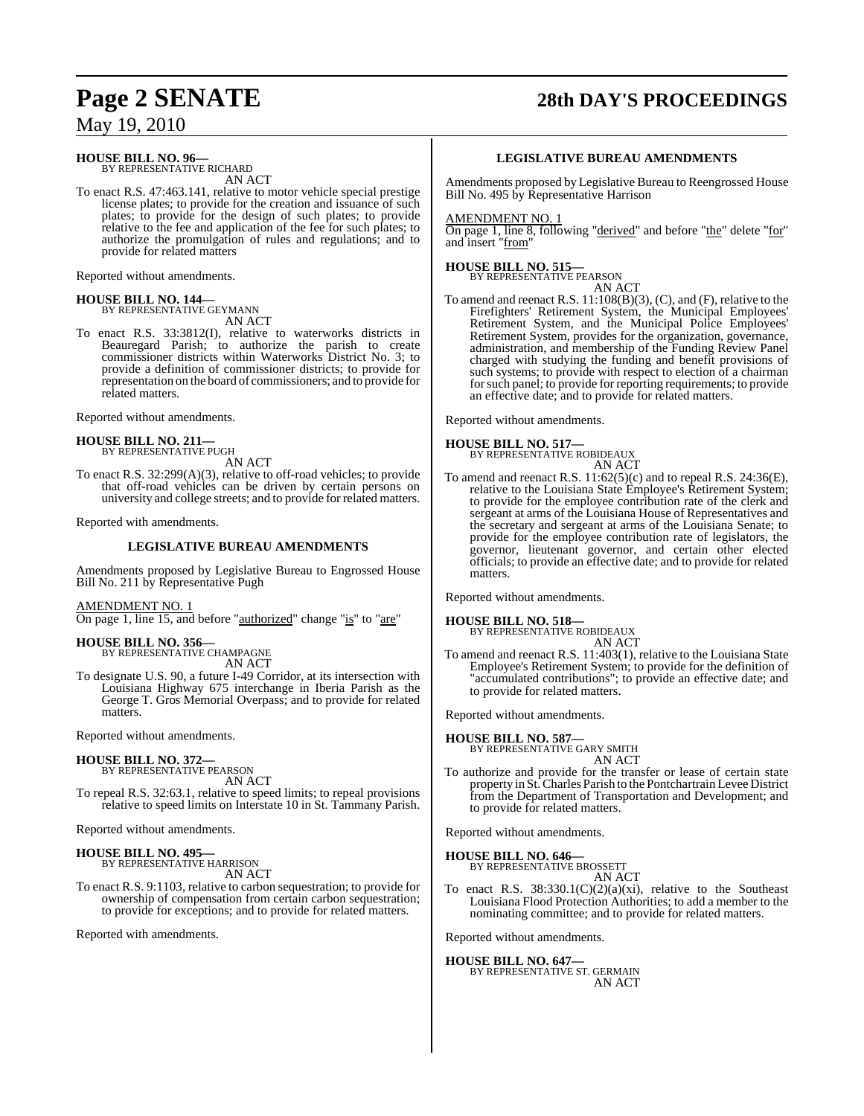# **Page 2 SENATE 28th DAY'S PROCEEDINGS**

May 19, 2010

## **HOUSE BILL NO. 96—**

BY REPRESENTATIVE RICHARD AN ACT

To enact R.S. 47:463.141, relative to motor vehicle special prestige license plates; to provide for the creation and issuance of such plates; to provide for the design of such plates; to provide relative to the fee and application of the fee for such plates; to authorize the promulgation of rules and regulations; and to provide for related matters

Reported without amendments.

#### **HOUSE BILL NO. 144—** BY REPRESENTATIVE GEYMANN AN ACT

To enact R.S. 33:3812(I), relative to waterworks districts in Beauregard Parish; to authorize the parish to create commissioner districts within Waterworks District No. 3; to provide a definition of commissioner districts; to provide for representation on the board of commissioners; and to provide for related matters.

Reported without amendments.

# **HOUSE BILL NO. 211—** BY REPRESENTATIVE PUGH

AN ACT

To enact R.S. 32:299(A)(3), relative to off-road vehicles; to provide that off-road vehicles can be driven by certain persons on university and college streets; and to provide for related matters.

Reported with amendments.

#### **LEGISLATIVE BUREAU AMENDMENTS**

Amendments proposed by Legislative Bureau to Engrossed House Bill No. 211 by Representative Pugh

#### AMENDMENT NO. 1

On page 1, line 15, and before "authorized" change "is" to "are"

**HOUSE BILL NO. 356—** BY REPRESENTATIVE CHAMPAGNE AN ACT

To designate U.S. 90, a future I-49 Corridor, at its intersection with Louisiana Highway 675 interchange in Iberia Parish as the George T. Gros Memorial Overpass; and to provide for related matters.

Reported without amendments.

#### **HOUSE BILL NO. 372—**

BY REPRESENTATIVE PEARSON AN ACT

To repeal R.S. 32:63.1, relative to speed limits; to repeal provisions relative to speed limits on Interstate 10 in St. Tammany Parish.

Reported without amendments.

## **HOUSE BILL NO. 495—** BY REPRESENTATIVE HARRISON

AN ACT

To enact R.S. 9:1103, relative to carbon sequestration; to provide for ownership of compensation from certain carbon sequestration; to provide for exceptions; and to provide for related matters.

Reported with amendments.

#### **LEGISLATIVE BUREAU AMENDMENTS**

Amendments proposed by Legislative Bureau to Reengrossed House Bill No. 495 by Representative Harrison

#### AMENDMENT NO. 1

On page 1, line 8, following "derived" and before "the" delete "for" and insert "from"

#### **HOUSE BILL NO. 515—** BY REPRESENTATIVE PEARSON

AN ACT

To amend and reenact R.S. 11:108(B)(3), (C), and (F), relative to the Firefighters' Retirement System, the Municipal Employees' Retirement System, and the Municipal Police Employees' Retirement System, provides for the organization, governance, administration, and membership of the Funding Review Panel charged with studying the funding and benefit provisions of such systems; to provide with respect to election of a chairman forsuch panel; to provide for reporting requirements; to provide an effective date; and to provide for related matters.

Reported without amendments.

## **HOUSE BILL NO. 517—** BY REPRESENTATIVE ROBIDEAUX

AN ACT

To amend and reenact R.S. 11:62(5)(c) and to repeal R.S. 24:36(E), relative to the Louisiana State Employee's Retirement System; to provide for the employee contribution rate of the clerk and sergeant at arms of the Louisiana House of Representatives and the secretary and sergeant at arms of the Louisiana Senate; to provide for the employee contribution rate of legislators, the governor, lieutenant governor, and certain other elected officials; to provide an effective date; and to provide for related matters.

Reported without amendments.

#### **HOUSE BILL NO. 518—**

BY REPRESENTATIVE ROBIDEAUX AN ACT

To amend and reenact R.S. 11:403(1), relative to the Louisiana State Employee's Retirement System; to provide for the definition of "accumulated contributions"; to provide an effective date; and to provide for related matters.

Reported without amendments.

#### **HOUSE BILL NO. 587—**

BY REPRESENTATIVE GARY SMITH AN ACT

To authorize and provide for the transfer or lease of certain state property in St.Charles Parish to the Pontchartrain Levee District from the Department of Transportation and Development; and to provide for related matters.

Reported without amendments.

#### **HOUSE BILL NO. 646—** BY REPRESENTATIVE BROSSETT

AN ACT

To enact R.S.  $38:330.1(C)(2)(a)(xi)$ , relative to the Southeast Louisiana Flood Protection Authorities; to add a member to the nominating committee; and to provide for related matters.

Reported without amendments.

**HOUSE BILL NO. 647—** BY REPRESENTATIVE ST. GERMAIN AN ACT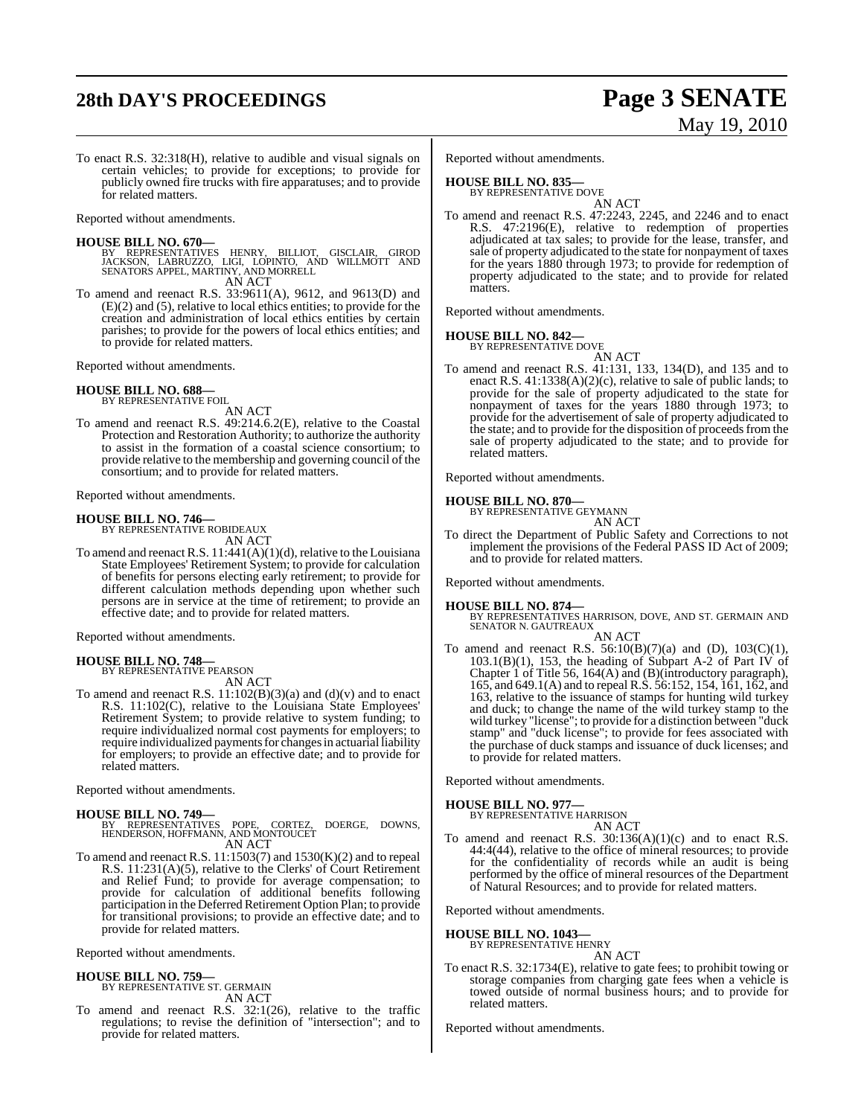# **28th DAY'S PROCEEDINGS Page 3 SENATE**

# May 19, 2010

To enact R.S. 32:318(H), relative to audible and visual signals on certain vehicles; to provide for exceptions; to provide for publicly owned fire trucks with fire apparatuses; and to provide for related matters.

Reported without amendments.

#### **HOUSE BILL NO. 670—**

- BY REPRESENTATIVES HENRY, BILLIOT, GISCLAIR, GIROD<br>JACKSON, LABRUZZO, LIGI, LOPINTO, AND WILLMOTT AND<br>SENATORSAPPEL,MARTINY,AND-MORRELL AN ACT
- To amend and reenact R.S. 33:9611(A), 9612, and 9613(D) and (E)(2) and (5), relative to local ethics entities; to provide for the creation and administration of local ethics entities by certain parishes; to provide for the powers of local ethics entities; and to provide for related matters.

Reported without amendments.

#### **HOUSE BILL NO. 688—** BY REPRESENTATIVE FOIL

AN ACT

To amend and reenact R.S. 49:214.6.2(E), relative to the Coastal Protection and Restoration Authority; to authorize the authority to assist in the formation of a coastal science consortium; to provide relative to the membership and governing council of the consortium; and to provide for related matters.

Reported without amendments.

**HOUSE BILL NO. 746—** BY REPRESENTATIVE ROBIDEAUX AN ACT

To amend and reenact R.S. 11:441(A)(1)(d), relative to the Louisiana State Employees' Retirement System; to provide for calculation of benefits for persons electing early retirement; to provide for different calculation methods depending upon whether such persons are in service at the time of retirement; to provide an effective date; and to provide for related matters.

Reported without amendments.

#### **HOUSE BILL NO. 748—**

BY REPRESENTATIVE PEARSON AN ACT

To amend and reenact R.S. 11:102(B)(3)(a) and (d)(v) and to enact R.S. 11:102(C), relative to the Louisiana State Employees' Retirement System; to provide relative to system funding; to require individualized normal cost payments for employers; to require individualized payments for changes in actuarial liability for employers; to provide an effective date; and to provide for related matters.

Reported without amendments.

#### **HOUSE BILL NO. 749—**

BY REPRESENTATIVES POPE, CORTEZ, DOERGE, DOWNS, HENDERSON, HOFFMANN, AND MONTOUCET AN ACT

To amend and reenact R.S.  $11:1503(7)$  and  $1530(K)(2)$  and to repeal R.S. 11:231(A)(5), relative to the Clerks' of Court Retirement and Relief Fund; to provide for average compensation; to provide for calculation of additional benefits following participation in the Deferred Retirement Option Plan; to provide for transitional provisions; to provide an effective date; and to provide for related matters.

Reported without amendments.

#### **HOUSE BILL NO. 759—** BY REPRESENTATIVE ST. GERMAIN

AN ACT

To amend and reenact R.S. 32:1(26), relative to the traffic regulations; to revise the definition of "intersection"; and to provide for related matters.

Reported without amendments.

#### **HOUSE BILL NO. 835—**

BY REPRESENTATIVE DOVE AN ACT

To amend and reenact R.S. 47:2243, 2245, and 2246 and to enact R.S. 47:2196(E), relative to redemption of properties adjudicated at tax sales; to provide for the lease, transfer, and sale of property adjudicated to the state for nonpayment of taxes for the years 1880 through 1973; to provide for redemption of property adjudicated to the state; and to provide for related matters.

Reported without amendments.

#### **HOUSE BILL NO. 842—**

BY REPRESENTATIVE DOVE AN ACT

To amend and reenact R.S. 41:131, 133, 134(D), and 135 and to enact R.S. 41:1338(A)(2)(c), relative to sale of public lands; to provide for the sale of property adjudicated to the state for nonpayment of taxes for the years 1880 through 1973; to provide for the advertisement of sale of property adjudicated to the state; and to provide for the disposition of proceedsfrom the sale of property adjudicated to the state; and to provide for related matters.

Reported without amendments.

#### **HOUSE BILL NO. 870—**

BY REPRESENTATIVE GEYMANN AN ACT

To direct the Department of Public Safety and Corrections to not implement the provisions of the Federal PASS ID Act of 2009; and to provide for related matters.

Reported without amendments.

#### **HOUSE BILL NO. 874—**

BY REPRESENTATIVES HARRISON, DOVE, AND ST. GERMAIN AND SENATOR N. GAUTREAUX AN ACT

To amend and reenact R.S.  $56:10(B)(7)(a)$  and (D),  $103(C)(1)$ , 103.1(B)(1), 153, the heading of Subpart A-2 of Part IV of Chapter 1 of Title 56, 164(A) and (B)(introductory paragraph), 165, and 649.1(A) and to repeal R.S. 56:152, 154, 161, 162, and 163, relative to the issuance of stamps for hunting wild turkey and duck; to change the name of the wild turkey stamp to the wild turkey "license"; to provide for a distinction between "duck stamp" and "duck license"; to provide for fees associated with the purchase of duck stamps and issuance of duck licenses; and to provide for related matters.

Reported without amendments.

## **HOUSE BILL NO. 977—** BY REPRESENTATIVE HARRISON

AN ACT

To amend and reenact R.S. 30:136(A)(1)(c) and to enact R.S. 44:4(44), relative to the office of mineral resources; to provide for the confidentiality of records while an audit is being performed by the office of mineral resources of the Department of Natural Resources; and to provide for related matters.

Reported without amendments.

**HOUSE BILL NO. 1043—**

BY REPRESENTATIVE HENRY

- AN ACT
- To enact R.S. 32:1734(E), relative to gate fees; to prohibit towing or storage companies from charging gate fees when a vehicle is towed outside of normal business hours; and to provide for related matters.

Reported without amendments.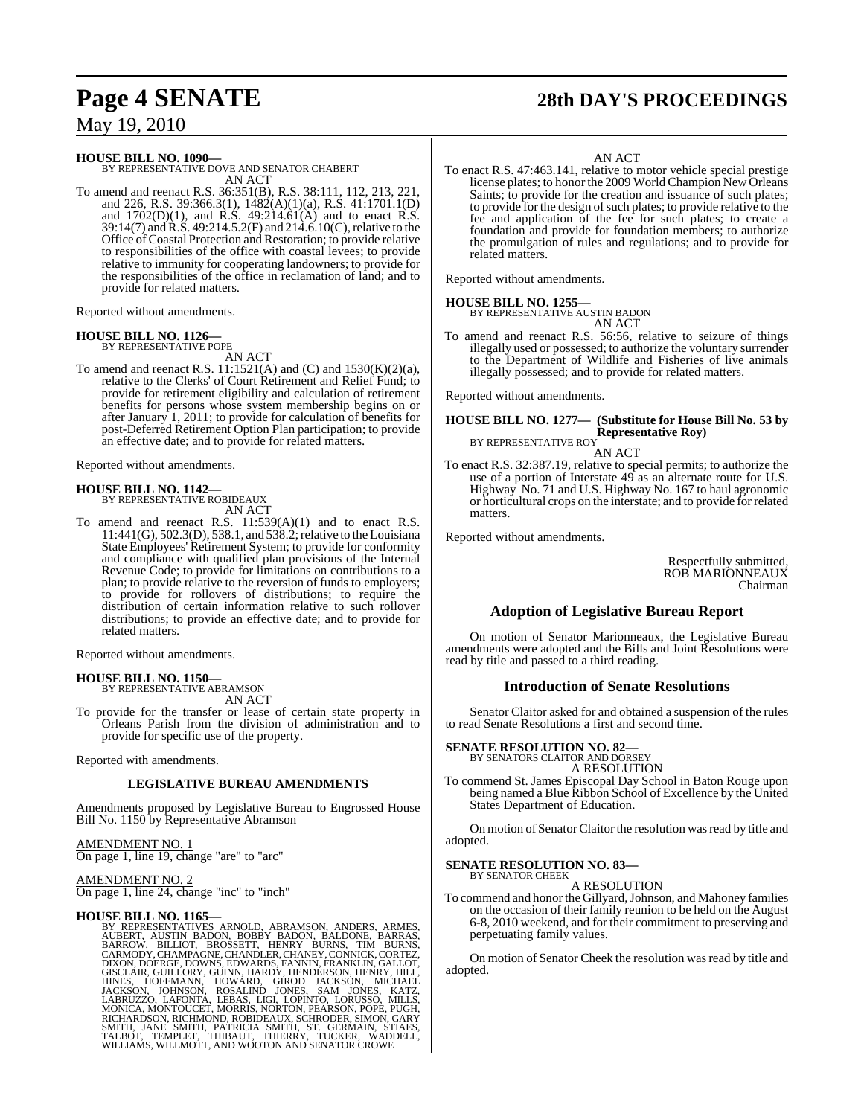# **Page 4 SENATE 28th DAY'S PROCEEDINGS**

**HOUSE BILL NO. 1090—** BY REPRESENTATIVE DOVE AND SENATOR CHABERT AN ACT

To amend and reenact R.S. 36:351(B), R.S. 38:111, 112, 213, 221, and 226, R.S. 39:366.3(1), 1482(A)(1)(a), R.S. 41:1701.1(D) and  $1702(D)(1)$ , and R.S.  $49:214.61(A)$  and to enact R.S. 39:14(7) and R.S. 49:214.5.2(F) and 214.6.10(C), relative to the Office of Coastal Protection and Restoration; to provide relative to responsibilities of the office with coastal levees; to provide relative to immunity for cooperating landowners; to provide for the responsibilities of the office in reclamation of land; and to provide for related matters.

Reported without amendments.

#### **HOUSE BILL NO. 1126—** BY REPRESENTATIVE POPE

AN ACT

To amend and reenact R.S. 11:1521(A) and (C) and 1530(K)(2)(a), relative to the Clerks' of Court Retirement and Relief Fund; to provide for retirement eligibility and calculation of retirement benefits for persons whose system membership begins on or after January 1, 2011; to provide for calculation of benefits for post-Deferred Retirement Option Plan participation; to provide an effective date; and to provide for related matters.

Reported without amendments.

## **HOUSE BILL NO. 1142—**

BY REPRESENTATIVE ROBIDEAUX AN ACT

To amend and reenact R.S. 11:539(A)(1) and to enact R.S.  $11:441(G)$ , 502.3(D), 538.1, and 538.2; relative to the Louisiana State Employees' Retirement System; to provide for conformity and compliance with qualified plan provisions of the Internal Revenue Code; to provide for limitations on contributions to a plan; to provide relative to the reversion of funds to employers; to provide for rollovers of distributions; to require the distribution of certain information relative to such rollover distributions; to provide an effective date; and to provide for related matters.

Reported without amendments.

**HOUSE BILL NO. 1150—** BY REPRESENTATIVE ABRAMSON AN ACT

To provide for the transfer or lease of certain state property in Orleans Parish from the division of administration and to provide for specific use of the property.

Reported with amendments.

## **LEGISLATIVE BUREAU AMENDMENTS**

Amendments proposed by Legislative Bureau to Engrossed House Bill No. 1150 by Representative Abramson

AMENDMENT NO. 1 On page 1, line 19, change "are" to "arc"

AMENDMENT NO. 2 On page 1, line 24, change "inc" to "inch"

HOUSE BILL NO. 1165—<br>BY REPRESENTATIVES ARNOLD, ABRAMSON, ANDERS, ARMES, AUBERT, AUSTIN BADON, BOBBY BADON, BALDONE, BARRAS, BARROW, BILLIOT, BROSSETT, HENRY BURNS, TIM BURNS, CARMODY, CHAMPAGNE, CHANDLER, CHANEY, CORTEZ,

#### AN ACT

To enact R.S. 47:463.141, relative to motor vehicle special prestige license plates; to honor the 2009 World Champion New Orleans Saints; to provide for the creation and issuance of such plates; to provide for the design of such plates; to provide relative to the fee and application of the fee for such plates; to create a foundation and provide for foundation members; to authorize the promulgation of rules and regulations; and to provide for related matters.

Reported without amendments.

**HOUSE BILL NO. 1255—** BY REPRESENTATIVE AUSTIN BADON

AN ACT To amend and reenact R.S. 56:56, relative to seizure of things illegally used or possessed; to authorize the voluntary surrender to the Department of Wildlife and Fisheries of live animals illegally possessed; and to provide for related matters.

Reported without amendments.

#### **HOUSE BILL NO. 1277— (Substitute for House Bill No. 53 by Representative Roy)** BY REPRESENTATIVE ROY

AN ACT

To enact R.S. 32:387.19, relative to special permits; to authorize the use of a portion of Interstate 49 as an alternate route for U.S. Highway No. 71 and U.S. Highway No. 167 to haul agronomic or horticultural crops on the interstate; and to provide for related matters.

Reported without amendments.

Respectfully submitted, ROB MARIONNEAUX Chairman

## **Adoption of Legislative Bureau Report**

On motion of Senator Marionneaux, the Legislative Bureau amendments were adopted and the Bills and Joint Resolutions were read by title and passed to a third reading.

### **Introduction of Senate Resolutions**

Senator Claitor asked for and obtained a suspension of the rules to read Senate Resolutions a first and second time.

# **SENATE RESOLUTION NO. 82—**<br>BY SENATORS CLAITOR AND DORSEY

A RESOLUTION

To commend St. James Episcopal Day School in Baton Rouge upon being named a Blue Ribbon School of Excellence by the United States Department of Education.

On motion of Senator Claitor the resolution was read by title and adopted.

#### **SENATE RESOLUTION NO. 83—** BY SENATOR CHEEK

#### A RESOLUTION

To commend and honorthe Gillyard,Johnson, and Mahoney families on the occasion of their family reunion to be held on the August 6-8, 2010 weekend, and for their commitment to preserving and perpetuating family values.

On motion of Senator Cheek the resolution wasread by title and adopted.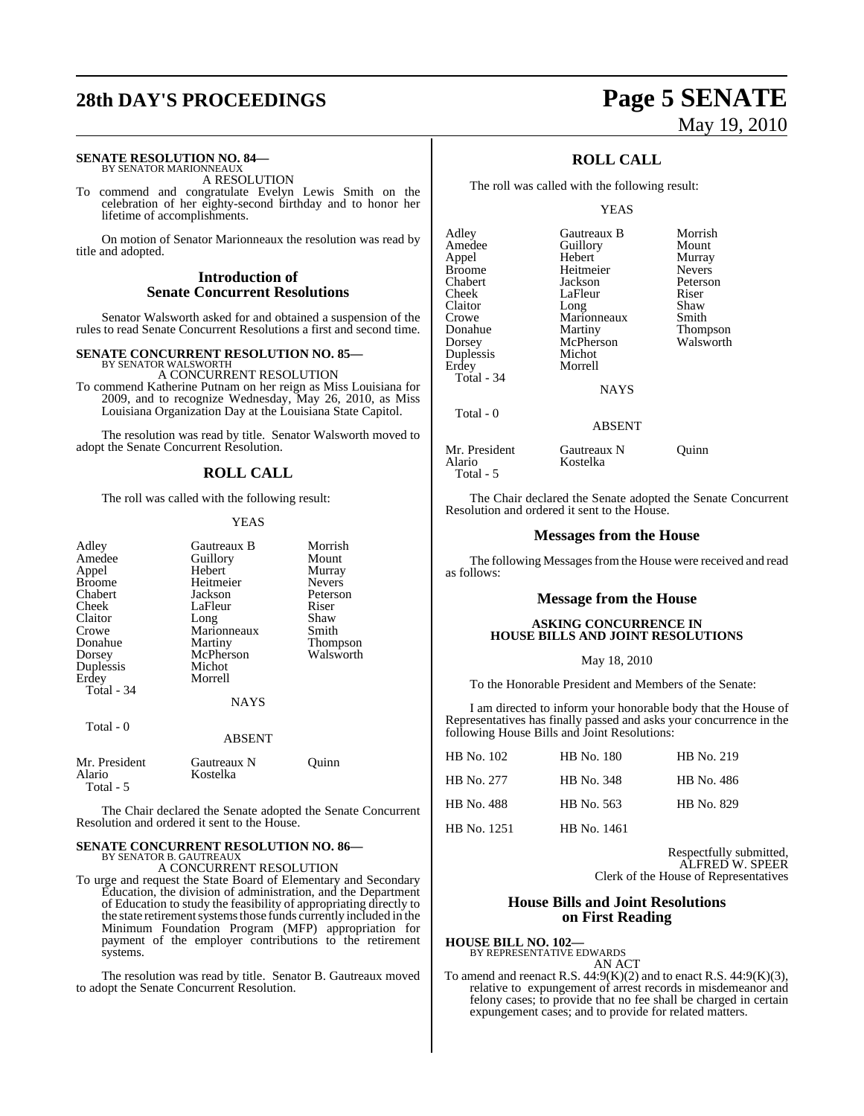# **28th DAY'S PROCEEDINGS Page 5 SENATE**

#### **SENATE RESOLUTION NO. 84—** BY SENATOR MARIONNEAUX

A RESOLUTION

To commend and congratulate Evelyn Lewis Smith on the celebration of her eighty-second birthday and to honor her lifetime of accomplishments.

On motion of Senator Marionneaux the resolution was read by title and adopted.

#### **Introduction of Senate Concurrent Resolutions**

Senator Walsworth asked for and obtained a suspension of the rules to read Senate Concurrent Resolutions a first and second time.

#### **SENATE CONCURRENT RESOLUTION NO. 85—**

BY SENATOR WALSWORTH A CONCURRENT RESOLUTION To commend Katherine Putnam on her reign as Miss Louisiana for 2009, and to recognize Wednesday, May 26, 2010, as Miss Louisiana Organization Day at the Louisiana State Capitol.

The resolution was read by title. Senator Walsworth moved to adopt the Senate Concurrent Resolution.

#### **ROLL CALL**

The roll was called with the following result:

#### YEAS

| Adley<br>Amedee<br>Appel<br><b>Broome</b> | Gautreaux B<br>Guillory<br>Hebert<br>Heitmeier | Morrish<br>Mount<br>Murray<br><b>Nevers</b> |
|-------------------------------------------|------------------------------------------------|---------------------------------------------|
| Chabert<br>Cheek                          | Jackson<br>LaFleur                             | Peterson<br>Riser                           |
| Claitor                                   | Long                                           | Shaw                                        |
| Crowe                                     | Marionneaux                                    | Smith                                       |
| Donahue                                   | Martiny                                        | Thompson                                    |
| Dorsey                                    | McPherson                                      | Walsworth                                   |
| Duplessis                                 | Michot                                         |                                             |
| Erdey                                     | Morrell                                        |                                             |
| Total - 34                                |                                                |                                             |
|                                           | NAYS                                           |                                             |
| Total - 0                                 |                                                |                                             |
|                                           | <b>ABSENT</b>                                  |                                             |
| Mr. President<br>Alario<br>Total - 5      | Gautreaux N<br>Kostelka                        | Ouinn                                       |

The Chair declared the Senate adopted the Senate Concurrent Resolution and ordered it sent to the House.

## **SENATE CONCURRENT RESOLUTION NO. 86—** BY SENATOR B. GAUTREAUX A CONCURRENT RESOLUTION

To urge and request the State Board of Elementary and Secondary Education, the division of administration, and the Department of Education to study the feasibility of appropriating directly to the state retirement systems those funds currently included in the Minimum Foundation Program (MFP) appropriation for payment of the employer contributions to the retirement systems.

The resolution was read by title. Senator B. Gautreaux moved to adopt the Senate Concurrent Resolution.

# May 19, 2010

## **ROLL CALL**

The roll was called with the following result:

#### YEAS

| Adley       | Gautreaux B | Morrish       |
|-------------|-------------|---------------|
| Amedee      | Guillory    | Mount         |
| Appel       | Hebert      | Murray        |
| Broome      | Heitmeier   | <b>Nevers</b> |
| Chabert     | Jackson     | Peterson      |
| Cheek       | LaFleur     | Riser         |
| Claitor     | Long        | Shaw          |
| Crowe       | Marionneaux | Smith         |
| Donahue     | Martiny     | Thompson      |
| Dorsey      | McPherson   | Walsworth     |
| Duplessis   | Michot      |               |
| Erdey       | Morrell     |               |
| Total - 34  |             |               |
|             | <b>NAYS</b> |               |
| $Total - 0$ |             |               |

Kostelka

#### ABSENT

Mr. President Gautreaux N Quinn<br>Alario Kostelka Total - 5

The Chair declared the Senate adopted the Senate Concurrent Resolution and ordered it sent to the House.

#### **Messages from the House**

The following Messages from the House were received and read as follows:

#### **Message from the House**

#### **ASKING CONCURRENCE IN HOUSE BILLS AND JOINT RESOLUTIONS**

May 18, 2010

To the Honorable President and Members of the Senate:

I am directed to inform your honorable body that the House of Representatives has finally passed and asks your concurrence in the following House Bills and Joint Resolutions:

| HB No. 102  | HB No. 180  | HB No. 219 |
|-------------|-------------|------------|
| HB No. 277  | HB No. 348  | HB No. 486 |
| HB No. 488  | HB No. 563  | HB No. 829 |
| HB No. 1251 | HB No. 1461 |            |

Respectfully submitted, ALFRED W. SPEER Clerk of the House of Representatives

#### **House Bills and Joint Resolutions on First Reading**

**HOUSE BILL NO. 102—** BY REPRESENTATIVE EDWARDS

AN ACT

To amend and reenact R.S.  $44:9(K)(2)$  and to enact R.S.  $44:9(K)(3)$ , relative to expungement of arrest records in misdemeanor and felony cases; to provide that no fee shall be charged in certain expungement cases; and to provide for related matters.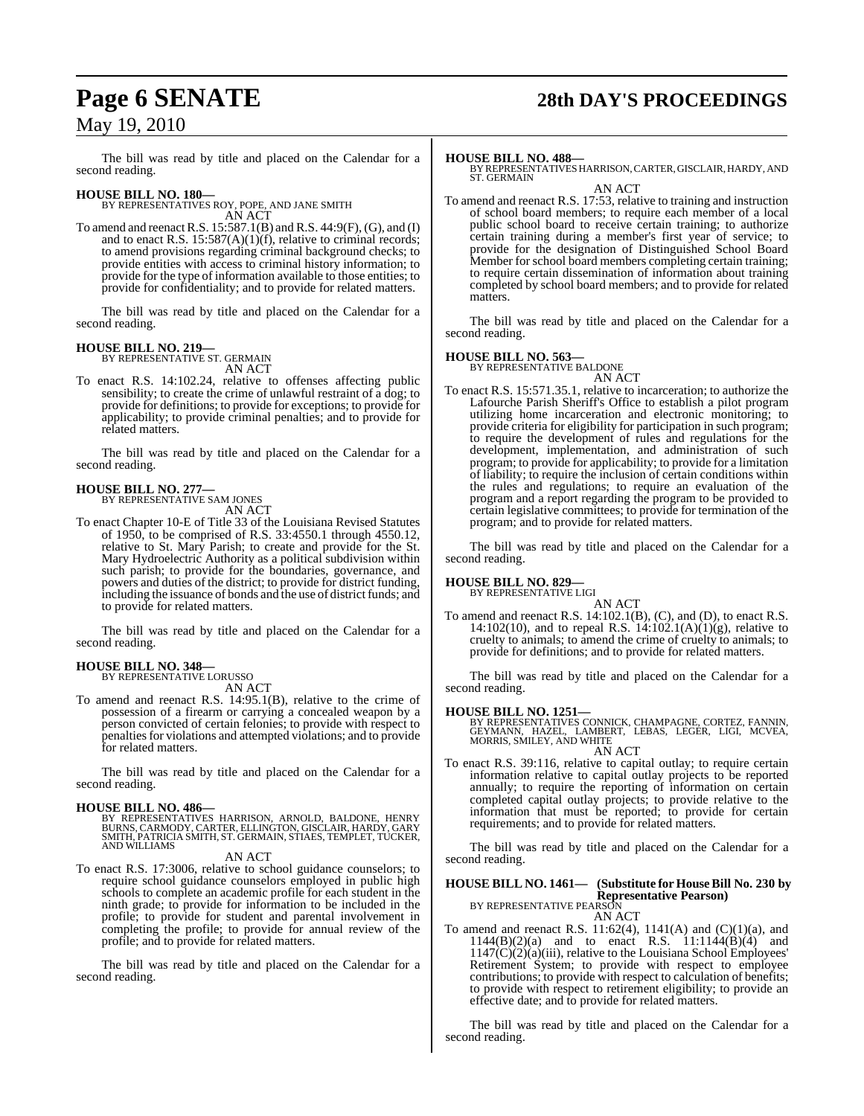# **Page 6 SENATE 28th DAY'S PROCEEDINGS**

## May 19, 2010

The bill was read by title and placed on the Calendar for a second reading.

**HOUSE BILL NO. 180—** BY REPRESENTATIVES ROY, POPE, AND JANE SMITH AN ACT

To amend and reenactR.S. 15:587.1(B) and R.S. 44:9(F), (G), and (I) and to enact R.S.  $15:587(A)(1)(f)$ , relative to criminal records; to amend provisions regarding criminal background checks; to provide entities with access to criminal history information; to provide for the type of information available to those entities; to provide for confidentiality; and to provide for related matters.

The bill was read by title and placed on the Calendar for a second reading.

## **HOUSE BILL NO. 219—** BY REPRESENTATIVE ST. GERMAIN

AN ACT

To enact R.S. 14:102.24, relative to offenses affecting public sensibility; to create the crime of unlawful restraint of a dog; to provide for definitions; to provide for exceptions; to provide for applicability; to provide criminal penalties; and to provide for related matters.

The bill was read by title and placed on the Calendar for a second reading.

#### **HOUSE BILL NO. 277—**

BY REPRESENTATIVE SAM JONES

AN ACT

To enact Chapter 10-E of Title 33 of the Louisiana Revised Statutes of 1950, to be comprised of R.S. 33:4550.1 through 4550.12, relative to St. Mary Parish; to create and provide for the St. Mary Hydroelectric Authority as a political subdivision within such parish; to provide for the boundaries, governance, and powers and duties of the district; to provide for district funding, including the issuance of bonds and the use of district funds; and to provide for related matters.

The bill was read by title and placed on the Calendar for a second reading.

## **HOUSE BILL NO. 348—** BY REPRESENTATIVE LORUSSO

AN ACT

To amend and reenact R.S. 14:95.1(B), relative to the crime of possession of a firearm or carrying a concealed weapon by a person convicted of certain felonies; to provide with respect to penalties for violations and attempted violations; and to provide for related matters.

The bill was read by title and placed on the Calendar for a second reading.

**HOUSE BILL NO. 486—** BY REPRESENTATIVES HARRISON, ARNOLD, BALDONE, HENRY BURNS, CARMODY, CARTER, ELLINGTON, GISCLAIR, HARDY, GARY SMITH, PATRICIA SMITH, ST. GERMAIN, STIAES, TEMPLET, TUCKER, AND WILLIAMS

#### AN ACT

To enact R.S. 17:3006, relative to school guidance counselors; to require school guidance counselors employed in public high schools to complete an academic profile for each student in the ninth grade; to provide for information to be included in the profile; to provide for student and parental involvement in completing the profile; to provide for annual review of the profile; and to provide for related matters.

The bill was read by title and placed on the Calendar for a second reading.

#### **HOUSE BILL NO. 488—**

BY REPRESENTATIVES HARRISON, CARTER, GISCLAIR, HARDY, AND ST. GERMAIN AN ACT

To amend and reenact R.S. 17:53, relative to training and instruction of school board members; to require each member of a local public school board to receive certain training; to authorize certain training during a member's first year of service; to provide for the designation of Distinguished School Board Member for school board members completing certain training; to require certain dissemination of information about training completed by school board members; and to provide for related matters.

The bill was read by title and placed on the Calendar for a second reading.

#### **HOUSE BILL NO. 563—**

BY REPRESENTATIVE BALDONE

- AN ACT
- To enact R.S. 15:571.35.1, relative to incarceration; to authorize the Lafourche Parish Sheriff's Office to establish a pilot program utilizing home incarceration and electronic monitoring; to provide criteria for eligibility for participation in such program; to require the development of rules and regulations for the development, implementation, and administration of such program; to provide for applicability; to provide for a limitation of liability; to require the inclusion of certain conditions within the rules and regulations; to require an evaluation of the program and a report regarding the program to be provided to certain legislative committees; to provide for termination of the program; and to provide for related matters.

The bill was read by title and placed on the Calendar for a second reading.

#### **HOUSE BILL NO. 829—**

BY REPRESENTATIVE LIGI

AN ACT To amend and reenact R.S. 14:102.1(B), (C), and (D), to enact R.S. 14:102(10), and to repeal R.S. 14:102.1(A)(1)(g), relative to cruelty to animals; to amend the crime of cruelty to animals; to provide for definitions; and to provide for related matters.

The bill was read by title and placed on the Calendar for a second reading.

**HOUSE BILL NO. 1251—**<br>BY REPRESENTATIVES CONNICK, CHAMPAGNE, CORTEZ, FANNIN,<br>GEYMANN, HAZEL, LAMBERT, LEBAS, LEGER, LIGI, MCVEA,<br>MORRIS, SMILEY, AND WHITE AN ACT

To enact R.S. 39:116, relative to capital outlay; to require certain information relative to capital outlay projects to be reported annually; to require the reporting of information on certain completed capital outlay projects; to provide relative to the information that must be reported; to provide for certain requirements; and to provide for related matters.

The bill was read by title and placed on the Calendar for a second reading.

#### **HOUSE BILL NO. 1461— (Substitute for HouseBill No. 230 by Representative Pearson)** BY REPRESENTATIVE PEARSON

AN ACT

To amend and reenact R.S.  $11:62(4)$ ,  $1141(A)$  and  $(C)(1)(a)$ , and  $1144(B)(2)(a)$  and to enact R.S.  $11:1144(B)(4)$  and  $1147(C)(2)(a)(iii)$ , relative to the Louisiana School Employees' Retirement System; to provide with respect to employee contributions; to provide with respect to calculation of benefits; to provide with respect to retirement eligibility; to provide an effective date; and to provide for related matters.

The bill was read by title and placed on the Calendar for a second reading.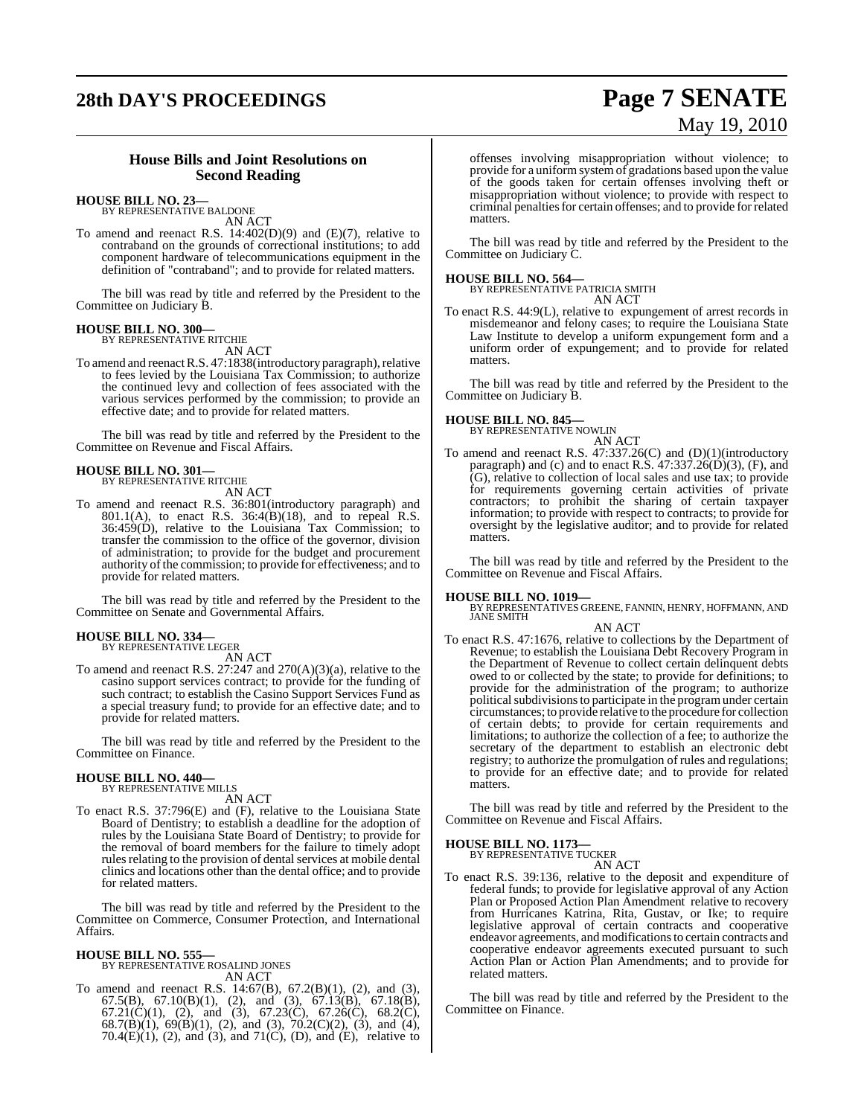# **28th DAY'S PROCEEDINGS Page 7 SENATE**

# May 19, 2010

## **House Bills and Joint Resolutions on Second Reading**

#### **HOUSE BILL NO. 23—** BY REPRESENTATIVE BALDONE

AN ACT

To amend and reenact R.S. 14:402(D)(9) and (E)(7), relative to contraband on the grounds of correctional institutions; to add component hardware of telecommunications equipment in the definition of "contraband"; and to provide for related matters.

The bill was read by title and referred by the President to the Committee on Judiciary B.

#### **HOUSE BILL NO. 300—**

BY REPRESENTATIVE RITCHIE AN ACT

To amend and reenact R.S. 47:1838(introductory paragraph), relative to fees levied by the Louisiana Tax Commission; to authorize the continued levy and collection of fees associated with the various services performed by the commission; to provide an effective date; and to provide for related matters.

The bill was read by title and referred by the President to the Committee on Revenue and Fiscal Affairs.

# **HOUSE BILL NO. 301—** BY REPRESENTATIVE RITCHIE

AN ACT

To amend and reenact R.S. 36:801(introductory paragraph) and 801.1(A), to enact R.S. 36:4(B)(18), and to repeal R.S. 36:459(D), relative to the Louisiana Tax Commission; to transfer the commission to the office of the governor, division of administration; to provide for the budget and procurement authority of the commission; to provide for effectiveness; and to provide for related matters.

The bill was read by title and referred by the President to the Committee on Senate and Governmental Affairs.

#### **HOUSE BILL NO. 334—** BY REPRESENTATIVE LEGER

AN ACT

To amend and reenact R.S. 27:247 and 270(A)(3)(a), relative to the casino support services contract; to provide for the funding of such contract; to establish the Casino Support Services Fund as a special treasury fund; to provide for an effective date; and to provide for related matters.

The bill was read by title and referred by the President to the Committee on Finance.

#### **HOUSE BILL NO. 440—**

BY REPRESENTATIVE MILLS AN ACT

To enact R.S. 37:796(E) and (F), relative to the Louisiana State Board of Dentistry; to establish a deadline for the adoption of rules by the Louisiana State Board of Dentistry; to provide for the removal of board members for the failure to timely adopt rules relating to the provision of dental services at mobile dental clinics and locations other than the dental office; and to provide for related matters.

The bill was read by title and referred by the President to the Committee on Commerce, Consumer Protection, and International Affairs.

#### **HOUSE BILL NO. 555—** BY REPRESENTATIVE ROSALIND JONES

AN ACT

To amend and reenact R.S. 14:67(B), 67.2(B)(1), (2), and (3), 67.5(B), 67.10(B)(1), (2), and (3), 67.13(B), 67.18(B), 67.21(C)(1), (2), and (3), 67.23(C), 67.26(C), 68.2(C), 68.7(B)(1), 69(B)(1), (2), and (3), 70.2(C)(2), (3), and (4), 70.4 $(E)(1)$ , (2), and (3), and 71 $(C)$ , (D), and  $(E)$ , relative to offenses involving misappropriation without violence; to provide for a uniformsystemof gradations based upon the value of the goods taken for certain offenses involving theft or misappropriation without violence; to provide with respect to criminal penaltiesfor certain offenses; and to provide for related matters.

The bill was read by title and referred by the President to the Committee on Judiciary C.

#### **HOUSE BILL NO. 564—**

BY REPRESENTATIVE PATRICIA SMITH AN ACT

To enact R.S. 44:9(L), relative to expungement of arrest records in misdemeanor and felony cases; to require the Louisiana State Law Institute to develop a uniform expungement form and a uniform order of expungement; and to provide for related matters.

The bill was read by title and referred by the President to the Committee on Judiciary B.

#### **HOUSE BILL NO. 845—**

BY REPRESENTATIVE NOWLIN

AN ACT To amend and reenact R.S. 47:337.26(C) and (D)(1)(introductory paragraph) and (c) and to enact R.S.  $47:337.26(D)(3)$ , (F), and (G), relative to collection of local sales and use tax; to provide for requirements governing certain activities of private contractors; to prohibit the sharing of certain taxpayer information; to provide with respect to contracts; to provide for oversight by the legislative auditor; and to provide for related matters.

The bill was read by title and referred by the President to the Committee on Revenue and Fiscal Affairs.

**HOUSE BILL NO. 1019—** BY REPRESENTATIVES GREENE, FANNIN, HENRY, HOFFMANN, AND JANE SMITH

- AN ACT To enact R.S. 47:1676, relative to collections by the Department of Revenue; to establish the Louisiana Debt Recovery Program in the Department of Revenue to collect certain delinquent debts owed to or collected by the state; to provide for definitions; to provide for the administration of the program; to authorize political subdivisions to participate in the program under certain circumstances; to provide relative to the procedure for collection of certain debts; to provide for certain requirements and
	- limitations; to authorize the collection of a fee; to authorize the secretary of the department to establish an electronic debt registry; to authorize the promulgation of rules and regulations; to provide for an effective date; and to provide for related matters.

The bill was read by title and referred by the President to the Committee on Revenue and Fiscal Affairs.

#### **HOUSE BILL NO. 1173—** BY REPRESENTATIVE TUCKER

AN ACT

To enact R.S. 39:136, relative to the deposit and expenditure of federal funds; to provide for legislative approval of any Action Plan or Proposed Action Plan Amendment relative to recovery from Hurricanes Katrina, Rita, Gustav, or Ike; to require legislative approval of certain contracts and cooperative endeavor agreements, and modificationsto certain contracts and cooperative endeavor agreements executed pursuant to such Action Plan or Action Plan Amendments; and to provide for related matters.

The bill was read by title and referred by the President to the Committee on Finance.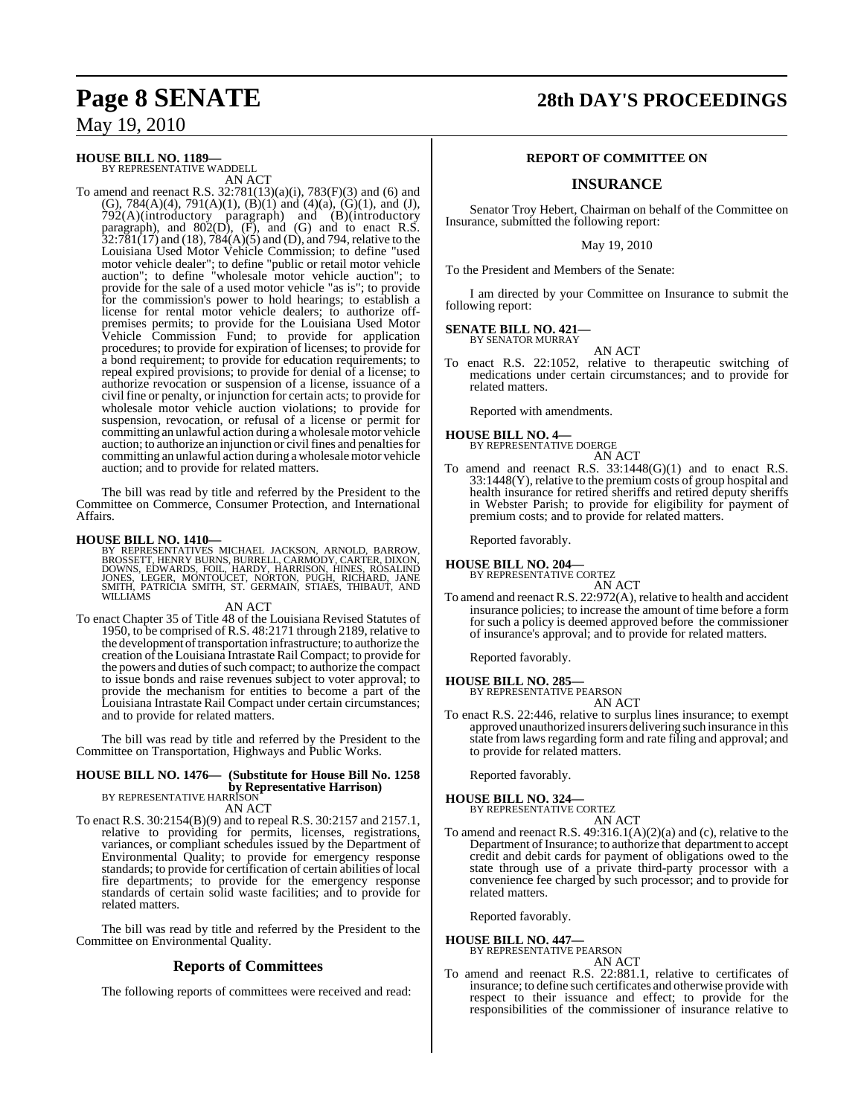### **HOUSE BILL NO. 1189—**

BY REPRESENTATIVE WADDELL AN ACT

To amend and reenact R.S. 32:781(13)(a)(i), 783(F)(3) and (6) and (G), 784(A)(4), 791(A)(1), (B)(1) and (4)(a), (G)(1), and (J), 792(A)(introductory paragraph) and (B)(introductory paragraph), and  $802(D)$ ,  $(F)$ , and  $(G)$  and to enact R.S.  $32:781(17)$  and (18),  $784(A)(5)$  and (D), and 794, relative to the Louisiana Used Motor Vehicle Commission; to define "used motor vehicle dealer"; to define "public or retail motor vehicle auction"; to define "wholesale motor vehicle auction"; to provide for the sale of a used motor vehicle "as is"; to provide for the commission's power to hold hearings; to establish a license for rental motor vehicle dealers; to authorize offpremises permits; to provide for the Louisiana Used Motor Vehicle Commission Fund; to provide for application procedures; to provide for expiration of licenses; to provide for a bond requirement; to provide for education requirements; to repeal expired provisions; to provide for denial of a license; to authorize revocation or suspension of a license, issuance of a civil fine or penalty, or injunction for certain acts; to provide for wholesale motor vehicle auction violations; to provide for suspension, revocation, or refusal of a license or permit for committing an unlawful action during awholesalemotor vehicle auction; to authorize an injunction or civil fines and penalties for committing an unlawful action during awholesalemotor vehicle auction; and to provide for related matters.

The bill was read by title and referred by the President to the Committee on Commerce, Consumer Protection, and International Affairs.

**HOUSE BILL NO. 1410—**<br>BY REPRESENTATIVES MICHAEL JACKSON, ARNOLD, BARROW,<br>BROSSETT, HENRY BURNS, BURRELL, CARMODY, CARTER, DIXON,<br>DOWNS, EDWARDS, FOIL, HARDY, HARRISON, HINES, ROSALIND<br>JONES, LEGER, MONTOUCET, NORTON, PUG

#### AN ACT

To enact Chapter 35 of Title 48 of the Louisiana Revised Statutes of 1950, to be comprised of R.S. 48:2171 through 2189, relative to the development of transportation infrastructure; to authorize the creation of the Louisiana Intrastate Rail Compact; to provide for the powers and duties of such compact; to authorize the compact to issue bonds and raise revenues subject to voter approval; to provide the mechanism for entities to become a part of the Louisiana Intrastate Rail Compact under certain circumstances; and to provide for related matters.

The bill was read by title and referred by the President to the Committee on Transportation, Highways and Public Works.

### **HOUSE BILL NO. 1476— (Substitute for House Bill No. 1258 by Representative Harrison)**<br>BY REPRESENTATIVE HARRISON AN ACT

- To enact R.S. 30:2154(B)(9) and to repeal R.S. 30:2157 and 2157.1,
- relative to providing for permits, licenses, registrations, variances, or compliant schedules issued by the Department of Environmental Quality; to provide for emergency response standards; to provide for certification of certain abilities of local fire departments; to provide for the emergency response standards of certain solid waste facilities; and to provide for related matters.

The bill was read by title and referred by the President to the Committee on Environmental Quality.

### **Reports of Committees**

The following reports of committees were received and read:

# **Page 8 SENATE 28th DAY'S PROCEEDINGS**

#### **REPORT OF COMMITTEE ON**

## **INSURANCE**

Senator Troy Hebert, Chairman on behalf of the Committee on Insurance, submitted the following report:

May 19, 2010

To the President and Members of the Senate:

I am directed by your Committee on Insurance to submit the following report:

#### **SENATE BILL NO. 421—** BY SENATOR MURRAY

AN ACT

To enact R.S. 22:1052, relative to therapeutic switching of medications under certain circumstances; and to provide for related matters.

Reported with amendments.

#### **HOUSE BILL NO. 4—**

BY REPRESENTATIVE DOERGE AN ACT

To amend and reenact R.S. 33:1448(G)(1) and to enact R.S. 33:1448(Y), relative to the premium costs of group hospital and health insurance for retired sheriffs and retired deputy sheriffs in Webster Parish; to provide for eligibility for payment of premium costs; and to provide for related matters.

Reported favorably.

**HOUSE BILL NO. 204—**

BY REPRESENTATIVE CORTEZ

- AN ACT
- To amend and reenact R.S. 22:972(A), relative to health and accident insurance policies; to increase the amount of time before a form for such a policy is deemed approved before the commissioner of insurance's approval; and to provide for related matters.

Reported favorably.

- **HOUSE BILL NO. 285—** BY REPRESENTATIVE PEARSON AN ACT
- To enact R.S. 22:446, relative to surplus lines insurance; to exempt approved unauthorized insurers delivering such insurance in this state from laws regarding form and rate filing and approval; and to provide for related matters.

Reported favorably.

#### **HOUSE BILL NO. 324—**

BY REPRESENTATIVE CORTEZ

AN ACT To amend and reenact R.S. 49:316.1(A)(2)(a) and (c), relative to the Department of Insurance; to authorize that department to accept credit and debit cards for payment of obligations owed to the state through use of a private third-party processor with a convenience fee charged by such processor; and to provide for related matters.

Reported favorably.

## **HOUSE BILL NO. 447—**

BY REPRESENTATIVE PEARSON

AN ACT To amend and reenact R.S. 22:881.1, relative to certificates of insurance; to define such certificates and otherwise provide with respect to their issuance and effect; to provide for the responsibilities of the commissioner of insurance relative to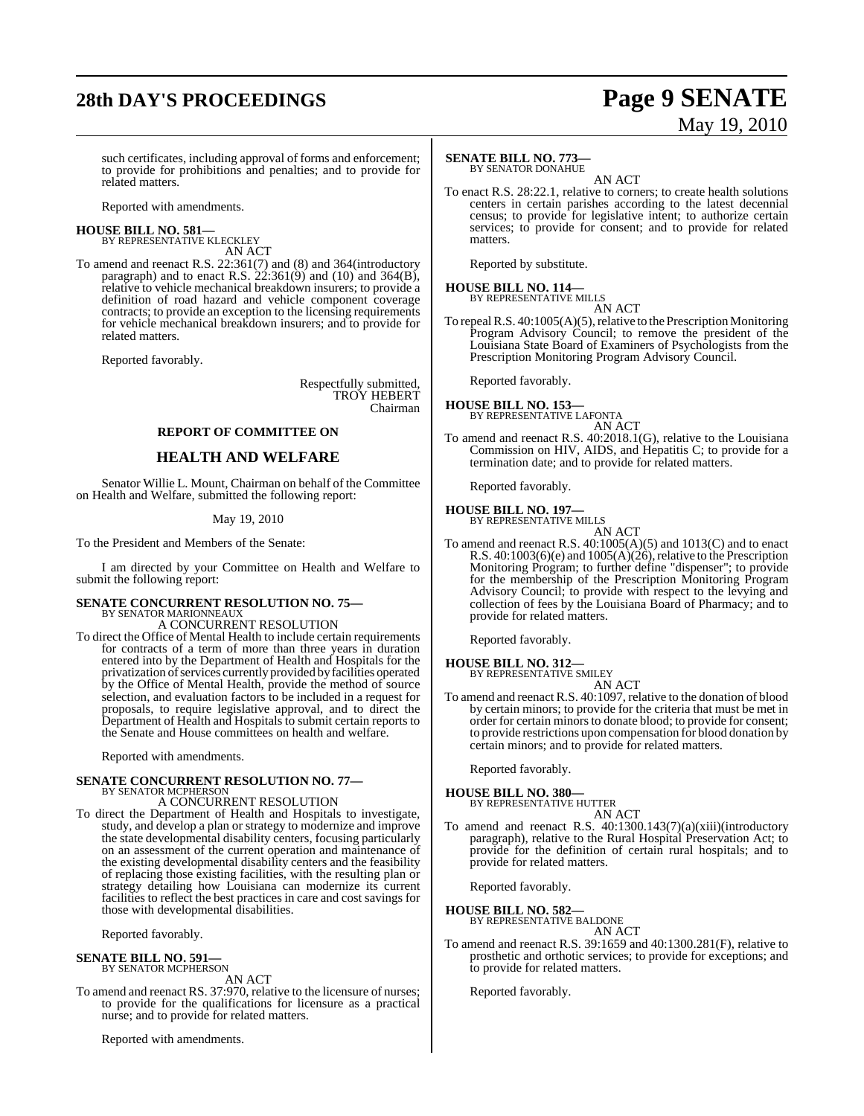# **28th DAY'S PROCEEDINGS Page 9 SENATE**

# May 19, 2010

such certificates, including approval of forms and enforcement; to provide for prohibitions and penalties; and to provide for related matters.

Reported with amendments.

**HOUSE BILL NO. 581—** BY REPRESENTATIVE KLECKLEY AN ACT

To amend and reenact R.S. 22:361(7) and (8) and 364(introductory paragraph) and to enact R.S.  $22:361(9)$  and  $(10)$  and  $364(B)$ , relative to vehicle mechanical breakdown insurers; to provide a definition of road hazard and vehicle component coverage contracts; to provide an exception to the licensing requirements for vehicle mechanical breakdown insurers; and to provide for related matters.

Reported favorably.

Respectfully submitted, TROY HEBERT Chairman

#### **REPORT OF COMMITTEE ON**

### **HEALTH AND WELFARE**

Senator Willie L. Mount, Chairman on behalf of the Committee on Health and Welfare, submitted the following report:

#### May 19, 2010

To the President and Members of the Senate:

I am directed by your Committee on Health and Welfare to submit the following report:

# **SENATE CONCURRENT RESOLUTION NO. 75—** BY SENATOR MARIONNEAUX

A CONCURRENT RESOLUTION

To direct the Office of Mental Health to include certain requirements for contracts of a term of more than three years in duration entered into by the Department of Health and Hospitals for the privatization of services currently provided by facilities operated by the Office of Mental Health, provide the method of source selection, and evaluation factors to be included in a request for proposals, to require legislative approval, and to direct the Department of Health and Hospitals to submit certain reports to the Senate and House committees on health and welfare.

Reported with amendments.

#### **SENATE CONCURRENT RESOLUTION NO. 77—** BY SENATOR MCPHERSON

A CONCURRENT RESOLUTION

To direct the Department of Health and Hospitals to investigate, study, and develop a plan or strategy to modernize and improve the state developmental disability centers, focusing particularly on an assessment of the current operation and maintenance of the existing developmental disability centers and the feasibility of replacing those existing facilities, with the resulting plan or strategy detailing how Louisiana can modernize its current facilities to reflect the best practices in care and cost savings for those with developmental disabilities.

Reported favorably.

#### **SENATE BILL NO. 591—** BY SENATOR MCPHERSON

AN ACT

To amend and reenact RS. 37:970, relative to the licensure of nurses; to provide for the qualifications for licensure as a practical nurse; and to provide for related matters.

Reported with amendments.

### **SENATE BILL NO. 773—**

BY SENATOR DONAHUE AN ACT

To enact R.S. 28:22.1, relative to corners; to create health solutions centers in certain parishes according to the latest decennial census; to provide for legislative intent; to authorize certain services; to provide for consent; and to provide for related matters.

Reported by substitute.

## **HOUSE BILL NO. 114—** BY REPRESENTATIVE MILLS

AN ACT

To repeal R.S.  $40:1005(A)(5)$ , relative to the Prescription Monitoring Program Advisory Council; to remove the president of the Louisiana State Board of Examiners of Psychologists from the Prescription Monitoring Program Advisory Council.

Reported favorably.

#### **HOUSE BILL NO. 153—** BY REPRESENTATIVE LAFONTA

AN ACT

To amend and reenact R.S. 40:2018.1(G), relative to the Louisiana Commission on HIV, AIDS, and Hepatitis C; to provide for a termination date; and to provide for related matters.

Reported favorably.

## **HOUSE BILL NO. 197—** BY REPRESENTATIVE MILLS

AN ACT

To amend and reenact R.S. 40:1005(A)(5) and 1013(C) and to enact R.S.  $40:1003(6)(e)$  and  $1005(A)(26)$ , relative to the Prescription Monitoring Program; to further define "dispenser"; to provide for the membership of the Prescription Monitoring Program Advisory Council; to provide with respect to the levying and collection of fees by the Louisiana Board of Pharmacy; and to provide for related matters.

Reported favorably.

# **HOUSE BILL NO. 312—** BY REPRESENTATIVE SMILEY

AN ACT

To amend and reenact R.S. 40:1097, relative to the donation of blood by certain minors; to provide for the criteria that must be met in order for certain minors to donate blood; to provide for consent; to provide restrictions upon compensation for blood donation by certain minors; and to provide for related matters.

Reported favorably.

#### **HOUSE BILL NO. 380—**

BY REPRESENTATIVE HUTTER

- AN ACT
- To amend and reenact R.S. 40:1300.143(7)(a)(xiii)(introductory paragraph), relative to the Rural Hospital Preservation Act; to provide for the definition of certain rural hospitals; and to provide for related matters.

Reported favorably.

#### **HOUSE BILL NO. 582—** BY REPRESENTATIVE BALDONE

AN ACT

To amend and reenact R.S. 39:1659 and 40:1300.281(F), relative to prosthetic and orthotic services; to provide for exceptions; and to provide for related matters.

Reported favorably.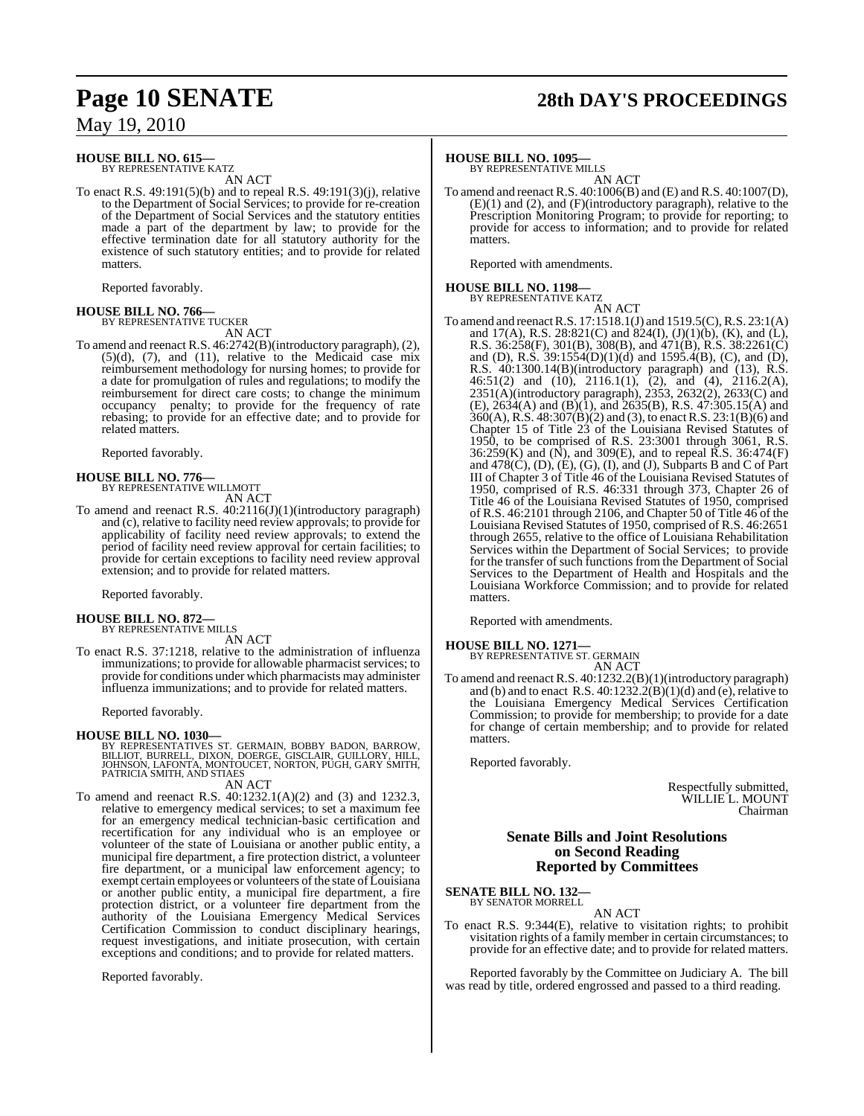#### **HOUSE BILL NO. 615—** BY REPRESENTATIVE KATZ

AN ACT

To enact R.S. 49:191(5)(b) and to repeal R.S. 49:191(3)(j), relative to the Department of Social Services; to provide for re-creation of the Department of Social Services and the statutory entities made a part of the department by law; to provide for the effective termination date for all statutory authority for the existence of such statutory entities; and to provide for related matters.

Reported favorably.

## **HOUSE BILL NO. 766—** BY REPRESENTATIVE TUCKER

AN ACT

To amend and reenact R.S. 46:2742(B)(introductory paragraph), (2),  $(5)(d)$ ,  $(7)$ , and  $(11)$ , relative to the Medicaid case mix reimbursement methodology for nursing homes; to provide for a date for promulgation of rules and regulations; to modify the reimbursement for direct care costs; to change the minimum occupancy penalty; to provide for the frequency of rate rebasing; to provide for an effective date; and to provide for related matters.

Reported favorably.

# **HOUSE BILL NO. 776—** BY REPRESENTATIVE WILLMOTT

AN ACT

To amend and reenact R.S. 40:2116(J)(1)(introductory paragraph) and (c), relative to facility need review approvals; to provide for applicability of facility need review approvals; to extend the period of facility need review approval for certain facilities; to provide for certain exceptions to facility need review approval extension; and to provide for related matters.

Reported favorably.

## **HOUSE BILL NO. 872—** BY REPRESENTATIVE MILLS

AN ACT

To enact R.S. 37:1218, relative to the administration of influenza immunizations; to provide for allowable pharmacist services; to provide for conditions under which pharmacists may administer influenza immunizations; and to provide for related matters.

Reported favorably.

**HOUSE BILL NO. 1030—**<br>BY REPRESENTATIVES ST. GERMAIN, BOBBY BADON, BARROW,<br>BILLIOT, BURRELL, DIXON, DOERGE, GISCLAIR, GUILLORY, HILL,<br>JOHNSON, LAFONTA, MONTOUCET, NORTON, PUGH, GARY SMITH,<br>PATRICIA SMITH, AND STIAES

AN ACT

To amend and reenact R.S. 40:1232.1(A)(2) and (3) and 1232.3, relative to emergency medical services; to set a maximum fee for an emergency medical technician-basic certification and recertification for any individual who is an employee or volunteer of the state of Louisiana or another public entity, a municipal fire department, a fire protection district, a volunteer fire department, or a municipal law enforcement agency; to exempt certain employees or volunteers of the state of Louisiana or another public entity, a municipal fire department, a fire protection district, or a volunteer fire department from the authority of the Louisiana Emergency Medical Services Certification Commission to conduct disciplinary hearings, request investigations, and initiate prosecution, with certain exceptions and conditions; and to provide for related matters.

Reported favorably.

# **Page 10 SENATE 28th DAY'S PROCEEDINGS**

#### **HOUSE BILL NO. 1095—**

BY REPRESENTATIVE MILLS

AN ACT To amend and reenact R.S. 40:1006(B) and (E) and R.S. 40:1007(D), (E)(1) and (2), and (F)(introductory paragraph), relative to the Prescription Monitoring Program; to provide for reporting; to provide for access to information; and to provide for related matters.

Reported with amendments.

## **HOUSE BILL NO. 1198—** BY REPRESENTATIVE KATZ

AN ACT To amend and reenactR.S. 17:1518.1(J) and 1519.5(C),R.S. 23:1(A) and 17(A), R.S. 28:821(C) and 824(I),  $(J)(1)(b)$ ,  $(K)$ , and  $(L)$ , R.S. 36:258(F), 301(B), 308(B), and 471(B), R.S. 38:2261(C) and (D), R.S. 39:1554(D)(1)(d) and 1595.4(B), (C), and (D), R.S. 40:1300.14(B)(introductory paragraph) and (13), R.S. 46:51(2) and (10), 2116.1(1), (2), and (4), 2116.2(A), 2351(A)(introductory paragraph), 2353, 2632(2), 2633(C) and  $(E)$ , 2634(A) and  $(B)(1)$ , and 2635(B), R.S. 47:305.15(A) and  $360(A)$ , R.S. 48:307(B)(2) and (3), to enact R.S. 23:1(B)(6) and Chapter 15 of Title 23 of the Louisiana Revised Statutes of 1950, to be comprised of R.S. 23:3001 through 3061, R.S.  $36:259(K)$  and  $(N)$ , and  $309(E)$ , and to repeal  $\overline{K}$ . S.  $36:474(F)$ and  $478(C)$ , (D), (E), (G), (I), and (J), Subparts B and C of Part III of Chapter 3 of Title 46 of the Louisiana Revised Statutes of 1950, comprised of R.S. 46:331 through 373, Chapter 26 of Title 46 of the Louisiana Revised Statutes of 1950, comprised of R.S. 46:2101 through 2106, and Chapter 50 of Title 46 of the Louisiana Revised Statutes of 1950, comprised of R.S. 46:2651 through 2655, relative to the office of Louisiana Rehabilitation Services within the Department of Social Services; to provide for the transfer of such functions from the Department of Social Services to the Department of Health and Hospitals and the Louisiana Workforce Commission; and to provide for related matters.

Reported with amendments.

**HOUSE BILL NO. 1271—** BY REPRESENTATIVE ST. GERMAIN

AN ACT

To amend and reenact R.S. 40:1232.2(B)(1)(introductory paragraph) and (b) and to enact R.S.  $40:1232.2(B)(1)(d)$  and (e), relative to the Louisiana Emergency Medical Services Certification Commission; to provide for membership; to provide for a date for change of certain membership; and to provide for related matters.

Reported favorably.

Respectfully submitted, WILLIE L. MOUNT Chairman

#### **Senate Bills and Joint Resolutions on Second Reading Reported by Committees**

**SENATE BILL NO. 132—** BY SENATOR MORRELL

AN ACT

To enact R.S. 9:344(E), relative to visitation rights; to prohibit visitation rights of a family member in certain circumstances; to provide for an effective date; and to provide for related matters.

Reported favorably by the Committee on Judiciary A. The bill was read by title, ordered engrossed and passed to a third reading.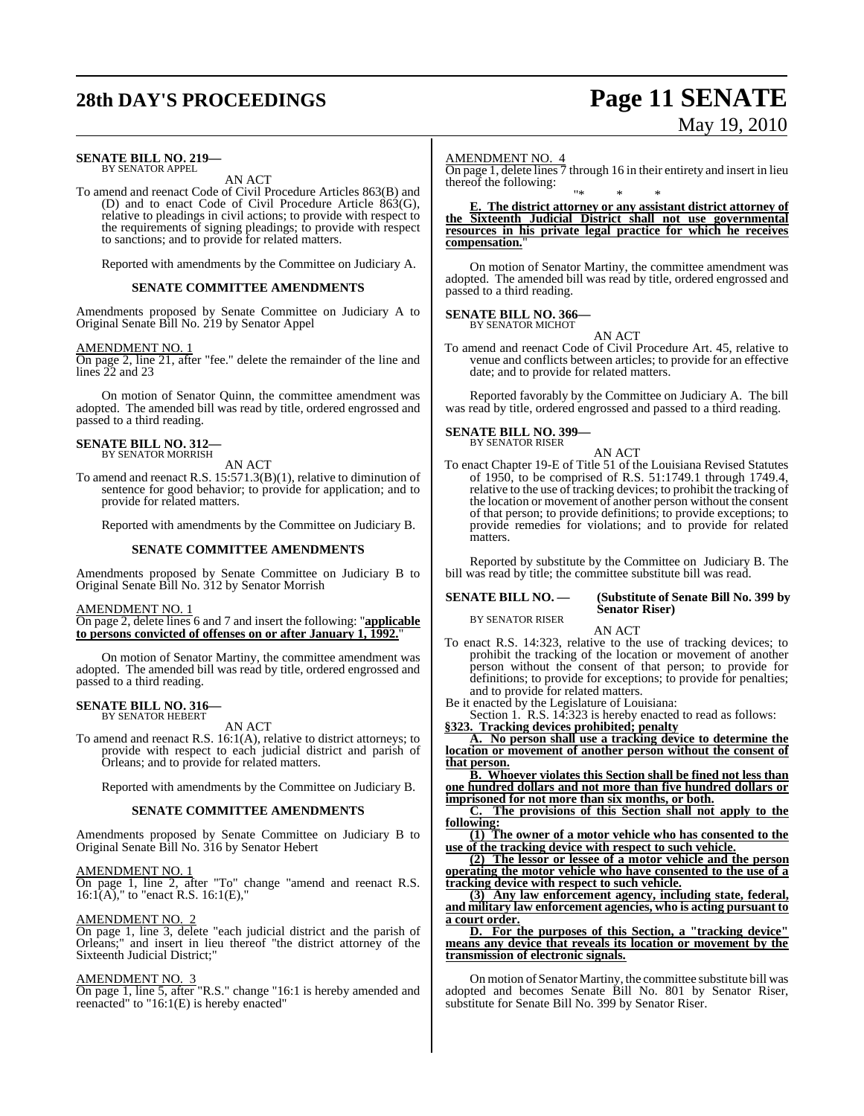# **28th DAY'S PROCEEDINGS Page 11 SENATE**

# May 19, 2010

#### **SENATE BILL NO. 219—** BY SENATOR APPEL

AN ACT

To amend and reenact Code of Civil Procedure Articles 863(B) and (D) and to enact Code of Civil Procedure Article 863(G), relative to pleadings in civil actions; to provide with respect to the requirements of signing pleadings; to provide with respect to sanctions; and to provide for related matters.

Reported with amendments by the Committee on Judiciary A.

#### **SENATE COMMITTEE AMENDMENTS**

Amendments proposed by Senate Committee on Judiciary A to Original Senate Bill No. 219 by Senator Appel

#### AMENDMENT NO. 1

On page 2, line 21, after "fee." delete the remainder of the line and lines 22 and 23

On motion of Senator Quinn, the committee amendment was adopted. The amended bill was read by title, ordered engrossed and passed to a third reading.

## **SENATE BILL NO. 312—** BY SENATOR MORRISH

AN ACT

To amend and reenact R.S. 15:571.3(B)(1), relative to diminution of sentence for good behavior; to provide for application; and to provide for related matters.

Reported with amendments by the Committee on Judiciary B.

#### **SENATE COMMITTEE AMENDMENTS**

Amendments proposed by Senate Committee on Judiciary B to Original Senate Bill No. 312 by Senator Morrish

AMENDMENT NO. 1

On page 2, delete lines 6 and 7 and insert the following: "**applicable to persons convicted of offenses on or after January 1, 1992.**"

On motion of Senator Martiny, the committee amendment was adopted. The amended bill was read by title, ordered engrossed and passed to a third reading.

## **SENATE BILL NO. 316—** BY SENATOR HEBERT

AN ACT

To amend and reenact R.S. 16:1(A), relative to district attorneys; to provide with respect to each judicial district and parish of Orleans; and to provide for related matters.

Reported with amendments by the Committee on Judiciary B.

#### **SENATE COMMITTEE AMENDMENTS**

Amendments proposed by Senate Committee on Judiciary B to Original Senate Bill No. 316 by Senator Hebert

#### AMENDMENT NO. 1

On page 1, line 2, after "To" change "amend and reenact R.S.  $16:1(A)$ ," to "enact R.S.  $16:1(E)$ ,"

#### AMENDMENT NO.

On page 1, line 3, delete "each judicial district and the parish of Orleans;" and insert in lieu thereof "the district attorney of the Sixteenth Judicial District;"

#### AMENDMENT NO. 3

On page 1, line 5, after "R.S." change "16:1 is hereby amended and reenacted" to "16:1(E) is hereby enacted"

#### AMENDMENT NO. 4

On page 1, delete lines 7 through 16 in their entirety and insert in lieu thereof the following:

#### "\* \* \* **E. The district attorney or any assistant district attorney of the Sixteenth Judicial District shall not use governmental resources in his private legal practice for which he receives compensation.**"

On motion of Senator Martiny, the committee amendment was adopted. The amended bill was read by title, ordered engrossed and passed to a third reading.

#### **SENATE BILL NO. 366—** BY SENATOR MICHOT

AN ACT

To amend and reenact Code of Civil Procedure Art. 45, relative to venue and conflicts between articles; to provide for an effective date; and to provide for related matters.

Reported favorably by the Committee on Judiciary A. The bill was read by title, ordered engrossed and passed to a third reading.

#### **SENATE BILL NO. 399—**

BY SENATOR RISER

AN ACT To enact Chapter 19-E of Title 51 of the Louisiana Revised Statutes of 1950, to be comprised of R.S. 51:1749.1 through 1749.4, relative to the use of tracking devices; to prohibit the tracking of the location or movement of another person without the consent of that person; to provide definitions; to provide exceptions; to provide remedies for violations; and to provide for related matters.

Reported by substitute by the Committee on Judiciary B. The bill was read by title; the committee substitute bill was read.

#### **SENATE BILL NO. — (Substitute of Senate Bill No. 399 by Senator Riser)**

BY SENATOR RISER

AN ACT

To enact R.S. 14:323, relative to the use of tracking devices; to prohibit the tracking of the location or movement of another person without the consent of that person; to provide for definitions; to provide for exceptions; to provide for penalties; and to provide for related matters.

Be it enacted by the Legislature of Louisiana: Section 1. R.S. 14:323 is hereby enacted to read as follows: **§323. Tracking devices prohibited; penalty**

**A. No person shall use a tracking device to determine the location or movement of another person without the consent of that person.**

**B. Whoever violates this Section shall be fined not less than one hundred dollars and not more than five hundred dollars or imprisoned for not more than six months, or both.**

**C. The provisions of this Section shall not apply to the following:**

**(1) The owner of a motor vehicle who has consented to the use of the tracking device with respect to such vehicle.**

**(2) The lessor or lessee of a motor vehicle and the person operating the motor vehicle who have consented to the use of a tracking device with respect to such vehicle.**

**(3) Any law enforcement agency, including state, federal, and military law enforcement agencies, who is acting pursuant to a court order.**

**D. For the purposes of this Section, a "tracking device" means any device that reveals its location or movement by the transmission of electronic signals.**

On motion of Senator Martiny, the committee substitute bill was adopted and becomes Senate Bill No. 801 by Senator Riser, substitute for Senate Bill No. 399 by Senator Riser.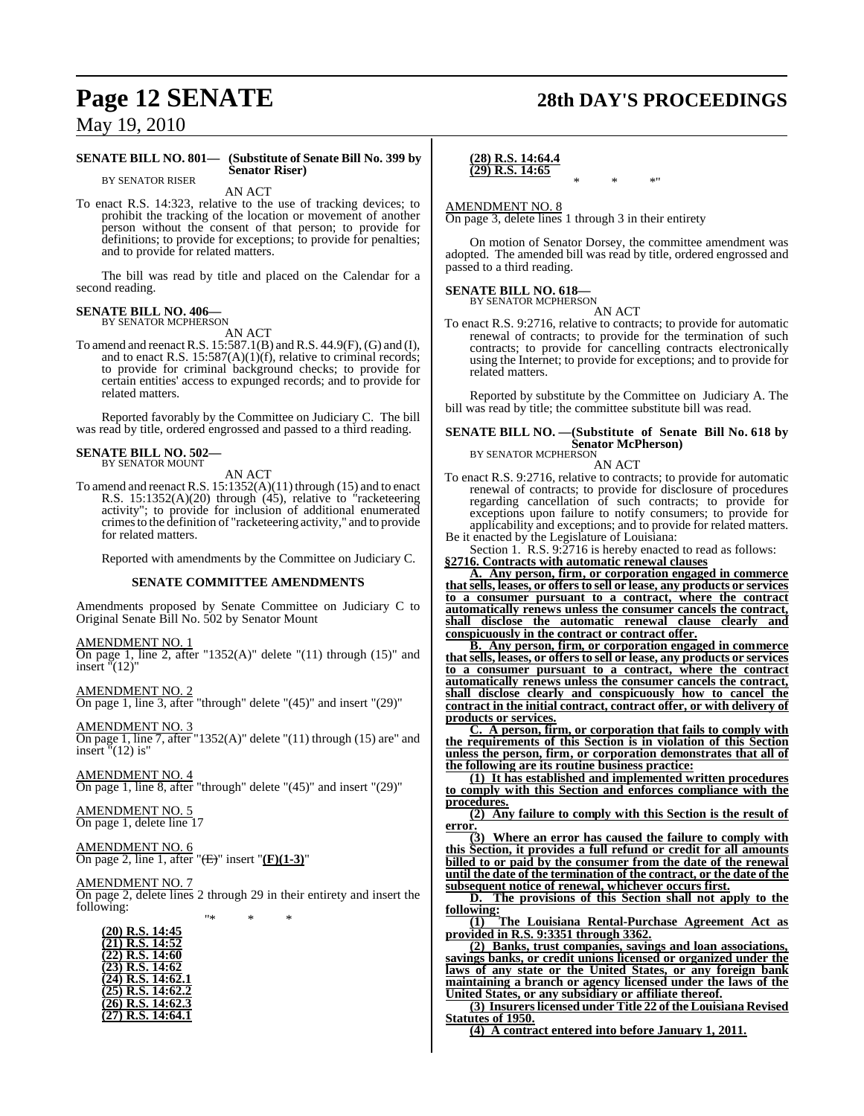# **Page 12 SENATE 28th DAY'S PROCEEDINGS**

May 19, 2010

#### **SENATE BILL NO. 801— (Substitute of Senate Bill No. 399 by Senator Riser)** BY SENATOR RISER

AN ACT

To enact R.S. 14:323, relative to the use of tracking devices; to prohibit the tracking of the location or movement of another person without the consent of that person; to provide for definitions; to provide for exceptions; to provide for penalties; and to provide for related matters.

The bill was read by title and placed on the Calendar for a second reading.

#### **SENATE BILL NO. 406—** BY SENATOR MCPHERSON

AN ACT

To amend and reenactR.S. 15:587.1(B) and R.S. 44.9(F), (G) and (I), and to enact R.S.  $15:587(A)(1)(f)$ , relative to criminal records; to provide for criminal background checks; to provide for certain entities' access to expunged records; and to provide for related matters.

Reported favorably by the Committee on Judiciary C. The bill was read by title, ordered engrossed and passed to a third reading.

#### **SENATE BILL NO. 502—** BY SENATOR MOUNT

AN ACT

To amend and reenact R.S. 15:1352(A)(11) through (15) and to enact R.S. 15:1352(A)(20) through (45), relative to "racketeering activity"; to provide for inclusion of additional enumerated crimesto the definition of "racketeering activity," and to provide for related matters.

Reported with amendments by the Committee on Judiciary C.

#### **SENATE COMMITTEE AMENDMENTS**

Amendments proposed by Senate Committee on Judiciary C to Original Senate Bill No. 502 by Senator Mount

#### AMENDMENT NO. 1

On page 1, line 2, after "1352(A)" delete " $(11)$  through  $(15)$ " and insert "(12)"

AMENDMENT NO. 2 On page 1, line 3, after "through" delete "(45)" and insert "(29)"

AMENDMENT NO. 3 On page 1, line 7, after "1352(A)" delete "(11) through (15) are" and insert  $\sqrt{2}$  (12) is"

AMENDMENT NO. 4 On page 1, line 8, after "through" delete "(45)" and insert "(29)"

AMENDMENT NO. 5 On page 1, delete line 17

AMENDMENT NO. 6 On page 2, line 1, after "(E)" insert "**(F)(1-3)**"

AMENDMENT NO. 7 On page 2, delete lines 2 through 29 in their entirety and insert the following: "\* \* \*

| (20) R.S. 14:45                  |
|----------------------------------|
| $(21)$ R.S. 14:52                |
| (22) R.S. 14:60                  |
| $(23)$ R.S. 14:62                |
| $(24)$ R.S. $14:\overline{62}.1$ |
| $(25)$ R.S. $14:6\overline{2.2}$ |
| $(26)$ R.S. $14:\overline{62.3}$ |
| $(27)$ R.S. 14:64.1              |
|                                  |

**(28) R.S. 14:64.4 (29) R.S. 14:65** \* \* \*"

AMENDMENT NO. 8

On page 3, delete lines 1 through 3 in their entirety

On motion of Senator Dorsey, the committee amendment was adopted. The amended bill was read by title, ordered engrossed and passed to a third reading.

## **SENATE BILL NO. 618—**<br>BY SENATOR MCPHERSON

AN ACT To enact R.S. 9:2716, relative to contracts; to provide for automatic renewal of contracts; to provide for the termination of such contracts; to provide for cancelling contracts electronically using the Internet; to provide for exceptions; and to provide for related matters.

Reported by substitute by the Committee on Judiciary A. The bill was read by title; the committee substitute bill was read.

## **SENATE BILL NO. —(Substitute of Senate Bill No. 618 by Senator McPherson)** BY SENATOR MCPHERSON

AN ACT

To enact R.S. 9:2716, relative to contracts; to provide for automatic renewal of contracts; to provide for disclosure of procedures regarding cancellation of such contracts; to provide for exceptions upon failure to notify consumers; to provide for applicability and exceptions; and to provide for related matters. Be it enacted by the Legislature of Louisiana:

Section 1. R.S. 9:2716 is hereby enacted to read as follows: **§2716. Contracts with automatic renewal clauses**

**A. Any person, firm, or corporation engaged in commerce thatsells, leases, or offersto sell or lease, any products or services to a consumer pursuant to a contract, where the contract automatically renews unless the consumer cancels the contract, shall disclose the automatic renewal clause clearly and conspicuously in the contract or contract offer.**

**B. Any person, firm, or corporation engaged in commerce thatsells, leases, or offersto sell or lease, any products or services to a consumer pursuant to a contract, where the contract automatically renews unless the consumer cancels the contract, shall disclose clearly and conspicuously how to cancel the contract in the initial contract, contract offer, or with delivery of products or services.**

**C. A person, firm, or corporation that fails to comply with the requirements of this Section is in violation of this Section unless the person, firm, or corporation demonstrates that all of the following are its routine business practice:**

**(1) It has established and implemented written procedures to comply with this Section and enforces compliance with the procedures.**

**(2) Any failure to comply with this Section is the result of error.**

**(3) Where an error has caused the failure to comply with this Section, it provides a full refund or credit for all amounts billed to or paid by the consumer from the date of the renewal until the date of the termination of the contract, or the date of the subsequent notice of renewal, whichever occurs first.**

**D. The provisions of this Section shall not apply to the following:**

**(1) The Louisiana Rental-Purchase Agreement Act as provided in R.S. 9:3351 through 3362.**

**(2) Banks, trust companies, savings and loan associations, savings banks, or credit unions licensed or organized under the laws of any state or the United States, or any foreign bank maintaining a branch or agency licensed under the laws of the United States, or any subsidiary or affiliate thereof.**

**(3) Insurers licensed under Title 22 of the Louisiana Revised Statutes of 1950.**

**(4) A contract entered into before January 1, 2011.**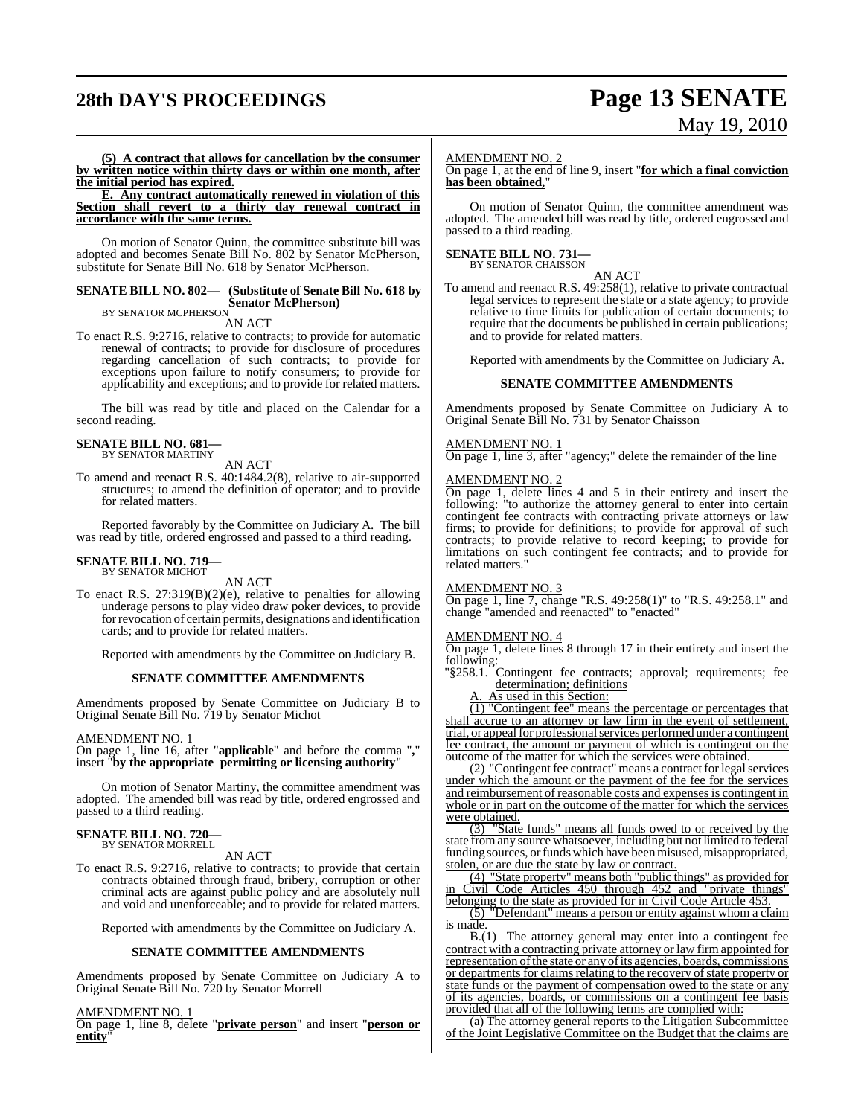# **28th DAY'S PROCEEDINGS Page 13 SENATE**

# May 19, 2010

**(5) A contract that allows for cancellation by the consumer by written notice within thirty days or within one month, after the initial period has expired.**

**E. Any contract automatically renewed in violation of this Section shall revert to a thirty day renewal contract in accordance with the same terms.**

On motion of Senator Quinn, the committee substitute bill was adopted and becomes Senate Bill No. 802 by Senator McPherson, substitute for Senate Bill No. 618 by Senator McPherson.

## **SENATE BILL NO. 802— (Substitute of Senate Bill No. 618 by Senator McPherson)** BY SENATOR MCPHERSON

AN ACT

To enact R.S. 9:2716, relative to contracts; to provide for automatic renewal of contracts; to provide for disclosure of procedures regarding cancellation of such contracts; to provide for exceptions upon failure to notify consumers; to provide for applicability and exceptions; and to provide for related matters.

The bill was read by title and placed on the Calendar for a second reading.

## **SENATE BILL NO. 681—** BY SENATOR MARTINY

AN ACT

To amend and reenact R.S. 40:1484.2(8), relative to air-supported structures; to amend the definition of operator; and to provide for related matters.

Reported favorably by the Committee on Judiciary A. The bill was read by title, ordered engrossed and passed to a third reading.

#### **SENATE BILL NO. 719—** BY SENATOR MICHOT

AN ACT

To enact R.S. 27:319(B)(2)(e), relative to penalties for allowing underage persons to play video draw poker devices, to provide for revocation of certain permits, designations and identification cards; and to provide for related matters.

Reported with amendments by the Committee on Judiciary B.

#### **SENATE COMMITTEE AMENDMENTS**

Amendments proposed by Senate Committee on Judiciary B to Original Senate Bill No. 719 by Senator Michot

#### AMENDMENT NO. 1

On page 1, line 16, after "**applicable**" and before the comma "**,**" insert "**by the appropriate permitting or licensing authority**"

On motion of Senator Martiny, the committee amendment was adopted. The amended bill was read by title, ordered engrossed and passed to a third reading.

# **SENATE BILL NO. 720—** BY SENATOR MORRELL

AN ACT

To enact R.S. 9:2716, relative to contracts; to provide that certain contracts obtained through fraud, bribery, corruption or other criminal acts are against public policy and are absolutely null and void and unenforceable; and to provide for related matters.

Reported with amendments by the Committee on Judiciary A.

#### **SENATE COMMITTEE AMENDMENTS**

Amendments proposed by Senate Committee on Judiciary A to Original Senate Bill No. 720 by Senator Morrell

AMENDMENT NO. 1

On page 1, line 8, delete "**private person**" and insert "**person or entity**"

#### AMENDMENT NO. 2

On page 1, at the end of line 9, insert "**for which a final conviction has been obtained,**"

On motion of Senator Quinn, the committee amendment was adopted. The amended bill was read by title, ordered engrossed and passed to a third reading.

# **SENATE BILL NO. 731—** BY SENATOR CHAISSON

AN ACT

To amend and reenact R.S. 49:258(1), relative to private contractual legal services to represent the state or a state agency; to provide relative to time limits for publication of certain documents; to require that the documents be published in certain publications; and to provide for related matters.

Reported with amendments by the Committee on Judiciary A.

#### **SENATE COMMITTEE AMENDMENTS**

Amendments proposed by Senate Committee on Judiciary A to Original Senate Bill No. 731 by Senator Chaisson

#### AMENDMENT NO. 1

On page 1, line 3, after "agency;" delete the remainder of the line

#### AMENDMENT NO. 2

On page 1, delete lines 4 and 5 in their entirety and insert the following: "to authorize the attorney general to enter into certain contingent fee contracts with contracting private attorneys or law firms; to provide for definitions; to provide for approval of such contracts; to provide relative to record keeping; to provide for limitations on such contingent fee contracts; and to provide for related matters."

#### AMENDMENT NO. 3

On page 1, line 7, change "R.S. 49:258(1)" to "R.S. 49:258.1" and change "amended and reenacted" to "enacted"

#### AMENDMENT NO. 4

On page 1, delete lines 8 through 17 in their entirety and insert the following:

"§258.1. Contingent fee contracts; approval; requirements; fee determination; definitions

As used in this Section:

(1) "Contingent fee" means the percentage or percentages that shall accrue to an attorney or law firm in the event of settlement, trial, or appeal for professional services performed under a contingent fee contract, the amount or payment of which is contingent on the outcome of the matter for which the services were obtained.

(2) "Contingent fee contract" means a contract for legal services under which the amount or the payment of the fee for the services and reimbursement of reasonable costs and expenses is contingent in whole or in part on the outcome of the matter for which the services were obtained.

(3) "State funds" means all funds owed to or received by the state fromany source whatsoever, including but not limited to federal funding sources, or funds which have been misused, misappropriated, stolen, or are due the state by law or contract.

(4) "State property" means both "public things" as provided for in Civil Code Articles 450 through 452 and "private things" belonging to the state as provided for in Civil Code Article 453.

(5) "Defendant" means a person or entity against whom a claim is made.<br> $B.(1)$ 

The attorney general may enter into a contingent fee contract with a contracting private attorney or law firm appointed for representation of the state or any of its agencies, boards, commissions or departments for claims relating to the recovery of state property or state funds or the payment of compensation owed to the state or any of its agencies, boards, or commissions on a contingent fee basis provided that all of the following terms are complied with:

(a) The attorney general reports to the Litigation Subcommittee of the Joint Legislative Committee on the Budget that the claims are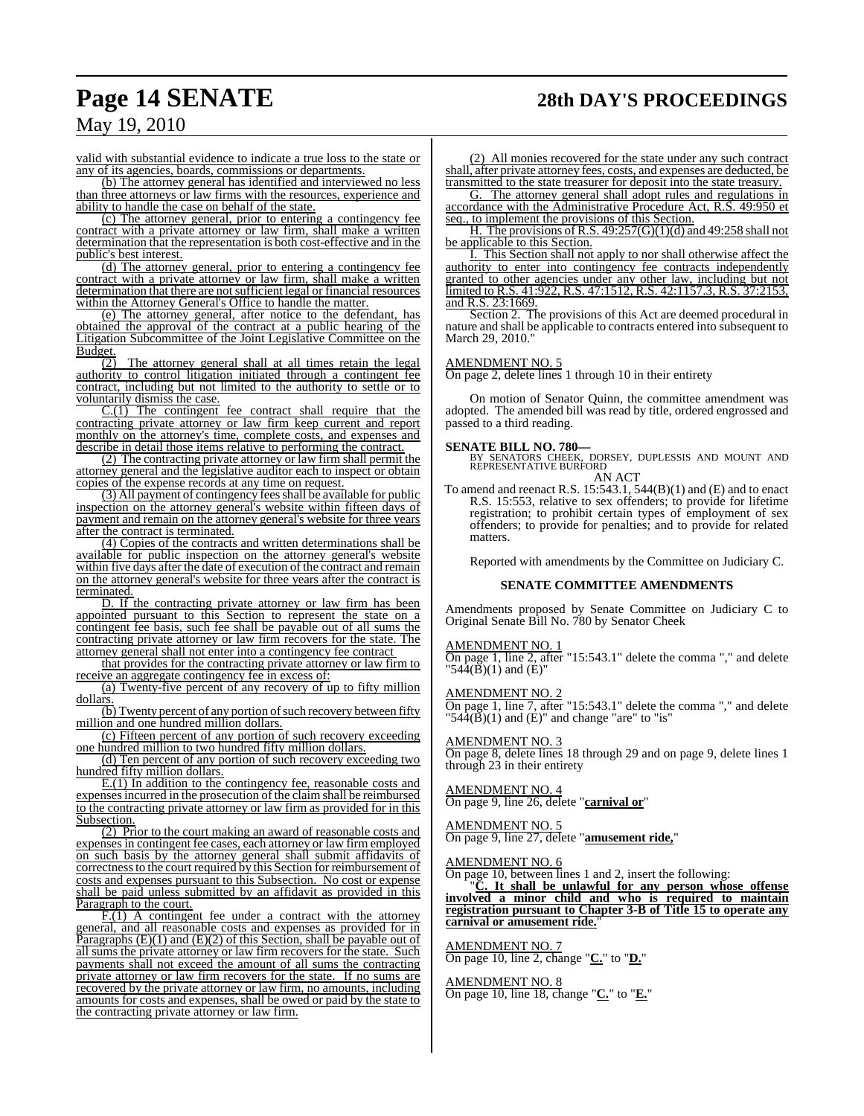# **Page 14 SENATE 28th DAY'S PROCEEDINGS**

## May 19, 2010

valid with substantial evidence to indicate a true loss to the state or any of its agencies, boards, commissions or departments.

(b) The attorney general has identified and interviewed no less than three attorneys or law firms with the resources, experience and ability to handle the case on behalf of the state.

(c) The attorney general, prior to entering a contingency fee contract with a private attorney or law firm, shall make a written determination that the representation is both cost-effective and in the public's best interest.

(d) The attorney general, prior to entering a contingency fee contract with a private attorney or law firm, shall make a written determination that there are not sufficient legal or financial resources within the Attorney General's Office to handle the matter.

(e) The attorney general, after notice to the defendant, has obtained the approval of the contract at a public hearing of the Litigation Subcommittee of the Joint Legislative Committee on the

 $\frac{\text{Budget.}}{(2)}$ The attorney general shall at all times retain the legal authority to control litigation initiated through a contingent fee contract, including but not limited to the authority to settle or to voluntarily dismiss the case.

C.(1) The contingent fee contract shall require that the contracting private attorney or law firm keep current and report monthly on the attorney's time, complete costs, and expenses and describe in detail those items relative to performing the contract.

(2) The contracting private attorney or law firm shall permit the attorney general and the legislative auditor each to inspect or obtain copies of the expense records at any time on request.

(3) All payment of contingency feesshall be available for public inspection on the attorney general's website within fifteen days of payment and remain on the attorney general's website for three years after the contract is terminated.

(4) Copies of the contracts and written determinations shall be available for public inspection on the attorney general's website within five days after the date of execution of the contract and remain on the attorney general's website for three years after the contract is terminated.

D. If the contracting private attorney or law firm has been appointed pursuant to this Section to represent the state on a contingent fee basis, such fee shall be payable out of all sums the contracting private attorney or law firm recovers for the state. The attorney general shall not enter into a contingency fee contract

that provides for the contracting private attorney or law firm to receive an aggregate contingency fee in excess of:

(a) Twenty-five percent of any recovery of up to fifty million dollars.

 $\overline{(b)}$  Twenty percent of any portion of such recovery between fifty million and one hundred million dollars.

(c) Fifteen percent of any portion of such recovery exceeding one hundred million to two hundred fifty million dollars.

(d) Ten percent of any portion of such recovery exceeding two hundred fifty million dollars.

E.(1) In addition to the contingency fee, reasonable costs and expensesincurred in the prosecution of the claim shall be reimbursed to the contracting private attorney or law firm as provided for in this Subsection.

(2) Prior to the court making an award of reasonable costs and expenses in contingent fee cases, each attorney or law firm employed on such basis by the attorney general shall submit affidavits of correctness to the court required by this Section for reimbursement of costs and expenses pursuant to this Subsection. No cost or expense shall be paid unless submitted by an affidavit as provided in this Paragraph to the court.

F.(1) A contingent fee under a contract with the attorney general, and all reasonable costs and expenses as provided for in Paragraphs  $(E)(1)$  and  $(E)(2)$  of this Section, shall be payable out of all sums the private attorney or law firm recovers for the state. Such payments shall not exceed the amount of all sums the contracting private attorney or law firm recovers for the state. If no sums are recovered by the private attorney or law firm, no amounts, including amounts for costs and expenses, shall be owed or paid by the state to the contracting private attorney or law firm.

(2) All monies recovered for the state under any such contract shall, after private attorney fees, costs, and expenses are deducted, be transmitted to the state treasurer for deposit into the state treasury.

G. The attorney general shall adopt rules and regulations in accordance with the Administrative Procedure Act, R.S. 49:950 et seq., to implement the provisions of this Section.

H. The provisions of R.S.  $49:257(G)(1)(d)$  and  $49:258$  shall not be applicable to this Section.

I. This Section shall not apply to nor shall otherwise affect the authority to enter into contingency fee contracts independently granted to other agencies under any other law, including but not limited to R.S. 41:922, R.S. 47:1512, R.S. 42:1157.3, R.S. 37:2153, and R.S. 23:1669.

Section 2. The provisions of this Act are deemed procedural in nature and shall be applicable to contracts entered into subsequent to March 29, 2010."

#### AMENDMENT NO. 5

On page 2, delete lines 1 through 10 in their entirety

On motion of Senator Quinn, the committee amendment was adopted. The amended bill was read by title, ordered engrossed and passed to a third reading.

#### **SENATE BILL NO. 780—**

BY SENATORS CHEEK, DORSEY, DUPLESSIS AND MOUNT AND REPRESENTATIVE BURFORD AN ACT

To amend and reenact R.S.  $15:543.1$ ,  $544(B)(1)$  and  $(E)$  and to enact R.S. 15:553, relative to sex offenders; to provide for lifetime registration; to prohibit certain types of employment of sex offenders; to provide for penalties; and to provide for related matters.

Reported with amendments by the Committee on Judiciary C.

#### **SENATE COMMITTEE AMENDMENTS**

Amendments proposed by Senate Committee on Judiciary C to Original Senate Bill No. 780 by Senator Cheek

#### AMENDMENT NO. 1

On page 1, line 2, after "15:543.1" delete the comma "," and delete  $1544(B)(1)$  and (E)"

AMENDMENT NO. 2

On page 1, line 7, after "15:543.1" delete the comma "," and delete " $54\overline{4}(\overline{B})(1)$  and  $(\overline{E})$ " and change "are" to "is"

#### AMENDMENT NO. 3

On page 8, delete lines 18 through 29 and on page 9, delete lines 1 through 23 in their entirety

#### AMENDMENT NO. 4

On page 9, line 26, delete "**carnival or**"

#### AMENDMENT NO. 5

On page 9, line 27, delete "**amusement ride,**"

#### AMENDMENT NO. 6

On page 10, between lines 1 and 2, insert the following:

"**C. It shall be unlawful for any person whose offense involved a minor child and who is required to maintain registration pursuant to Chapter 3-B of Title 15 to operate any carnival or amusement ride.**"

#### AMENDMENT NO. 7

On page 10, line 2, change "**C.**" to "**D.**"

AMENDMENT NO. 8 On page 10, line 18, change "**C.**" to "**E.**"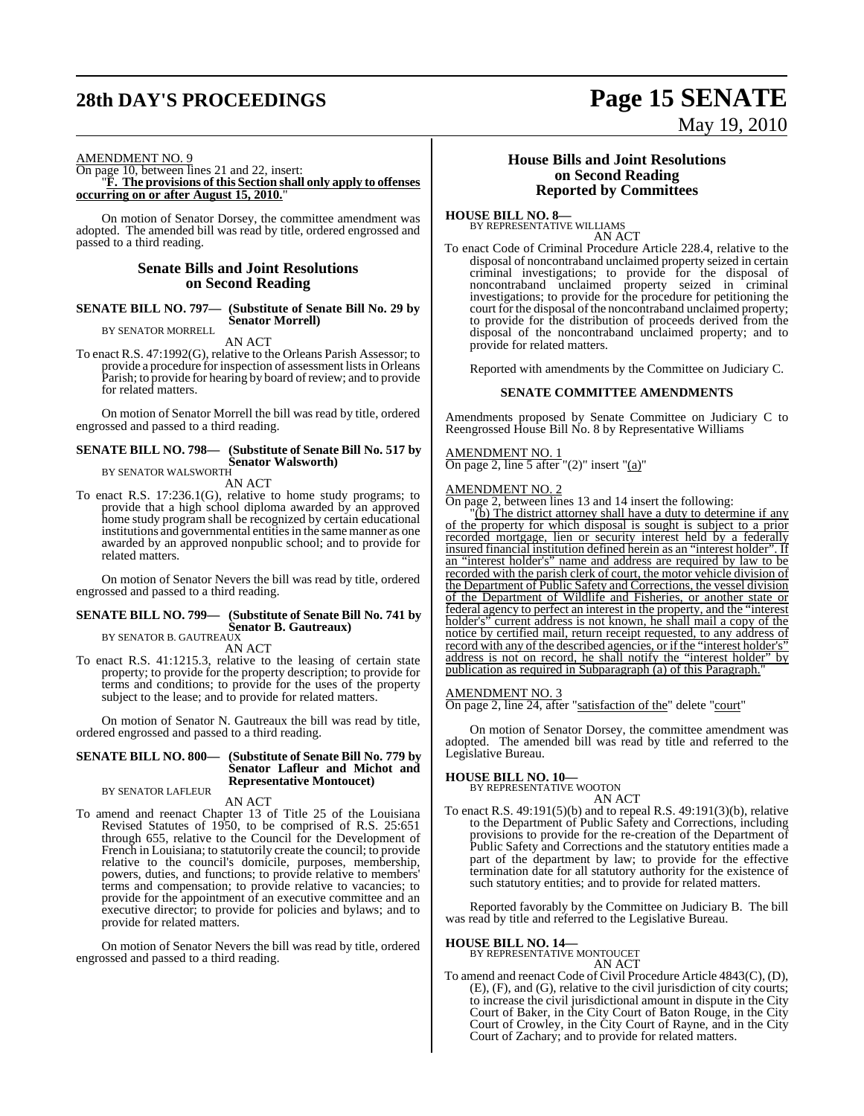# **28th DAY'S PROCEEDINGS Page 15 SENATE**

# May 19, 2010

#### AMENDMENT NO. 9

On page 10, between lines 21 and 22, insert: "**F. The provisions of this Section shall only apply to offenses occurring on or after August 15, 2010.**"

On motion of Senator Dorsey, the committee amendment was adopted. The amended bill was read by title, ordered engrossed and passed to a third reading.

#### **Senate Bills and Joint Resolutions on Second Reading**

**SENATE BILL NO. 797— (Substitute of Senate Bill No. 29 by Senator Morrell)** BY SENATOR MORRELL

AN ACT

To enact R.S. 47:1992(G), relative to the Orleans Parish Assessor; to provide a procedure for inspection of assessment lists in Orleans Parish; to provide for hearing by board of review; and to provide for related matters.

On motion of Senator Morrell the bill was read by title, ordered engrossed and passed to a third reading.

## **SENATE BILL NO. 798— (Substitute of Senate Bill No. 517 by Senator Walsworth)** BY SENATOR WALSWORTH

AN ACT

To enact R.S. 17:236.1(G), relative to home study programs; to provide that a high school diploma awarded by an approved home study program shall be recognized by certain educational institutions and governmental entities in the same manner as one awarded by an approved nonpublic school; and to provide for related matters.

On motion of Senator Nevers the bill was read by title, ordered engrossed and passed to a third reading.

## **SENATE BILL NO. 799— (Substitute of Senate Bill No. 741 by Senator B. Gautreaux)** BY SENATOR B. GAUTREAUX

AN ACT

To enact R.S. 41:1215.3, relative to the leasing of certain state property; to provide for the property description; to provide for terms and conditions; to provide for the uses of the property subject to the lease; and to provide for related matters.

On motion of Senator N. Gautreaux the bill was read by title, ordered engrossed and passed to a third reading.

#### **SENATE BILL NO. 800— (Substitute of Senate Bill No. 779 by Senator Lafleur and Michot and Representative Montoucet)**

BY SENATOR LAFLEUR AN ACT

To amend and reenact Chapter 13 of Title 25 of the Louisiana Revised Statutes of 1950, to be comprised of R.S. 25:651 through 655, relative to the Council for the Development of French in Louisiana; to statutorily create the council; to provide relative to the council's domicile, purposes, membership, powers, duties, and functions; to provide relative to members' terms and compensation; to provide relative to vacancies; to provide for the appointment of an executive committee and an executive director; to provide for policies and bylaws; and to provide for related matters.

On motion of Senator Nevers the bill was read by title, ordered engrossed and passed to a third reading.

#### **House Bills and Joint Resolutions on Second Reading Reported by Committees**

**HOUSE BILL NO. 8—** BY REPRESENTATIVE WILLIAMS

AN ACT

To enact Code of Criminal Procedure Article 228.4, relative to the disposal of noncontraband unclaimed property seized in certain criminal investigations; to provide for the disposal of noncontraband unclaimed property seized in criminal investigations; to provide for the procedure for petitioning the court for the disposal of the noncontraband unclaimed property; to provide for the distribution of proceeds derived from the disposal of the noncontraband unclaimed property; and to provide for related matters.

Reported with amendments by the Committee on Judiciary C.

#### **SENATE COMMITTEE AMENDMENTS**

Amendments proposed by Senate Committee on Judiciary C to Reengrossed House Bill No. 8 by Representative Williams

#### AMENDMENT NO. 1

On page 2, line 5 after " $(2)$ " insert " $(a)$ "

#### AMENDMENT NO. 2

On page 2, between lines 13 and 14 insert the following:

 $\tilde{f}(b)$  The district attorney shall have a duty to determine if any of the property for which disposal is sought is subject to a prior recorded mortgage, lien or security interest held by a federally insured financial institution defined herein as an "interest holder". If an "interest holder's" name and address are required by law to be recorded with the parish clerk of court, the motor vehicle division of the Department of Public Safety and Corrections, the vessel division of the Department of Wildlife and Fisheries, or another state or federal agency to perfect an interest in the property, and the "interest holder's" current address is not known, he shall mail a copy of the notice by certified mail, return receipt requested, to any address of record with any of the described agencies, or if the "interest holder's address is not on record, he shall notify the "interest holder" by publication as required in Subparagraph (a) of this Paragraph."

#### AMENDMENT NO. 3

On page 2, line 24, after "satisfaction of the" delete "court"

On motion of Senator Dorsey, the committee amendment was adopted. The amended bill was read by title and referred to the Legislative Bureau.

### **HOUSE BILL NO. 10—**

BY REPRESENTATIVE WOOTON AN ACT

To enact R.S. 49:191(5)(b) and to repeal R.S. 49:191(3)(b), relative to the Department of Public Safety and Corrections, including provisions to provide for the re-creation of the Department of Public Safety and Corrections and the statutory entities made a part of the department by law; to provide for the effective termination date for all statutory authority for the existence of such statutory entities; and to provide for related matters.

Reported favorably by the Committee on Judiciary B. The bill was read by title and referred to the Legislative Bureau.

## **HOUSE BILL NO. 14—**

BY REPRESENTATIVE MONTOUCET AN ACT

To amend and reenact Code of Civil Procedure Article 4843(C), (D), (E), (F), and (G), relative to the civil jurisdiction of city courts; to increase the civil jurisdictional amount in dispute in the City Court of Baker, in the City Court of Baton Rouge, in the City Court of Crowley, in the City Court of Rayne, and in the City Court of Zachary; and to provide for related matters.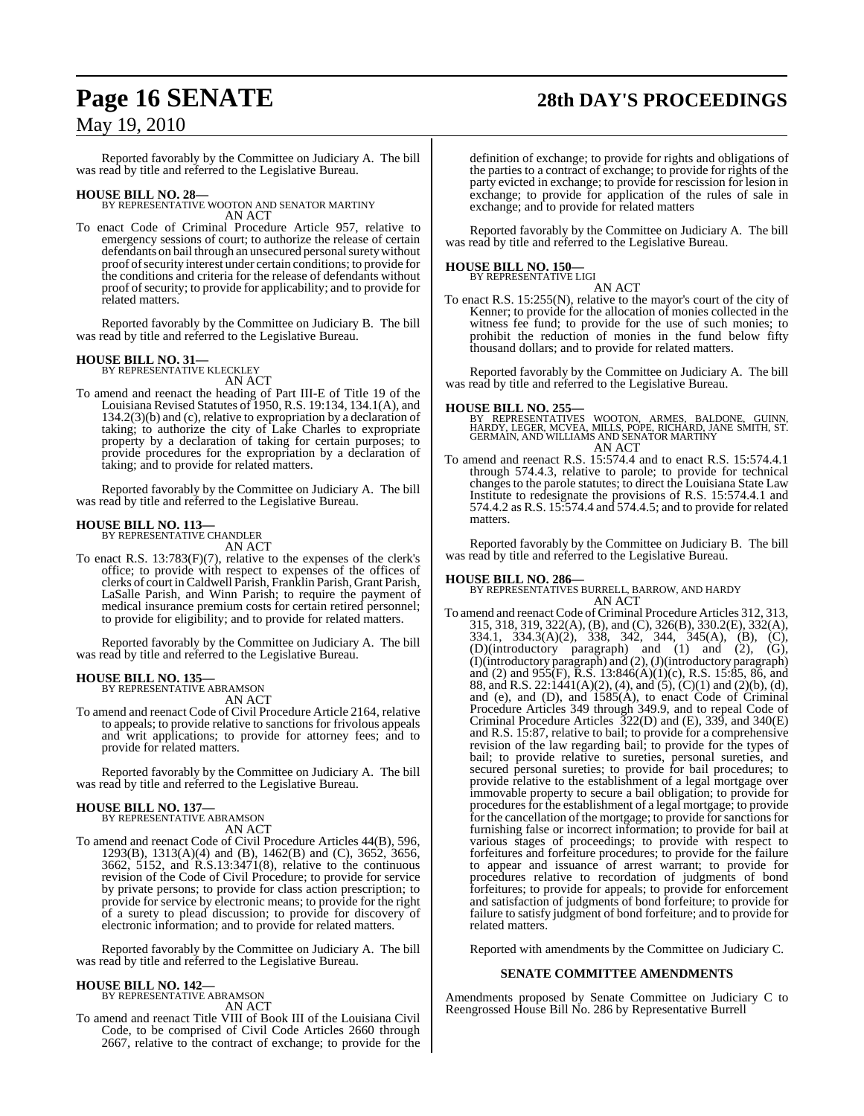# **Page 16 SENATE 28th DAY'S PROCEEDINGS**

## May 19, 2010

Reported favorably by the Committee on Judiciary A. The bill was read by title and referred to the Legislative Bureau.

**HOUSE BILL NO. 28—** BY REPRESENTATIVE WOOTON AND SENATOR MARTINY AN ACT

To enact Code of Criminal Procedure Article 957, relative to emergency sessions of court; to authorize the release of certain defendants on bail through an unsecured personal surety without proof of security interest under certain conditions; to provide for the conditions and criteria for the release of defendants without proof of security; to provide for applicability; and to provide for related matters.

Reported favorably by the Committee on Judiciary B. The bill was read by title and referred to the Legislative Bureau.

#### **HOUSE BILL NO. 31—** BY REPRESENTATIVE KLECKLEY

AN ACT

To amend and reenact the heading of Part III-E of Title 19 of the Louisiana Revised Statutes of 1950, R.S. 19:134, 134.1(A), and 134.2(3)(b) and (c), relative to expropriation by a declaration of taking; to authorize the city of Lake Charles to expropriate property by a declaration of taking for certain purposes; to provide procedures for the expropriation by a declaration of taking; and to provide for related matters.

Reported favorably by the Committee on Judiciary A. The bill was read by title and referred to the Legislative Bureau.

## **HOUSE BILL NO. 113—** BY REPRESENTATIVE CHANDLER

AN ACT

To enact R.S. 13:783(F)(7), relative to the expenses of the clerk's office; to provide with respect to expenses of the offices of clerks of court inCaldwell Parish, Franklin Parish, Grant Parish, LaSalle Parish, and Winn Parish; to require the payment of medical insurance premium costs for certain retired personnel; to provide for eligibility; and to provide for related matters.

Reported favorably by the Committee on Judiciary A. The bill was read by title and referred to the Legislative Bureau.

## **HOUSE BILL NO. 135—** BY REPRESENTATIVE ABRAMSON

AN ACT

To amend and reenact Code of Civil Procedure Article 2164, relative to appeals; to provide relative to sanctions for frivolous appeals and writ applications; to provide for attorney fees; and to provide for related matters.

Reported favorably by the Committee on Judiciary A. The bill was read by title and referred to the Legislative Bureau.

## **HOUSE BILL NO. 137—** BY REPRESENTATIVE ABRAMSON

AN ACT

To amend and reenact Code of Civil Procedure Articles 44(B), 596, 1293(B), 1313(A)(4) and (B), 1462(B) and (C), 3652, 3656, 3662, 5152, and R.S.13:3471(8), relative to the continuous revision of the Code of Civil Procedure; to provide for service by private persons; to provide for class action prescription; to provide for service by electronic means; to provide for the right of a surety to plead discussion; to provide for discovery of electronic information; and to provide for related matters.

Reported favorably by the Committee on Judiciary A. The bill was read by title and referred to the Legislative Bureau.

#### **HOUSE BILL NO. 142—**

BY REPRESENTATIVE ABRAMSON

AN ACT To amend and reenact Title VIII of Book III of the Louisiana Civil Code, to be comprised of Civil Code Articles 2660 through 2667, relative to the contract of exchange; to provide for the

definition of exchange; to provide for rights and obligations of the parties to a contract of exchange; to provide for rights of the party evicted in exchange; to provide for rescission for lesion in exchange; to provide for application of the rules of sale in exchange; and to provide for related matters

Reported favorably by the Committee on Judiciary A. The bill was read by title and referred to the Legislative Bureau.

#### **HOUSE BILL NO. 150—** BY REPRESENTATIVE LIGI

AN ACT

To enact R.S. 15:255(N), relative to the mayor's court of the city of Kenner; to provide for the allocation of monies collected in the witness fee fund; to provide for the use of such monies; to prohibit the reduction of monies in the fund below fifty thousand dollars; and to provide for related matters.

Reported favorably by the Committee on Judiciary A. The bill was read by title and referred to the Legislative Bureau.

#### **HOUSE BILL NO. 255—**

BY REPRESENTATIVES WOOTON, ARMES, BALDONE, GUINN,<br>HARDY, LEGER, MCVEA, MILLS, POPE, RICHARD, JANE SMITH, ST.<br>GERMAIN, AND WILLIAMS AND SENATOR MARTINY AN ACT

To amend and reenact R.S. 15:574.4 and to enact R.S. 15:574.4.1 through 574.4.3, relative to parole; to provide for technical changes to the parole statutes; to direct the Louisiana State Law Institute to redesignate the provisions of R.S. 15:574.4.1 and 574.4.2 as R.S. 15:574.4 and 574.4.5; and to provide for related matters.

Reported favorably by the Committee on Judiciary B. The bill was read by title and referred to the Legislative Bureau.

**HOUSE BILL NO. 286—** BY REPRESENTATIVES BURRELL, BARROW, AND HARDY AN ACT

To amend and reenact Code of Criminal Procedure Articles 312, 313, 315, 318, 319, 322(A), (B), and (C), 326(B), 330.2(E), 332(A), 334.1, 334.3(A)(2), 338, 342, 344, 345(A), (B), (C), (D)(introductory paragraph) and (1) and (2), (G), (I)(introductory paragraph) and (2), (J)(introductory paragraph) and (2) and 955(F), R.S. 13:846(A)(1)(c), R.S. 15:85, 86, and 88, and R.S. 22:1441(A)(2), (4), and (5), (C)(1) and (2)(b), (d), and (e), and (D), and 1585(A), to enact Code of Criminal Procedure Articles 349 through 349.9, and to repeal Code of Criminal Procedure Articles 322(D) and (E), 339, and 340(E) and R.S. 15:87, relative to bail; to provide for a comprehensive revision of the law regarding bail; to provide for the types of bail; to provide relative to sureties, personal sureties, and secured personal sureties; to provide for bail procedures; to provide relative to the establishment of a legal mortgage over immovable property to secure a bail obligation; to provide for procedures for the establishment of a legal mortgage; to provide for the cancellation of the mortgage; to provide for sanctions for furnishing false or incorrect information; to provide for bail at various stages of proceedings; to provide with respect to forfeitures and forfeiture procedures; to provide for the failure to appear and issuance of arrest warrant; to provide for procedures relative to recordation of judgments of bond forfeitures; to provide for appeals; to provide for enforcement and satisfaction of judgments of bond forfeiture; to provide for failure to satisfy judgment of bond forfeiture; and to provide for related matters.

Reported with amendments by the Committee on Judiciary C.

#### **SENATE COMMITTEE AMENDMENTS**

Amendments proposed by Senate Committee on Judiciary C to Reengrossed House Bill No. 286 by Representative Burrell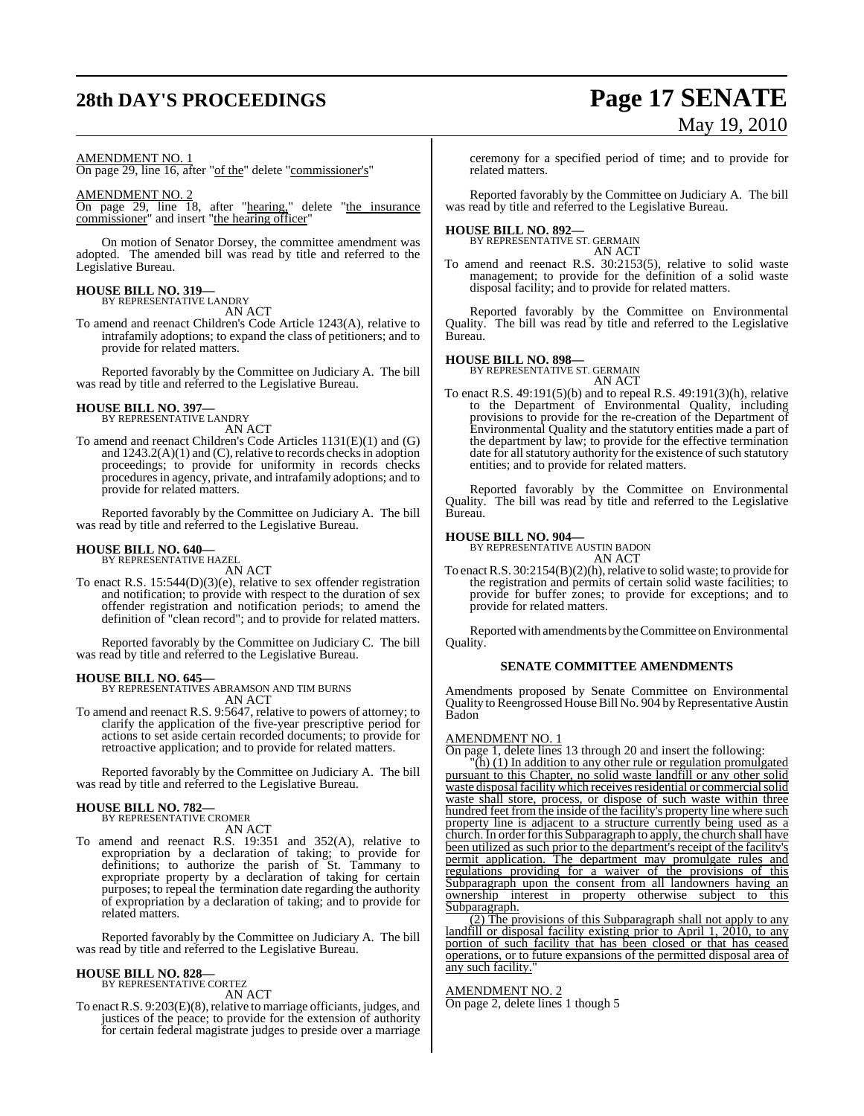# **28th DAY'S PROCEEDINGS Page 17 SENATE**

# May 19, 2010

#### AMENDMENT NO. 1

On page 29, line 16, after "of the" delete "commissioner's"

#### AMENDMENT NO. 2

On page 29, line 18, after "hearing," delete "the insurance commissioner" and insert "the hearing officer"

On motion of Senator Dorsey, the committee amendment was adopted. The amended bill was read by title and referred to the Legislative Bureau.

## **HOUSE BILL NO. 319—** BY REPRESENTATIVE LANDRY

AN ACT

To amend and reenact Children's Code Article 1243(A), relative to intrafamily adoptions; to expand the class of petitioners; and to provide for related matters.

Reported favorably by the Committee on Judiciary A. The bill was read by title and referred to the Legislative Bureau.

## **HOUSE BILL NO. 397—** BY REPRESENTATIVE LANDRY

AN ACT

To amend and reenact Children's Code Articles 1131(E)(1) and (G) and  $1243.2(A)(1)$  and  $(C)$ , relative to records checks in adoption proceedings; to provide for uniformity in records checks proceduresin agency, private, and intrafamily adoptions; and to provide for related matters.

Reported favorably by the Committee on Judiciary A. The bill was read by title and referred to the Legislative Bureau.

## **HOUSE BILL NO. 640—** BY REPRESENTATIVE HAZEL

AN ACT

To enact R.S. 15:544(D)(3)(e), relative to sex offender registration and notification; to provide with respect to the duration of sex offender registration and notification periods; to amend the definition of "clean record"; and to provide for related matters.

Reported favorably by the Committee on Judiciary C. The bill was read by title and referred to the Legislative Bureau.

**HOUSE BILL NO. 645—** BY REPRESENTATIVES ABRAMSON AND TIM BURNS AN ACT

To amend and reenact R.S. 9:5647, relative to powers of attorney; to clarify the application of the five-year prescriptive period for actions to set aside certain recorded documents; to provide for retroactive application; and to provide for related matters.

Reported favorably by the Committee on Judiciary A. The bill was read by title and referred to the Legislative Bureau.

#### **HOUSE BILL NO. 782—** BY REPRESENTATIVE CROMER

AN ACT

To amend and reenact R.S. 19:351 and 352(A), relative to expropriation by a declaration of taking; to provide for definitions; to authorize the parish of St. Tammany to expropriate property by a declaration of taking for certain purposes; to repeal the termination date regarding the authority of expropriation by a declaration of taking; and to provide for related matters.

Reported favorably by the Committee on Judiciary A. The bill was read by title and referred to the Legislative Bureau.

## **HOUSE BILL NO. 828—** BY REPRESENTATIVE CORTEZ

AN ACT

To enact R.S. 9:203(E)(8), relative to marriage officiants, judges, and justices of the peace; to provide for the extension of authority for certain federal magistrate judges to preside over a marriage

ceremony for a specified period of time; and to provide for related matters.

Reported favorably by the Committee on Judiciary A. The bill was read by title and referred to the Legislative Bureau.

#### **HOUSE BILL NO. 892—**

BY REPRESENTATIVE ST. GERMAIN AN ACT

To amend and reenact R.S. 30:2153(5), relative to solid waste management; to provide for the definition of a solid waste disposal facility; and to provide for related matters.

Reported favorably by the Committee on Environmental Quality. The bill was read by title and referred to the Legislative Bureau.

#### **HOUSE BILL NO. 898—**

BY REPRESENTATIVE ST. GERMAIN AN ACT

To enact R.S. 49:191(5)(b) and to repeal R.S. 49:191(3)(h), relative to the Department of Environmental Quality, including provisions to provide for the re-creation of the Department of Environmental Quality and the statutory entities made a part of the department by law; to provide for the effective termination date for all statutory authority for the existence of such statutory entities; and to provide for related matters.

Reported favorably by the Committee on Environmental Quality. The bill was read by title and referred to the Legislative Bureau.

## **HOUSE BILL NO. 904—** BY REPRESENTATIVE AUSTIN BADON

AN ACT

To enact R.S. 30:2154(B)(2)(h), relative to solid waste; to provide for the registration and permits of certain solid waste facilities; to provide for buffer zones; to provide for exceptions; and to provide for related matters.

Reported with amendments by theCommittee on Environmental Quality.

#### **SENATE COMMITTEE AMENDMENTS**

Amendments proposed by Senate Committee on Environmental Quality to Reengrossed House Bill No. 904 by Representative Austin Badon

#### AMENDMENT NO. 1

On page 1, delete lines 13 through 20 and insert the following:

"(h) (1) In addition to any other rule or regulation promulgated pursuant to this Chapter, no solid waste landfill or any other solid waste disposal facility which receives residential or commercial solid waste shall store, process, or dispose of such waste within three hundred feet from the inside of the facility's property line where such property line is adjacent to a structure currently being used as a church. In order for this Subparagraph to apply, the church shall have been utilized as such prior to the department's receipt of the facility's permit application. The department may promulgate rules and regulations providing for a waiver of the provisions of this Subparagraph upon the consent from all landowners having an ownership interest in property otherwise subject to this Subparagraph.

(2) The provisions of this Subparagraph shall not apply to any landfill or disposal facility existing prior to April 1, 2010, to any portion of such facility that has been closed or that has ceased operations, or to future expansions of the permitted disposal area of any such facility.

#### AMENDMENT NO. 2

On page 2, delete lines 1 though 5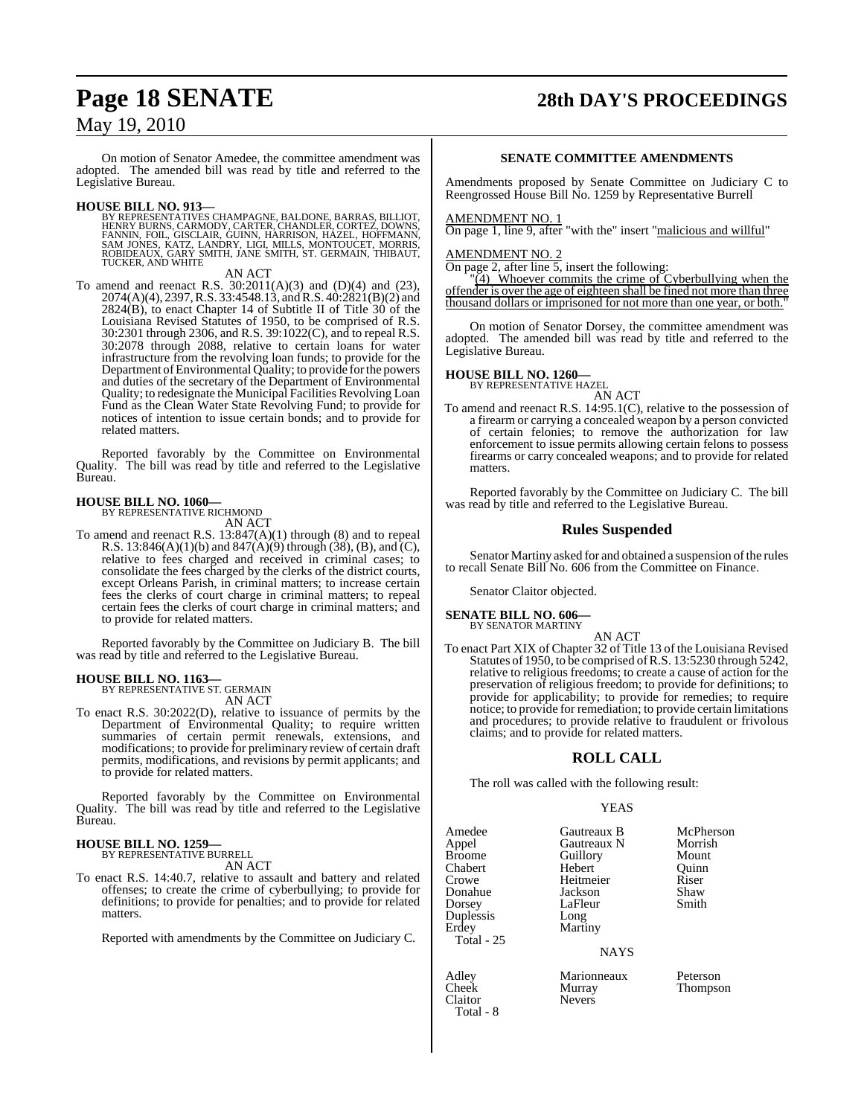On motion of Senator Amedee, the committee amendment was adopted. The amended bill was read by title and referred to the Legislative Bureau.

**HOUSE BILL NO. 913—** BY REPRESENTATIVES CHAMPAGNE, BALDONE, BARRAS, BILLIOT, HENRY BURNS, CARMODY, CARTER, CHANDLER, CORTEZ, DOWNS,<br>FANNIN, FOIL, GISCLAIR, GUINN, HARRISON, HAZEL, HOFFMANN,<br>SAM JONES, KATZ, LANDRY, LIGI, MILLS, MONTOUCET, MORRIS,<br>ROBIDEAUX, GARY SMITH, JANE SMITH, ST. GERMAIN, THIB TUCKER, AND WHITE

#### AN ACT

To amend and reenact R.S.  $30:2011(A)(3)$  and  $(D)(4)$  and  $(23)$ , 2074(A)(4), 2397, R.S. 33:4548.13, and R.S. 40:2821(B)(2) and 2824(B), to enact Chapter 14 of Subtitle II of Title 30 of the Louisiana Revised Statutes of 1950, to be comprised of R.S. 30:2301 through 2306, and R.S. 39:1022(C), and to repeal R.S. 30:2078 through 2088, relative to certain loans for water infrastructure from the revolving loan funds; to provide for the Department of Environmental Quality; to provide for the powers and duties of the secretary of the Department of Environmental Quality; to redesignate the Municipal Facilities Revolving Loan Fund as the Clean Water State Revolving Fund; to provide for notices of intention to issue certain bonds; and to provide for related matters.

Reported favorably by the Committee on Environmental Quality. The bill was read by title and referred to the Legislative Bureau.

#### **HOUSE BILL NO. 1060—** BY REPRESENTATIVE RICHMOND

AN ACT

To amend and reenact R.S. 13:847(A)(1) through (8) and to repeal R.S. 13:846(A)(1)(b) and  $847(A)(9)$  through (38), (B), and (C), relative to fees charged and received in criminal cases; to consolidate the fees charged by the clerks of the district courts, except Orleans Parish, in criminal matters; to increase certain fees the clerks of court charge in criminal matters; to repeal certain fees the clerks of court charge in criminal matters; and to provide for related matters.

Reported favorably by the Committee on Judiciary B. The bill was read by title and referred to the Legislative Bureau.

## **HOUSE BILL NO. 1163—** BY REPRESENTATIVE ST. GERMAIN

AN ACT

To enact R.S. 30:2022(D), relative to issuance of permits by the Department of Environmental Quality; to require written summaries of certain permit renewals, extensions, and modifications; to provide for preliminary review of certain draft permits, modifications, and revisions by permit applicants; and to provide for related matters.

Reported favorably by the Committee on Environmental Quality. The bill was read by title and referred to the Legislative Bureau.

#### **HOUSE BILL NO. 1259—**

BY REPRESENTATIVE BURRELL AN ACT

To enact R.S. 14:40.7, relative to assault and battery and related offenses; to create the crime of cyberbullying; to provide for definitions; to provide for penalties; and to provide for related matters.

Reported with amendments by the Committee on Judiciary C.

## **Page 18 SENATE 28th DAY'S PROCEEDINGS**

#### **SENATE COMMITTEE AMENDMENTS**

Amendments proposed by Senate Committee on Judiciary C to Reengrossed House Bill No. 1259 by Representative Burrell

#### AMENDMENT NO. 1

On page 1, line 9, after "with the" insert "malicious and willful"

#### AMENDMENT NO. 2

On page 2, after line 5, insert the following:

"(4) Whoever commits the crime of Cyberbullying when the offender is over the age of eighteen shall be fined not more than three thousand dollars or imprisoned for not more than one year, or both."

On motion of Senator Dorsey, the committee amendment was adopted. The amended bill was read by title and referred to the Legislative Bureau.

**HOUSE BILL NO. 1260—** BY REPRESENTATIVE HAZEL

AN ACT

To amend and reenact R.S. 14:95.1(C), relative to the possession of a firearm or carrying a concealed weapon by a person convicted of certain felonies; to remove the authorization for law enforcement to issue permits allowing certain felons to possess firearms or carry concealed weapons; and to provide for related matters.

Reported favorably by the Committee on Judiciary C. The bill was read by title and referred to the Legislative Bureau.

#### **Rules Suspended**

Senator Martiny asked for and obtained a suspension of the rules to recall Senate Bill No. 606 from the Committee on Finance.

Senator Claitor objected.

## **SENATE BILL NO. 606—** BY SENATOR MARTINY

To enact Part XIX of Chapter 32 of Title 13 of the Louisiana Revised Statutes of 1950, to be comprised ofR.S. 13:5230 through 5242, relative to religious freedoms; to create a cause of action for the preservation of religious freedom; to provide for definitions; to provide for applicability; to provide for remedies; to require notice; to provide for remediation; to provide certain limitations and procedures; to provide relative to fraudulent or frivolous claims; and to provide for related matters.

AN ACT

#### **ROLL CALL**

The roll was called with the following result:

#### YEAS

Amedee Gautreaux B McPherson<br>
Appel Gautreaux N Morrish Appel Gautreaux N Morrish  $Chahert$ Crowe Heitmeier Riser Donahue Jackson Shaw LaFleur Duplessis Long Martiny Total - 25

Claitor Total - 8 Guillory Mount<br>
Hebert Ouinn

**NAYS** 

Adley Marionneaux Peterson Murray Thompson<br>Nevers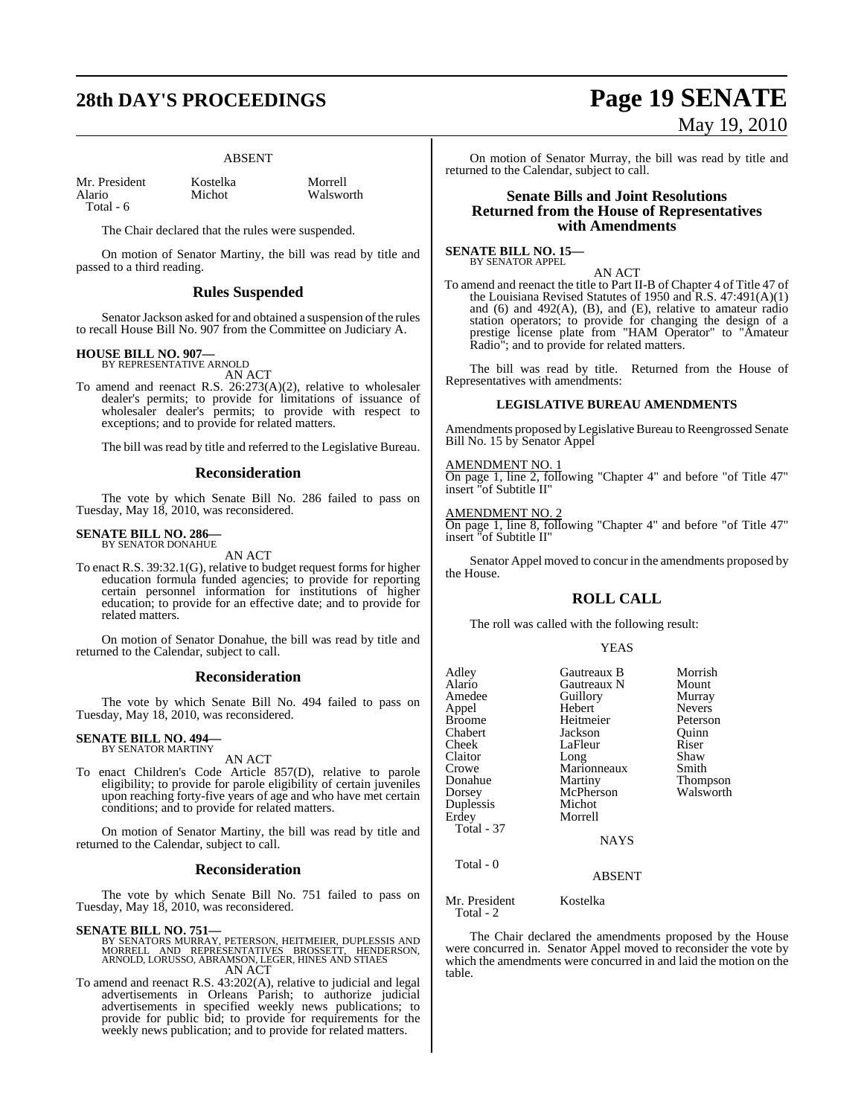# **28th DAY'S PROCEEDINGS Page 19 SENATE**

#### ABSENT

| Mr. President |  |
|---------------|--|
| Alario        |  |
| Total - 6     |  |

Kostelka Morrell<br>Michot Walswo

Walsworth

The Chair declared that the rules were suspended.

On motion of Senator Martiny, the bill was read by title and passed to a third reading.

#### **Rules Suspended**

Senator Jackson asked for and obtained a suspension of the rules to recall House Bill No. 907 from the Committee on Judiciary A.

#### **HOUSE BILL NO. 907—**

BY REPRESENTATIVE ARNOLD AN ACT

To amend and reenact R.S. 26:273(A)(2), relative to wholesaler dealer's permits; to provide for limitations of issuance of wholesaler dealer's permits; to provide with respect to exceptions; and to provide for related matters.

The bill was read by title and referred to the Legislative Bureau.

#### **Reconsideration**

The vote by which Senate Bill No. 286 failed to pass on Tuesday, May 18, 2010, was reconsidered.

#### **SENATE BILL NO. 286—** BY SENATOR DONAHUE

AN ACT

To enact R.S. 39:32.1(G), relative to budget request forms for higher education formula funded agencies; to provide for reporting certain personnel information for institutions of higher education; to provide for an effective date; and to provide for related matters.

On motion of Senator Donahue, the bill was read by title and returned to the Calendar, subject to call.

#### **Reconsideration**

The vote by which Senate Bill No. 494 failed to pass on Tuesday, May 18, 2010, was reconsidered.

## **SENATE BILL NO. 494—** BY SENATOR MARTINY

AN ACT

To enact Children's Code Article 857(D), relative to parole eligibility; to provide for parole eligibility of certain juveniles upon reaching forty-five years of age and who have met certain conditions; and to provide for related matters.

On motion of Senator Martiny, the bill was read by title and returned to the Calendar, subject to call.

#### **Reconsideration**

The vote by which Senate Bill No. 751 failed to pass on Tuesday, May 18, 2010, was reconsidered.

**SENATE BILL NO. 751—**<br>BY SENATORS MURRAY, PETERSON, HEITMEIER, DUPLESSIS AND<br>MORRELL AND REPRESENTATIVES BROSSETT, HENDERSON,<br>ARNOLD, LORUSSO, ABRAMSON, LEGER, HINES AND STIAES AN ACT

To amend and reenact R.S. 43:202(A), relative to judicial and legal advertisements in Orleans Parish; to authorize judicial advertisements in specified weekly news publications; to provide for public bid; to provide for requirements for the weekly news publication; and to provide for related matters.

# May 19, 2010

On motion of Senator Murray, the bill was read by title and returned to the Calendar, subject to call.

#### **Senate Bills and Joint Resolutions Returned from the House of Representatives with Amendments**

**SENATE BILL NO. 15—** BY SENATOR APPEL

AN ACT To amend and reenact the title to Part II-B of Chapter 4 of Title 47 of the Louisiana Revised Statutes of 1950 and R.S. 47:491(A)(1) and (6) and 492(A), (B), and (E), relative to amateur radio station operators; to provide for changing the design of a prestige license plate from "HAM Operator" to "Amateur Radio"; and to provide for related matters.

The bill was read by title. Returned from the House of Representatives with amendments:

#### **LEGISLATIVE BUREAU AMENDMENTS**

Amendments proposed by Legislative Bureau to Reengrossed Senate Bill No. 15 by Senator Appel

AMENDMENT NO. 1

On page 1, line 2, following "Chapter 4" and before "of Title 47" insert "of Subtitle II"

AMENDMENT NO.

On page 1, line 8, following "Chapter 4" and before "of Title 47" insert "of Subtitle II"

Senator Appel moved to concur in the amendments proposed by the House.

## **ROLL CALL**

The roll was called with the following result:

YEAS

| Adley         | Gautreaux B   | Morrish       |
|---------------|---------------|---------------|
| Alario        | Gautreaux N   | Mount         |
| Amedee        | Guillory      | Murray        |
| Appel         | Hebert        | <b>Nevers</b> |
| Broome        | Heitmeier     | Peterson      |
| Chabert       | Jackson       | Ouinn         |
| Cheek         | LaFleur       | Riser         |
| Claitor       | Long          | Shaw          |
| Crowe         | Marionneaux   | Smith         |
| Donahue       | Martiny       | Thompson      |
| Dorsey        | McPherson     | Walsworth     |
| Duplessis     | Michot        |               |
| Erdey         | Morrell       |               |
| Total - 37    |               |               |
|               | <b>NAYS</b>   |               |
| Total $-0$    |               |               |
|               | <b>ABSENT</b> |               |
| Mr. President | Kostelka      |               |
|               |               |               |

Total - 2

The Chair declared the amendments proposed by the House were concurred in. Senator Appel moved to reconsider the vote by which the amendments were concurred in and laid the motion on the table.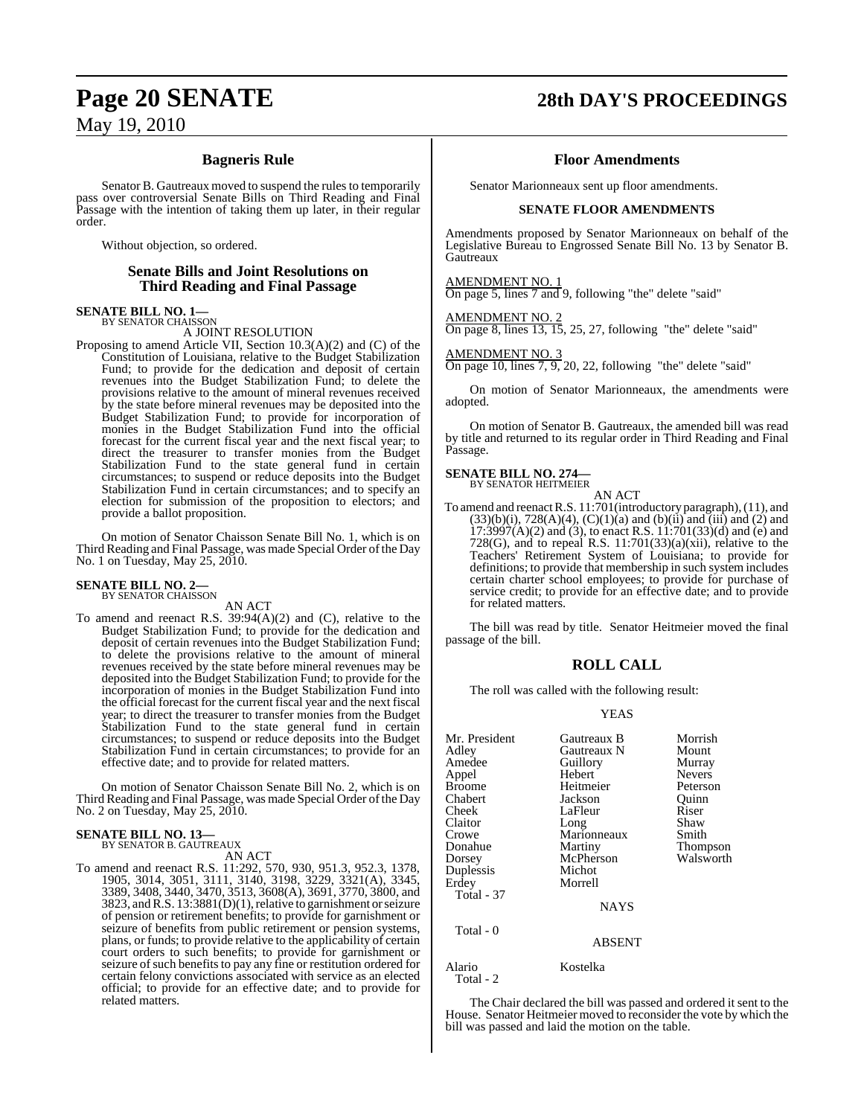### **Bagneris Rule**

Senator B. Gautreaux moved to suspend the rules to temporarily pass over controversial Senate Bills on Third Reading and Final Passage with the intention of taking them up later, in their regular order.

Without objection, so ordered.

#### **Senate Bills and Joint Resolutions on Third Reading and Final Passage**

## **SENATE BILL NO. 1—**<br>BY SENATOR CHAISSON

A JOINT RESOLUTION

Proposing to amend Article VII, Section 10.3(A)(2) and (C) of the Constitution of Louisiana, relative to the Budget Stabilization Fund; to provide for the dedication and deposit of certain revenues into the Budget Stabilization Fund; to delete the provisions relative to the amount of mineral revenues received by the state before mineral revenues may be deposited into the Budget Stabilization Fund; to provide for incorporation of monies in the Budget Stabilization Fund into the official forecast for the current fiscal year and the next fiscal year; to direct the treasurer to transfer monies from the Budget Stabilization Fund to the state general fund in certain circumstances; to suspend or reduce deposits into the Budget Stabilization Fund in certain circumstances; and to specify an election for submission of the proposition to electors; and provide a ballot proposition.

On motion of Senator Chaisson Senate Bill No. 1, which is on Third Reading and Final Passage, was made Special Order of the Day No. 1 on Tuesday, May 25, 2010.

## **SENATE BILL NO. 2—** BY SENATOR CHAISSON

AN ACT

To amend and reenact R.S. 39:94(A)(2) and (C), relative to the Budget Stabilization Fund; to provide for the dedication and deposit of certain revenues into the Budget Stabilization Fund; to delete the provisions relative to the amount of mineral revenues received by the state before mineral revenues may be deposited into the Budget Stabilization Fund; to provide for the incorporation of monies in the Budget Stabilization Fund into the official forecast for the current fiscal year and the next fiscal year; to direct the treasurer to transfer monies from the Budget Stabilization Fund to the state general fund in certain circumstances; to suspend or reduce deposits into the Budget Stabilization Fund in certain circumstances; to provide for an effective date; and to provide for related matters.

On motion of Senator Chaisson Senate Bill No. 2, which is on Third Reading and Final Passage, was made Special Order of the Day No. 2 on Tuesday, May 25, 2010.

# **SENATE BILL NO. 13—** BY SENATOR B. GAUTREAUX

AN ACT

To amend and reenact R.S. 11:292, 570, 930, 951.3, 952.3, 1378, 1905, 3014, 3051, 3111, 3140, 3198, 3229, 3321(A), 3345, 3389, 3408, 3440, 3470, 3513, 3608(A), 3691, 3770, 3800, and 3823, andR.S. 13:3881(D)(1), relative to garnishment or seizure of pension or retirement benefits; to provide for garnishment or seizure of benefits from public retirement or pension systems, plans, or funds; to provide relative to the applicability of certain court orders to such benefits; to provide for garnishment or seizure of such benefits to pay any fine or restitution ordered for certain felony convictions associated with service as an elected official; to provide for an effective date; and to provide for related matters.

## **Page 20 SENATE 28th DAY'S PROCEEDINGS**

#### **Floor Amendments**

Senator Marionneaux sent up floor amendments.

#### **SENATE FLOOR AMENDMENTS**

Amendments proposed by Senator Marionneaux on behalf of the Legislative Bureau to Engrossed Senate Bill No. 13 by Senator B. **Gautreaux** 

AMENDMENT NO. 1

On page 5, lines 7 and 9, following "the" delete "said"

AMENDMENT NO. 2

On page 8, lines 13, 15, 25, 27, following "the" delete "said"

AMENDMENT NO. 3

On page 10, lines 7, 9, 20, 22, following "the" delete "said"

On motion of Senator Marionneaux, the amendments were adopted.

On motion of Senator B. Gautreaux, the amended bill was read by title and returned to its regular order in Third Reading and Final Passage.

## **SENATE BILL NO. 274—** BY SENATOR HEITMEIER

AN ACT

To amend and reenactR.S. 11:701(introductory paragraph),(11), and  $(33)(b)(i)$ ,  $728(A)(4)$ ,  $(C)(1)(a)$  and  $(b)(ii)$  and  $(iii)$  and  $(2)$  and  $17:3997(A)(2)$  and  $(3)$ , to enact R.S.  $11:701(33)(d)$  and (e) and 728(G), and to repeal R.S.  $11:701(33)(a)(xii)$ , relative to the Teachers' Retirement System of Louisiana; to provide for definitions; to provide that membership in such system includes certain charter school employees; to provide for purchase of service credit; to provide for an effective date; and to provide for related matters.

The bill was read by title. Senator Heitmeier moved the final passage of the bill.

## **ROLL CALL**

The roll was called with the following result:

#### YEAS

| Mr. President<br>Adley<br>Amedee<br>Appel<br><b>Broome</b><br>Chabert<br>Cheek<br>Claitor<br>Crowe<br>Donahue<br>Dorsey<br>Duplessis<br>Erdey | Gautreaux B<br>Gautreaux N<br>Guillory<br>Hebert<br>Heitmeier<br>Jackson<br>LaFleur<br>Long<br>Marionneaux<br>Martiny<br>McPherson<br>Michot<br>Morrell | Morrish<br>Mount<br>Murray<br><b>Nevers</b><br>Peterson<br>Ouinn<br>Riser<br>Shaw<br>Smith<br>Thompson<br>Walsworth |
|-----------------------------------------------------------------------------------------------------------------------------------------------|---------------------------------------------------------------------------------------------------------------------------------------------------------|---------------------------------------------------------------------------------------------------------------------|
| <b>Total - 37</b>                                                                                                                             | <b>NAYS</b>                                                                                                                                             |                                                                                                                     |
| Total - 0                                                                                                                                     | ABSENT                                                                                                                                                  |                                                                                                                     |
| Alario<br>Total - 2                                                                                                                           | Kostelka                                                                                                                                                |                                                                                                                     |

The Chair declared the bill was passed and ordered it sent to the House. Senator Heitmeier moved to reconsider the vote by which the bill was passed and laid the motion on the table.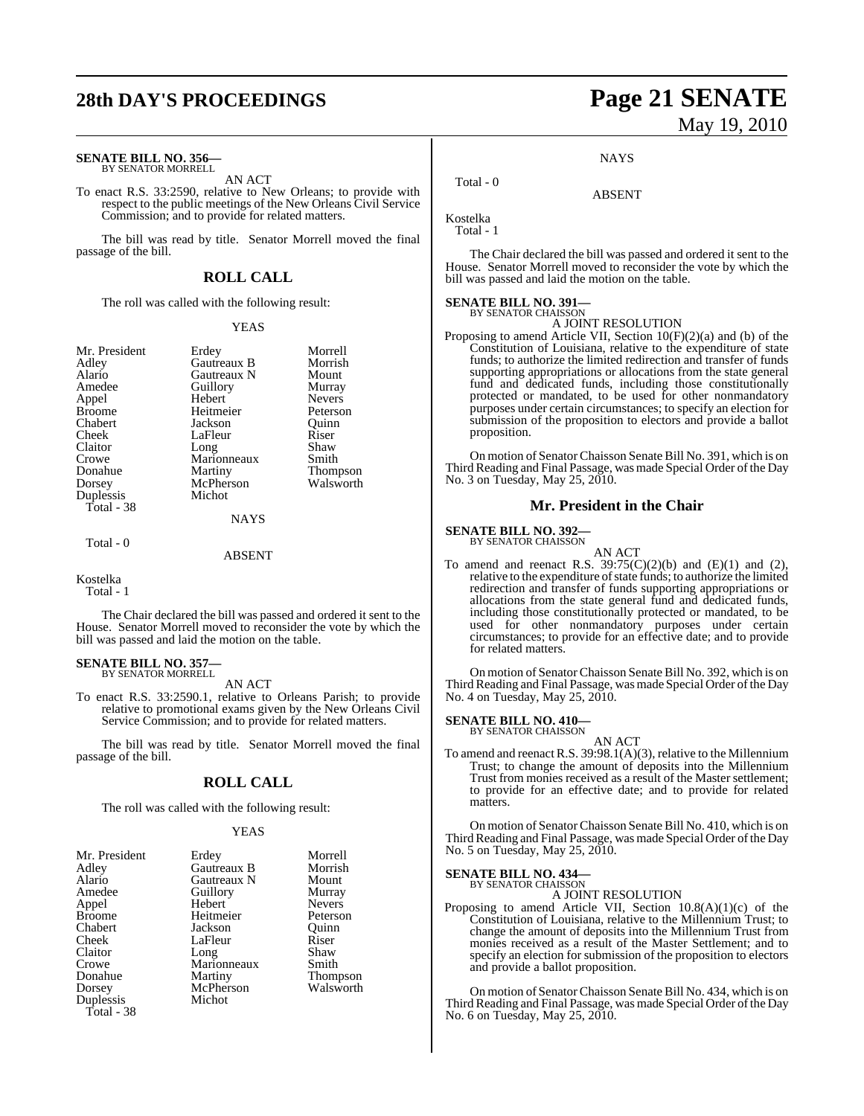# **28th DAY'S PROCEEDINGS Page 21 SENATE**

#### **SENATE BILL NO. 356—** BY SENATOR MORRELL

AN ACT

To enact R.S. 33:2590, relative to New Orleans; to provide with respect to the public meetings of the New Orleans Civil Service Commission; and to provide for related matters.

The bill was read by title. Senator Morrell moved the final passage of the bill.

## **ROLL CALL**

The roll was called with the following result:

#### YEAS

Mr. President Erdey Morrell<br>Adley Gautreaux B Morrish Adley Gautreaux B Morrish Alario Gautreaux N Mount<br>Amedee Guillory Murray Appel Broome Heitmeier Peterson<br>Chabert Jackson Quinn Chabert Jackson Quinn Claitor Long Shaw<br>Crowe Marionneaux Smith Crowe Marionneaux<br>Donahue Martiny Donahue Martiny Thompson<br>
Dorsey McPherson Walsworth Duplessis Total - 38

Guillory Murray<br>
Hebert Nevers LaFleur Riser<br>Long Shaw McPherson<br>Michot

#### NAYS

Total - 0

ABSENT

#### Kostelka

Total - 1

The Chair declared the bill was passed and ordered it sent to the House. Senator Morrell moved to reconsider the vote by which the bill was passed and laid the motion on the table.

## **SENATE BILL NO. 357—** BY SENATOR MORRELL

AN ACT

To enact R.S. 33:2590.1, relative to Orleans Parish; to provide relative to promotional exams given by the New Orleans Civil Service Commission; and to provide for related matters.

The bill was read by title. Senator Morrell moved the final passage of the bill.

## **ROLL CALL**

The roll was called with the following result:

#### **YEAS**

| Mr. President | Erdey       | Morrell       |
|---------------|-------------|---------------|
| Adley         | Gautreaux B | Morrish       |
| Alario        | Gautreaux N | Mount         |
| Amedee        | Guillory    | Murray        |
| Appel         | Hebert      | <b>Nevers</b> |
| <b>Broome</b> | Heitmeier   | Peterson      |
| Chabert       | Jackson     | Ouinn         |
| Cheek         | LaFleur     | Riser         |
| Claitor       | Long        | Shaw          |
| Crowe         | Marionneaux | Smith         |
| Donahue       | Martiny     | Thompson      |
| Dorsey        | McPherson   | Walsworth     |
| Duplessis     | Michot      |               |
| Total - 38    |             |               |

# May 19, 2010

**NAYS** 

ABSENT

Kostelka Total - 1

Total - 0

The Chair declared the bill was passed and ordered it sent to the House. Senator Morrell moved to reconsider the vote by which the bill was passed and laid the motion on the table.

## **SENATE BILL NO. 391—** BY SENATOR CHAISSON

A JOINT RESOLUTION

Proposing to amend Article VII, Section 10(F)(2)(a) and (b) of the Constitution of Louisiana, relative to the expenditure of state funds; to authorize the limited redirection and transfer of funds supporting appropriations or allocations from the state general fund and dedicated funds, including those constitutionally protected or mandated, to be used for other nonmandatory purposes under certain circumstances; to specify an election for submission of the proposition to electors and provide a ballot proposition.

On motion of Senator Chaisson Senate Bill No. 391, which is on Third Reading and Final Passage, was made Special Order ofthe Day No. 3 on Tuesday, May 25, 2010.

#### **Mr. President in the Chair**

#### **SENATE BILL NO. 392—**

BY SENATOR CHAISSON

- AN ACT To amend and reenact R.S.  $39:75(C)(2)(b)$  and  $(E)(1)$  and  $(2)$ .
- relative to the expenditure of state funds; to authorize the limited redirection and transfer of funds supporting appropriations or allocations from the state general fund and dedicated funds, including those constitutionally protected or mandated, to be used for other nonmandatory purposes under certain circumstances; to provide for an effective date; and to provide for related matters.

On motion of Senator Chaisson Senate Bill No. 392, which is on Third Reading and Final Passage, was made Special Order ofthe Day No. 4 on Tuesday, May 25, 2010.

#### **SENATE BILL NO. 410—**

BY SENATOR CHAISSON AN ACT

To amend and reenact R.S. 39:98.1(A)(3), relative to the Millennium Trust; to change the amount of deposits into the Millennium Trust from monies received as a result of the Master settlement; to provide for an effective date; and to provide for related matters.

On motion of Senator Chaisson Senate Bill No. 410, which is on Third Reading and Final Passage, was made Special Order of the Day No. 5 on Tuesday, May 25, 2010.

#### **SENATE BILL NO. 434—** BY SENATOR CHAISSON

A JOINT RESOLUTION

Proposing to amend Article VII, Section 10.8(A)(1)(c) of the Constitution of Louisiana, relative to the Millennium Trust; to change the amount of deposits into the Millennium Trust from monies received as a result of the Master Settlement; and to specify an election for submission of the proposition to electors and provide a ballot proposition.

On motion of Senator Chaisson Senate Bill No. 434, which is on Third Reading and Final Passage, was made Special Order ofthe Day No. 6 on Tuesday, May 25, 2010.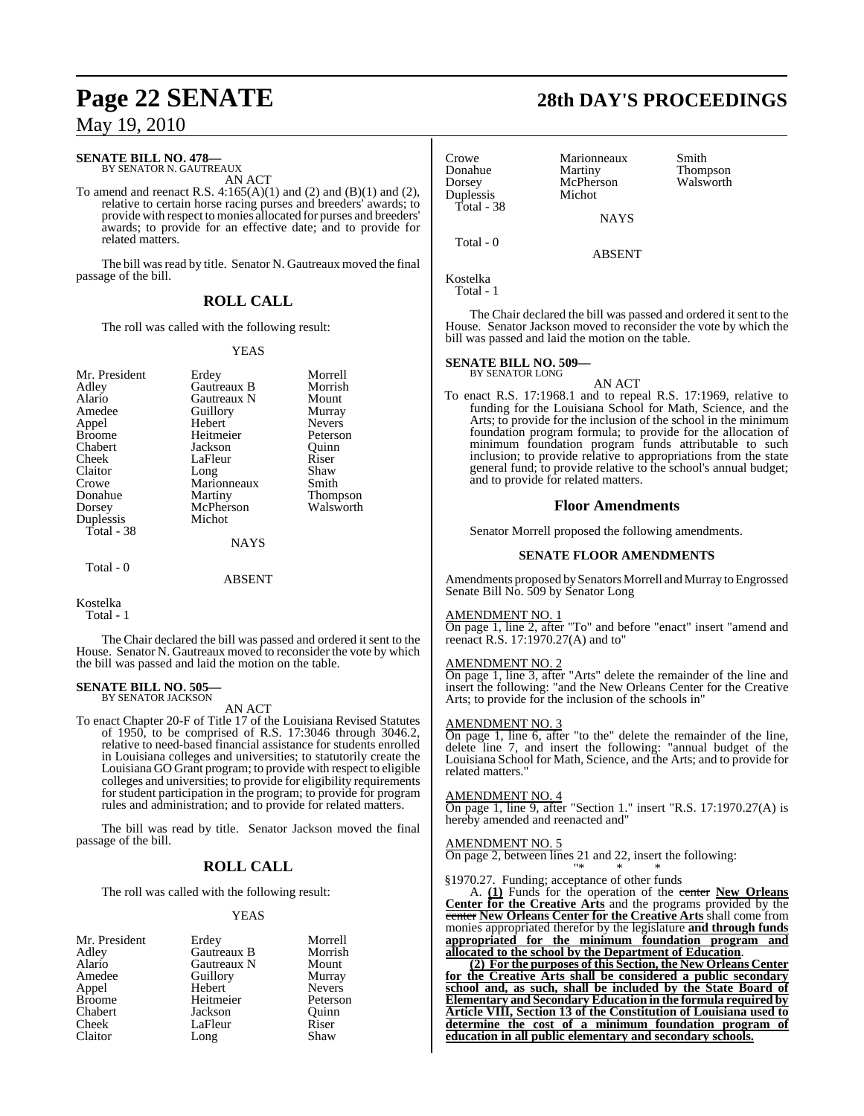#### **SENATE BILL NO. 478—**

BY SENATOR N. GAUTREAUX AN ACT

To amend and reenact R.S.  $4:165(A)(1)$  and  $(2)$  and  $(B)(1)$  and  $(2)$ , relative to certain horse racing purses and breeders' awards; to provide with respect to monies allocated for purses and breeders' awards; to provide for an effective date; and to provide for related matters.

The bill was read by title. Senator N. Gautreaux moved the final passage of the bill.

#### **ROLL CALL**

The roll was called with the following result:

#### YEAS

| Mr. President |             | Morrell       |
|---------------|-------------|---------------|
|               | Erdey       |               |
| Adley         | Gautreaux B | Morrish       |
| Alario        | Gautreaux N | Mount         |
| Amedee        | Guillory    | Murray        |
| Appel         | Hebert      | <b>Nevers</b> |
| <b>Broome</b> | Heitmeier   | Peterson      |
| Chabert       | Jackson     | Ouinn         |
| Cheek         | LaFleur     | Riser         |
| Claitor       | Long        | Shaw          |
| Crowe         | Marionneaux | Smith         |
| Donahue       | Martiny     | Thompson      |
| Dorsey        | McPherson   | Walsworth     |
| Duplessis     | Michot      |               |
| Total - 38    |             |               |
|               | <b>NAYS</b> |               |
| Total - 0     |             |               |
|               |             |               |

#### ABSENT

Kostelka

Total - 1

The Chair declared the bill was passed and ordered it sent to the House. Senator N. Gautreaux moved to reconsider the vote by which the bill was passed and laid the motion on the table.

#### **SENATE BILL NO. 505—**

BY SENATOR JACKSON

AN ACT To enact Chapter 20-F of Title 17 of the Louisiana Revised Statutes of 1950, to be comprised of R.S. 17:3046 through 3046.2, relative to need-based financial assistance for students enrolled in Louisiana colleges and universities; to statutorily create the Louisiana GO Grant program; to provide with respect to eligible colleges and universities; to provide for eligibility requirements for student participation in the program; to provide for program rules and administration; and to provide for related matters.

The bill was read by title. Senator Jackson moved the final passage of the bill.

### **ROLL CALL**

The roll was called with the following result:

#### YEAS

| Mr. President | Erdey       | Morrell       |
|---------------|-------------|---------------|
| Adley         | Gautreaux B | Morrish       |
| Alario        | Gautreaux N | Mount         |
| Amedee        | Guillory    | Murray        |
| Appel         | Hebert      | <b>Nevers</b> |
| <b>Broome</b> | Heitmeier   | Peterson      |
| Chabert       | Jackson     | Ouinn         |
| Cheek         | LaFleur     | Riser         |
| Claitor       | Long        | Shaw          |

## **Page 22 SENATE 28th DAY'S PROCEEDINGS**

| Crowe<br>Donahue<br>Dorsey<br>Duplessis | Marionneaux<br>Martiny<br>McPherson<br>Michot | Smith<br>Thompson<br>Walsworth |
|-----------------------------------------|-----------------------------------------------|--------------------------------|
| Total - 38                              | <b>NAYS</b>                                   |                                |
| Total - 0                               | <b>ABSENT</b>                                 |                                |
| Kostelka<br>$Total - 1$                 |                                               |                                |

The Chair declared the bill was passed and ordered it sent to the House. Senator Jackson moved to reconsider the vote by which the bill was passed and laid the motion on the table.

#### **SENATE BILL NO. 509—** BY SENATOR LONG

AN ACT

To enact R.S. 17:1968.1 and to repeal R.S. 17:1969, relative to funding for the Louisiana School for Math, Science, and the Arts; to provide for the inclusion of the school in the minimum foundation program formula; to provide for the allocation of minimum foundation program funds attributable to such inclusion; to provide relative to appropriations from the state general fund; to provide relative to the school's annual budget; and to provide for related matters.

#### **Floor Amendments**

Senator Morrell proposed the following amendments.

#### **SENATE FLOOR AMENDMENTS**

Amendments proposed by Senators Morrell and Murray to Engrossed Senate Bill No. 509 by Senator Long

#### AMENDMENT NO. 1

On page 1, line 2, after "To" and before "enact" insert "amend and reenact R.S. 17:1970.27(A) and to"

#### AMENDMENT NO. 2

On page 1, line 3, after "Arts" delete the remainder of the line and insert the following: "and the New Orleans Center for the Creative Arts; to provide for the inclusion of the schools in"

#### AMENDMENT NO. 3

On page 1, line 6, after "to the" delete the remainder of the line, delete line 7, and insert the following: "annual budget of the Louisiana School for Math, Science, and the Arts; and to provide for related matters."

#### AMENDMENT NO. 4

On page 1, line 9, after "Section 1." insert "R.S. 17:1970.27(A) is hereby amended and reenacted and"

#### AMENDMENT NO. 5

On page 2, between lines 21 and 22, insert the following: "\* \* \*

§1970.27. Funding; acceptance of other funds

A. **(1)** Funds for the operation of the center **New Orleans Center for the Creative Arts** and the programs provided by the center **New Orleans Center for the Creative Arts** shall come from monies appropriated therefor by the legislature **and through funds appropriated for the minimum foundation program and allocated to the school by the Department of Education**.

**(2) For the purposes of this Section, the New Orleans Center for the Creative Arts shall be considered a public secondary school and, as such, shall be included by the State Board of Elementary and Secondary Education in the formula required by Article VIII, Section 13 of the Constitution of Louisiana used to determine the cost of a minimum foundation program of education in all public elementary and secondary schools.**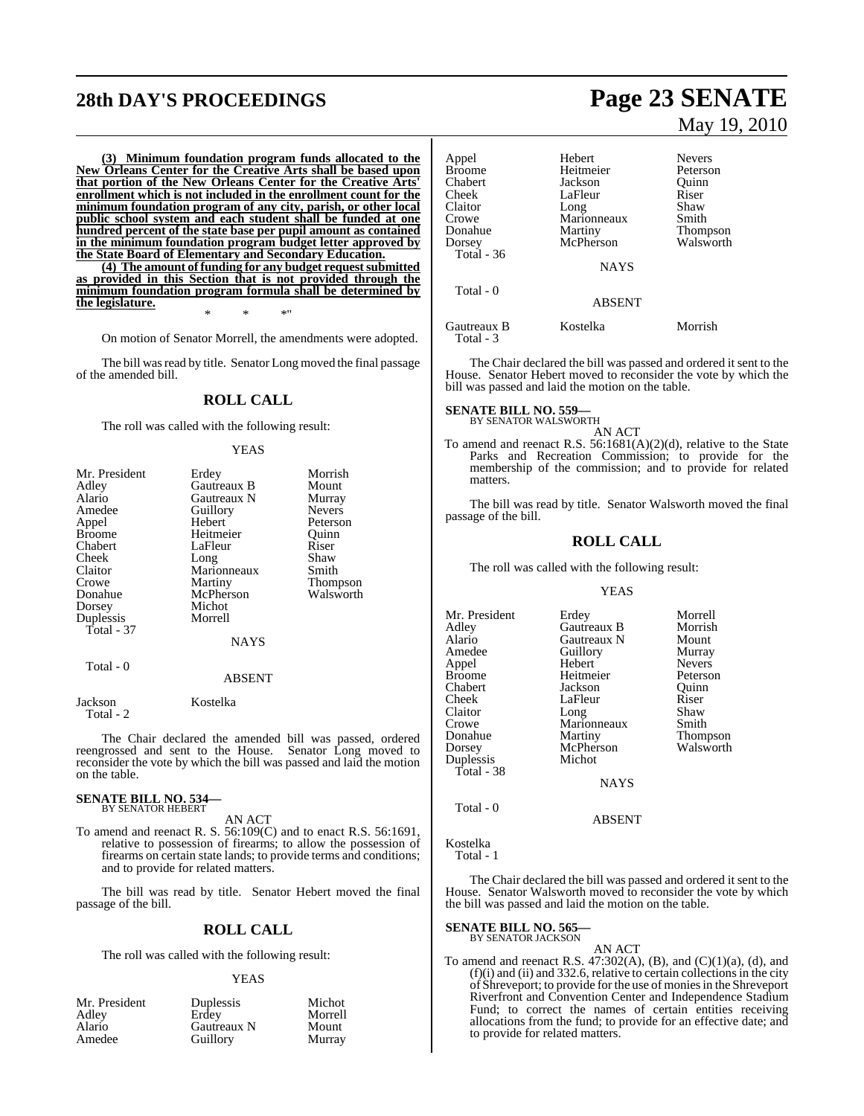# **28th DAY'S PROCEEDINGS Page 23 SENATE**

**(3) Minimum foundation program funds allocated to the New Orleans Center for the Creative Arts shall be based upon that portion of the New Orleans Center for the Creative Arts' enrollment which is not included in the enrollment count for the minimum foundation program of any city, parish, or other local public school system and each student shall be funded at one hundred percent of the state base per pupil amount as contained in the minimum foundation program budget letter approved by the State Board of Elementary and Secondary Education.**

**(4) The amount of funding for any budget request submitted as provided in this Section that is not provided through the minimum foundation program formula shall be determined by the legislature.** \* \* \*"

On motion of Senator Morrell, the amendments were adopted.

The bill was read by title. Senator Long moved the final passage of the amended bill.

## **ROLL CALL**

The roll was called with the following result:

#### YEAS

| Mr. President | Erdey         | Morrish       |
|---------------|---------------|---------------|
| Adley         | Gautreaux B   | Mount         |
| Alario        | Gautreaux N   | Murray        |
| Amedee        | Guillory      | <b>Nevers</b> |
| Appel         | Hebert        | Peterson      |
| <b>Broome</b> | Heitmeier     | Quinn         |
| Chabert       | LaFleur       | Riser         |
| Cheek         | Long          | Shaw          |
| Claitor       | Marionneaux   | Smith         |
| Crowe         | Martiny       | Thompson      |
| Donahue       | McPherson     | Walsworth     |
| Dorsey        | Michot        |               |
| Duplessis     | Morrell       |               |
| Total - 37    |               |               |
|               | <b>NAYS</b>   |               |
| Total - 0     |               |               |
|               | <b>ABSENT</b> |               |
| Jackson       | Kostelka      |               |

Total - 2

The Chair declared the amended bill was passed, ordered reengrossed and sent to the House. Senator Long moved to reconsider the vote by which the bill was passed and laid the motion on the table.

#### **SENATE BILL NO. 534—** BY SENATOR HEBERT

AN ACT

To amend and reenact R. S. 56:109(C) and to enact R.S. 56:1691, relative to possession of firearms; to allow the possession of firearms on certain state lands; to provide terms and conditions; and to provide for related matters.

The bill was read by title. Senator Hebert moved the final passage of the bill.

#### **ROLL CALL**

The roll was called with the following result:

#### YEAS

| Mr. President | Duplessis   | Michot  |
|---------------|-------------|---------|
| Adley         | Erdev       | Morrell |
| Alario        | Gautreaux N | Mount   |
| Amedee        | Guillory    | Murray  |

# May 19, 2010

| Appel<br>Broome<br>Chabert<br>Cheek<br>Claitor<br>Crowe<br>Donahue<br>Dorsey<br><b>Total</b> - 36 | Hebert<br>Heitmeier<br>Jackson<br>LaFleur<br>Long<br>Marionneaux<br>Martiny<br>McPherson | <b>Nevers</b><br>Peterson<br>Ouinn<br>Riser<br>Shaw<br>Smith<br><b>Thompson</b><br>Walsworth |
|---------------------------------------------------------------------------------------------------|------------------------------------------------------------------------------------------|----------------------------------------------------------------------------------------------|
| Total - 0                                                                                         | <b>NAYS</b><br><b>ABSENT</b>                                                             |                                                                                              |
| Gautreaux B<br>Total - 3                                                                          | Kostelka                                                                                 | Morrish                                                                                      |

The Chair declared the bill was passed and ordered it sent to the House. Senator Hebert moved to reconsider the vote by which the bill was passed and laid the motion on the table.

## **SENATE BILL NO. 559—**

BY SENATOR WALSWORTH AN ACT

To amend and reenact R.S. 56:1681(A)(2)(d), relative to the State Parks and Recreation Commission; to provide for the membership of the commission; and to provide for related matters.

The bill was read by title. Senator Walsworth moved the final passage of the bill.

#### **ROLL CALL**

The roll was called with the following result:

#### YEAS

Mr. President Erdey Morrell<br>Adley Gautreaux B Morrish Adley Gautreaux B Morrish Alario Gautreaux N Mount Amedeu<br>
Amedeu<br>
Amedeu<br>
Amedeu<br>
Nevers Appel Hebert Nevers Heitmeier Peterson<br>Jackson Quinn Chabert Jackson Quinn LaFleur Claitor Long Shaw<br>Crowe Marionneaux Smith Crowe Marionneaux<br>Donahue Martiny Donahue Martiny Thompson<br>
Dorsey McPherson Walsworth McPherson<br>Michot Duplessis Total - 38 NAYS

Total - 0

ABSENT

Kostelka

Total - 1

The Chair declared the bill was passed and ordered it sent to the House. Senator Walsworth moved to reconsider the vote by which the bill was passed and laid the motion on the table.

## **SENATE BILL NO. 565—** BY SENATOR JACKSON

AN ACT

To amend and reenact R.S.  $47:302(A)$ , (B), and (C)(1)(a), (d), and  $(f)(i)$  and  $(ii)$  and 332.6, relative to certain collections in the city of Shreveport; to provide for the use of moniesin the Shreveport Riverfront and Convention Center and Independence Stadium Fund; to correct the names of certain entities receiving allocations from the fund; to provide for an effective date; and to provide for related matters.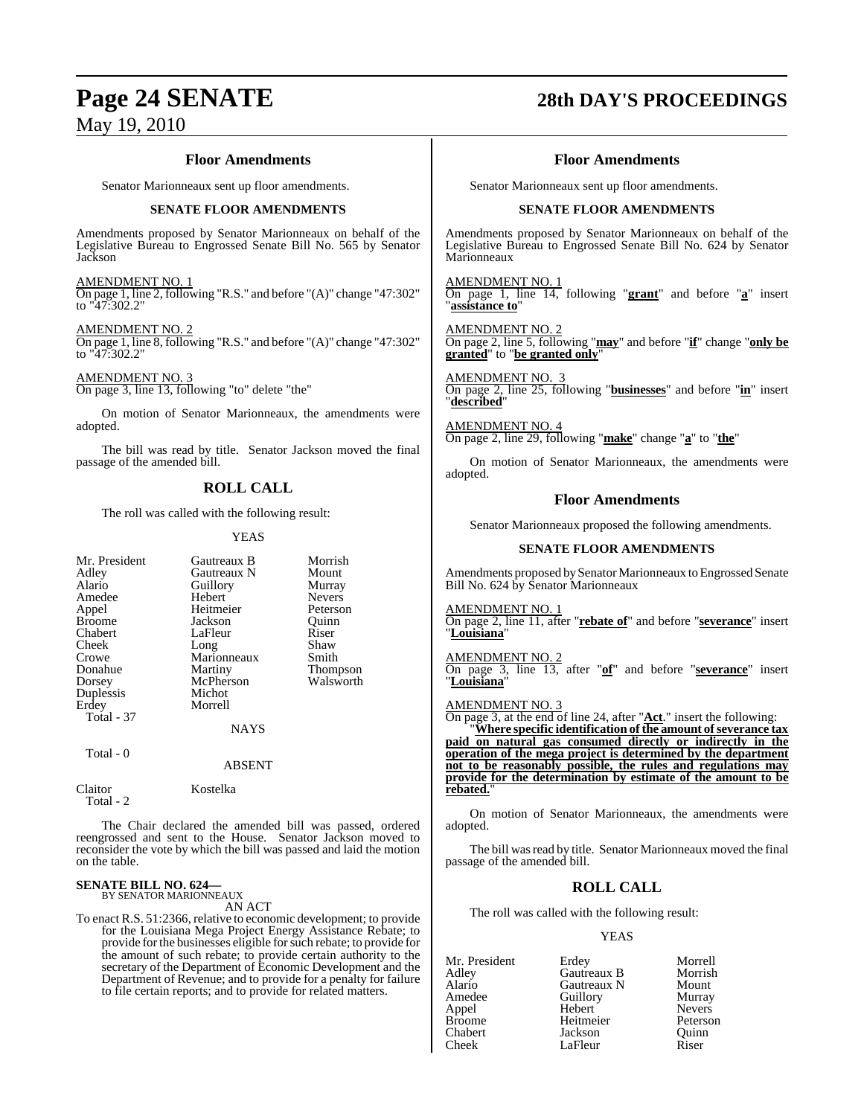#### **Floor Amendments**

Senator Marionneaux sent up floor amendments.

#### **SENATE FLOOR AMENDMENTS**

Amendments proposed by Senator Marionneaux on behalf of the Legislative Bureau to Engrossed Senate Bill No. 565 by Senator Jackson

#### AMENDMENT NO. 1

On page 1, line 2, following "R.S." and before "(A)" change "47:302" to "47:302.2"

#### AMENDMENT NO. 2

On page 1, line 8, following "R.S." and before "(A)" change "47:302" to "47:302.2"

#### AMENDMENT NO. 3

On page 3, line 13, following "to" delete "the"

On motion of Senator Marionneaux, the amendments were adopted.

The bill was read by title. Senator Jackson moved the final passage of the amended bill.

## **ROLL CALL**

The roll was called with the following result:

#### YEAS

| Mr. President<br>Adley<br>Alario<br>Amedee<br>Appel<br><b>Broome</b><br>Chabert<br>Cheek<br>Crowe<br>Donahue<br>Dorsey<br>Duplessis | Gautreaux B<br>Gautreaux N<br>Guillory<br>Hebert<br>Heitmeier<br>Jackson<br>LaFleur<br>Long<br>Marionneaux<br>Martiny<br>McPherson<br>Michot | Morrish<br>Mount<br>Murray<br><b>Nevers</b><br>Peterson<br>Ouinn<br>Riser<br>Shaw<br>Smith<br>Thompson<br>Walsworth |
|-------------------------------------------------------------------------------------------------------------------------------------|----------------------------------------------------------------------------------------------------------------------------------------------|---------------------------------------------------------------------------------------------------------------------|
| Erdey                                                                                                                               | Morrell                                                                                                                                      |                                                                                                                     |
| Total - 37                                                                                                                          |                                                                                                                                              |                                                                                                                     |
|                                                                                                                                     | <b>NAYS</b>                                                                                                                                  |                                                                                                                     |
| Total - 0                                                                                                                           | <b>ABSENT</b>                                                                                                                                |                                                                                                                     |

Claitor Kostelka Total - 2

The Chair declared the amended bill was passed, ordered reengrossed and sent to the House. Senator Jackson moved to reconsider the vote by which the bill was passed and laid the motion on the table.

# **SENATE BILL NO. 624—** BY SENATOR MARIONNEAUX

AN ACT

To enact R.S. 51:2366, relative to economic development; to provide for the Louisiana Mega Project Energy Assistance Rebate; to provide for the businesses eligible for such rebate; to provide for the amount of such rebate; to provide certain authority to the secretary of the Department of Economic Development and the Department of Revenue; and to provide for a penalty for failure to file certain reports; and to provide for related matters.

## **Page 24 SENATE 28th DAY'S PROCEEDINGS**

#### **Floor Amendments**

Senator Marionneaux sent up floor amendments.

#### **SENATE FLOOR AMENDMENTS**

Amendments proposed by Senator Marionneaux on behalf of the Legislative Bureau to Engrossed Senate Bill No. 624 by Senator Marionneaux

AMENDMENT NO. 1 On page 1, line 14, following "**grant**" and before "**a**" insert "**assistance to**"

AMENDMENT NO. 2 On page 2, line 5, following "**may**" and before "**if**" change "**only be granted**" to "**be granted only**"

AMENDMENT NO. 3 On page 2, line 25, following "**businesses**" and before "**in**" insert "**described**"

AMENDMENT NO. 4 On page 2, line 29, following "**make**" change "**a**" to "**the**"

On motion of Senator Marionneaux, the amendments were adopted.

#### **Floor Amendments**

Senator Marionneaux proposed the following amendments.

#### **SENATE FLOOR AMENDMENTS**

Amendments proposed by Senator Marionneaux to Engrossed Senate Bill No. 624 by Senator Marionneaux

AMENDMENT NO. 1

On page 2, line 11, after "**rebate of**" and before "**severance**" insert "**Louisiana**"

AMENDMENT NO. 2 On page 3, line 13, after "**of**" and before "**severance**" insert "**Louisiana**"

#### AMENDMENT NO. 3

On page 3, at the end of line 24, after "**Act**." insert the following: "**Where specific identification of the amount ofseverance tax paid on natural gas consumed directly or indirectly in the operation of the mega project is determined by the department not to be reasonably possible, the rules and regulations may provide for the determination by estimate of the amount to be rebated.**"

On motion of Senator Marionneaux, the amendments were adopted.

The bill was read by title. Senator Marionneaux moved the final passage of the amended bill.

## **ROLL CALL**

The roll was called with the following result:

#### YEAS

| Mr. President | Erdey       | Morrell       |
|---------------|-------------|---------------|
| Adley         | Gautreaux B | Morrish       |
| Alario        | Gautreaux N | Mount         |
| Amedee        | Guillory    | Murray        |
| Appel         | Hebert      | <b>Nevers</b> |
| <b>Broome</b> | Heitmeier   | Peterson      |
| Chabert       | Jackson     | Quinn         |
| Cheek         | LaFleur     | Riser         |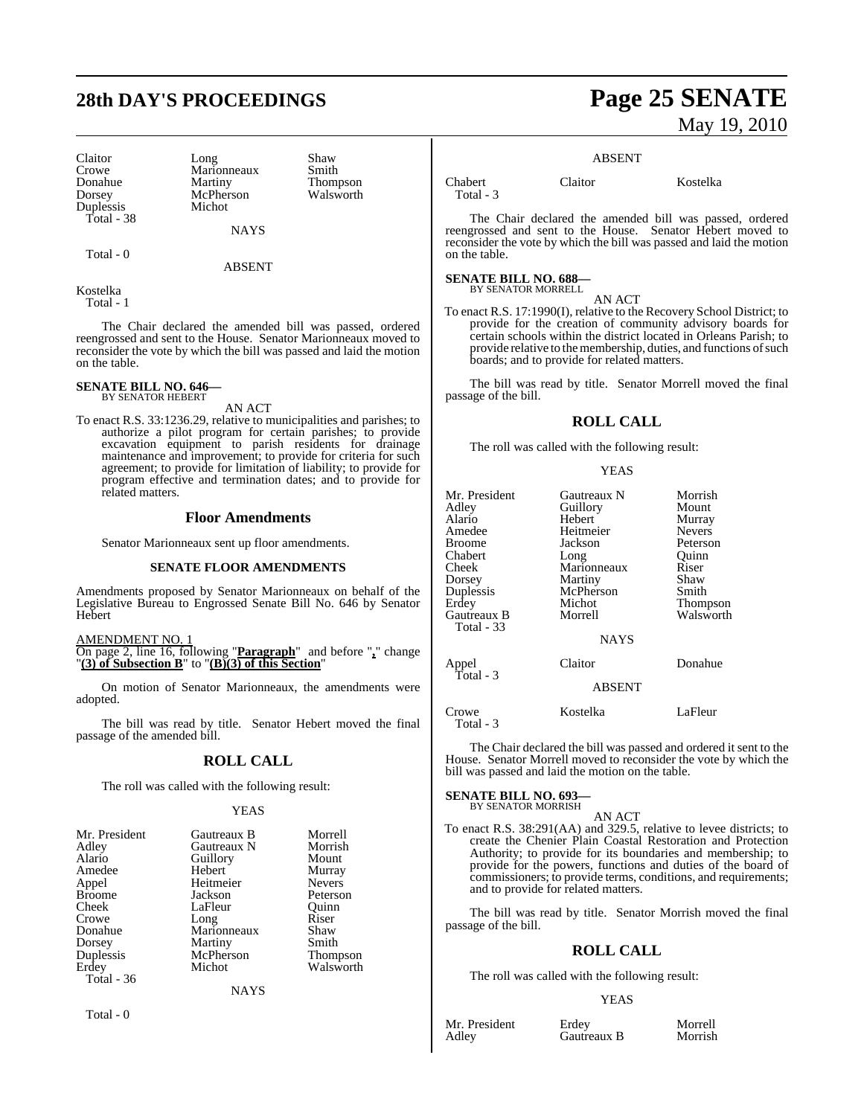Claitor Long Shaw<br>Crowe Marionneaux Smith Crowe Marionneaux<br>
Donahue Martiny Duplessis Total - 38

McPherson<br>Michot

**NAYS** 

ABSENT

Donahue Martiny Thompson<br>Dorsey McPherson Walsworth

Kostelka Total - 1

Total - 0

The Chair declared the amended bill was passed, ordered reengrossed and sent to the House. Senator Marionneaux moved to reconsider the vote by which the bill was passed and laid the motion on the table.

#### **SENATE BILL NO. 646—** BY SENATOR HEBERT

AN ACT

To enact R.S. 33:1236.29, relative to municipalities and parishes; to authorize a pilot program for certain parishes; to provide excavation equipment to parish residents for drainage maintenance and improvement; to provide for criteria for such agreement; to provide for limitation of liability; to provide for program effective and termination dates; and to provide for related matters.

#### **Floor Amendments**

Senator Marionneaux sent up floor amendments.

#### **SENATE FLOOR AMENDMENTS**

Amendments proposed by Senator Marionneaux on behalf of the Legislative Bureau to Engrossed Senate Bill No. 646 by Senator Hebert

AMENDMENT NO. 1

On page 2, line 16, following "**Paragraph**" and before "**,**" change "**(3) of Subsection B**" to "**(B)(3) of this Section**"

On motion of Senator Marionneaux, the amendments were adopted.

The bill was read by title. Senator Hebert moved the final passage of the amended bill.

#### **ROLL CALL**

The roll was called with the following result:

#### YEAS

| Mr. President     | Gautreaux B | Morrell         |
|-------------------|-------------|-----------------|
|                   |             |                 |
| Adley             | Gautreaux N | Morrish         |
| Alario            | Guillory    | Mount           |
| Amedee            | Hebert      | Murray          |
| Appel             | Heitmeier   | <b>Nevers</b>   |
| Broome            | Jackson     | Peterson        |
| Cheek             | LaFleur     | Ouinn           |
| Crowe             | Long        | Riser           |
| Donahue           | Marionneaux | Shaw            |
| Dorsey            | Martiny     | Smith           |
| Duplessis         | McPherson   | <b>Thompson</b> |
| Erdey             | Michot      | Walsworth       |
| <b>Total - 36</b> |             |                 |
|                   | NAYS        |                 |

Total - 0

## **28th DAY'S PROCEEDINGS Page 25 SENATE** May 19, 2010

#### ABSENT

Total - 3

Chabert Claitor Kostelka

The Chair declared the amended bill was passed, ordered reengrossed and sent to the House. Senator Hebert moved to reconsider the vote by which the bill was passed and laid the motion on the table.

#### **SENATE BILL NO. 688—**

BY SENATOR MORRELL AN ACT

To enact R.S. 17:1990(I), relative to the Recovery School District; to provide for the creation of community advisory boards for certain schools within the district located in Orleans Parish; to provide relative to the membership, duties, and functions of such boards; and to provide for related matters.

The bill was read by title. Senator Morrell moved the final passage of the bill.

#### **ROLL CALL**

The roll was called with the following result:

#### YEAS

| Mr. President<br>Adley<br>Alario<br>Amedee<br><b>Broome</b><br>Chabert<br>Cheek<br>Dorsey<br>Duplessis<br>Erdey<br>Gautreaux B<br><b>Total - 33</b> | Gautreaux N<br>Guillory<br>Hebert<br>Heitmeier<br>Jackson<br>Long<br>Marionneaux<br>Martiny<br>McPherson<br>Michot<br>Morrell<br><b>NAYS</b> | Morrish<br>Mount<br>Murray<br><b>Nevers</b><br>Peterson<br>Ouinn<br>Riser<br>Shaw<br>Smith<br>Thompson<br>Walsworth |
|-----------------------------------------------------------------------------------------------------------------------------------------------------|----------------------------------------------------------------------------------------------------------------------------------------------|---------------------------------------------------------------------------------------------------------------------|
| Appel<br>Total - 3                                                                                                                                  | Claitor<br><b>ABSENT</b>                                                                                                                     | Donahue                                                                                                             |
| Crowe<br>Total - 3                                                                                                                                  | Kostelka                                                                                                                                     | LaFleur                                                                                                             |

The Chair declared the bill was passed and ordered it sent to the House. Senator Morrell moved to reconsider the vote by which the bill was passed and laid the motion on the table.

**SENATE BILL NO. 693—**

#### BY SENATOR MORRISH AN ACT

To enact R.S. 38:291(AA) and 329.5, relative to levee districts; to create the Chenier Plain Coastal Restoration and Protection Authority; to provide for its boundaries and membership; to provide for the powers, functions and duties of the board of commissioners; to provide terms, conditions, and requirements; and to provide for related matters.

The bill was read by title. Senator Morrish moved the final passage of the bill.

#### **ROLL CALL**

The roll was called with the following result:

#### YEAS

Mr. President Erdey Morrell<br>Adley Gautreaux B Morrish

Gautreaux B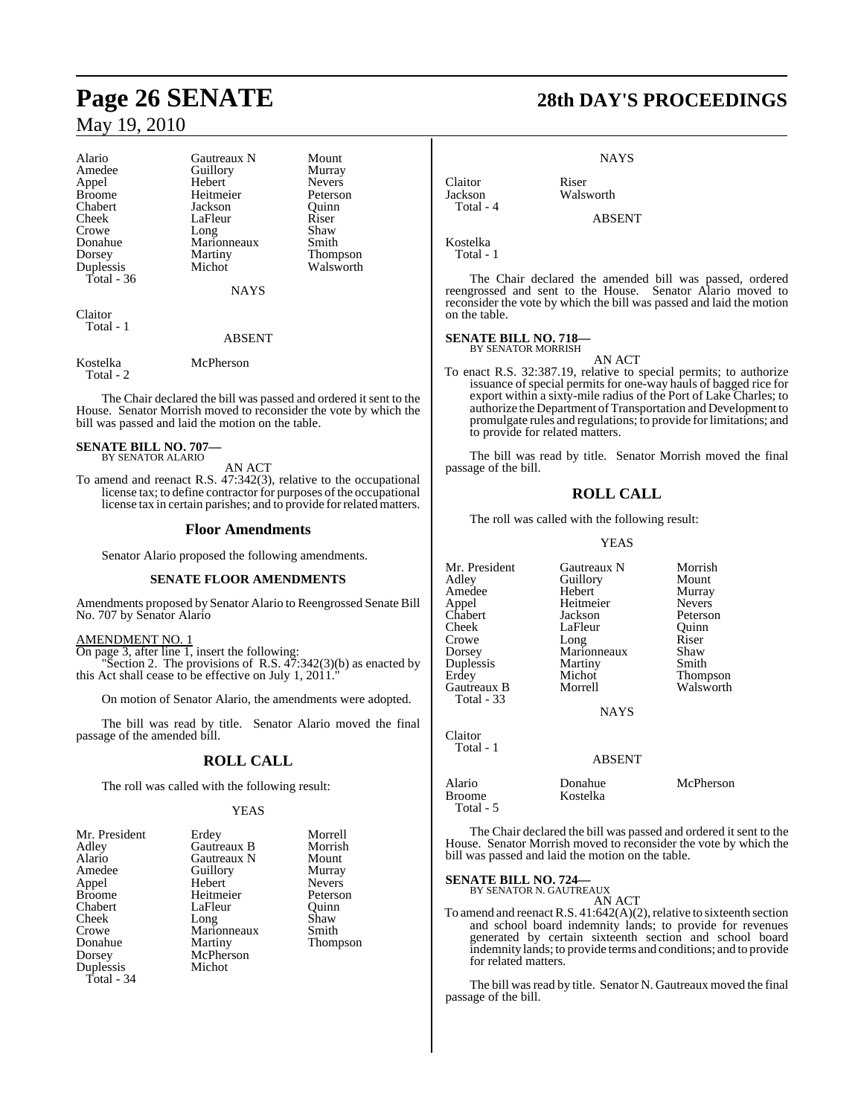# **Page 26 SENATE 28th DAY'S PROCEEDINGS** May 19, 2010

| Alario        | Gautreaux N | Mount         |
|---------------|-------------|---------------|
| Amedee        | Guillory    | Murray        |
| Appel         | Hebert      | <b>Nevers</b> |
| <b>Broome</b> | Heitmeier   | Peterson      |
| Chabert       | Jackson     | Ouinn         |
| Cheek         | LaFleur     | Riser         |
| Crowe         | Long        | Shaw          |
| Donahue       | Marionneaux | Smith         |
| Dorsey        | Martiny     | Thompson      |
| Duplessis     | Michot      | Walsworth     |
| Total - 36    |             |               |
|               | <b>NAYS</b> |               |

Claitor Total - 1

#### ABSENT

Kostelka McPherson Total - 2

The Chair declared the bill was passed and ordered it sent to the House. Senator Morrish moved to reconsider the vote by which the bill was passed and laid the motion on the table.

#### **SENATE BILL NO. 707—** BY SENATOR ALARIO

AN ACT

To amend and reenact R.S. 47:342(3), relative to the occupational license tax; to define contractor for purposes of the occupational license tax in certain parishes; and to provide forrelated matters.

#### **Floor Amendments**

Senator Alario proposed the following amendments.

#### **SENATE FLOOR AMENDMENTS**

Amendments proposed by Senator Alario to Reengrossed Senate Bill No. 707 by Senator Alario

#### AMENDMENT NO. 1

On page 3, after line 1, insert the following: "Section 2. The provisions of R.S.  $47:342(3)(b)$  as enacted by this Act shall cease to be effective on July 1, 2011."

On motion of Senator Alario, the amendments were adopted.

The bill was read by title. Senator Alario moved the final passage of the amended bill.

#### **ROLL CALL**

The roll was called with the following result:

#### YEAS

| Mr. President | Erdey       | Morrell       |
|---------------|-------------|---------------|
| Adley         | Gautreaux B | Morrish       |
| Alario        | Gautreaux N | Mount         |
| Amedee        | Guillory    | Murray        |
| Appel         | Hebert      | Nevers        |
| <b>Broome</b> | Heitmeier   | Peterson      |
| Chabert       | LaFleur     | Ouinn         |
| Cheek         | Long        | Shaw          |
| Crowe         | Marionneaux | Smith         |
| Donahue       | Martiny     | <b>Thomps</b> |
| Dorsey        | McPherson   |               |
| Duplessis     | Michot      |               |
| Total - 34    |             |               |

Thompson

**NAYS** 

Claitor Riser<br>Jackson Wals Total - 4

ABSENT

Walsworth

Kostelka Total - 1

The Chair declared the amended bill was passed, ordered reengrossed and sent to the House. Senator Alario moved to reconsider the vote by which the bill was passed and laid the motion on the table.

#### **SENATE BILL NO. 718—** BY SENATOR MORRISH

AN ACT

To enact R.S. 32:387.19, relative to special permits; to authorize issuance of special permits for one-way hauls of bagged rice for export within a sixty-mile radius of the Port of Lake Charles; to authorize the Department of Transportation and Development to promulgate rules and regulations; to provide for limitations; and to provide for related matters.

The bill was read by title. Senator Morrish moved the final passage of the bill.

#### **ROLL CALL**

The roll was called with the following result:

#### YEAS

| Mr. President<br>Adley<br>Amedee<br>Appel<br>Chabert<br>Cheek<br>Crowe<br>Dorsey<br>Duplessis | Gautreaux N<br>Guillory<br>Hebert<br>Heitmeier<br>Jackson<br>LaFleur<br>Long<br>Marionneaux<br>Martiny | Morrish<br>Mount<br>Murray<br><b>Nevers</b><br>Peterson<br>Ouinn<br>Riser<br>Shaw<br>Smith |
|-----------------------------------------------------------------------------------------------|--------------------------------------------------------------------------------------------------------|--------------------------------------------------------------------------------------------|
| Erdey<br>Gautreaux B<br>Total - 33<br>Claitor                                                 | Michot<br>Morrell<br><b>NAYS</b>                                                                       | Thompson<br>Walsworth                                                                      |
| Total - 1                                                                                     | ABSENT                                                                                                 |                                                                                            |

Alario Donahue McPherson Kostelka Total - 5

The Chair declared the bill was passed and ordered it sent to the House. Senator Morrish moved to reconsider the vote by which the bill was passed and laid the motion on the table.

## **SENATE BILL NO. 724—** BY SENATOR N. GAUTREAUX

AN ACT

To amend and reenact R.S.  $41:642(A)(2)$ , relative to sixteenth section and school board indemnity lands; to provide for revenues generated by certain sixteenth section and school board indemnity lands; to provide terms and conditions; and to provide for related matters.

The bill was read by title. Senator N. Gautreaux moved the final passage of the bill.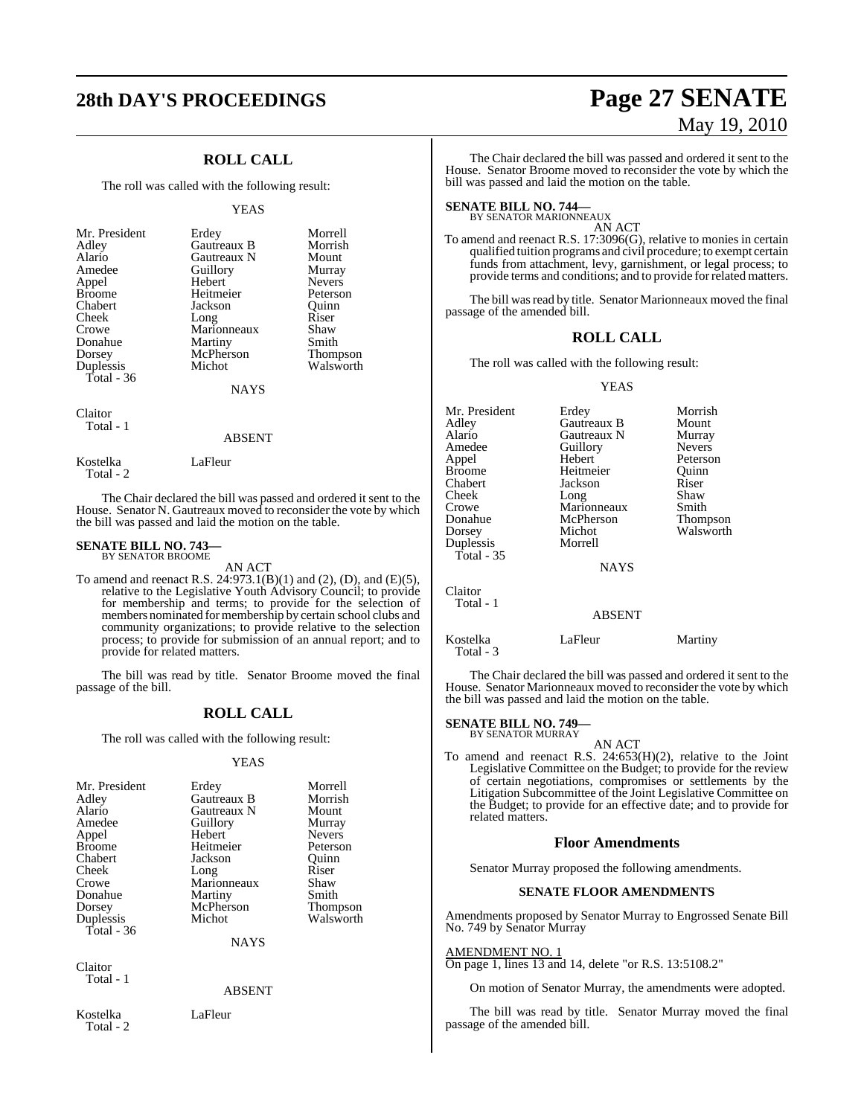## **ROLL CALL**

The roll was called with the following result:

#### YEAS

| Mr. President | Erdey       | Morrell       |
|---------------|-------------|---------------|
| Adley         | Gautreaux B | Morrish       |
| Alario        | Gautreaux N | Mount         |
| Amedee        | Guillory    | Murray        |
| Appel         | Hebert      | <b>Nevers</b> |
| <b>Broome</b> | Heitmeier   | Peterson      |
| Chabert       | Jackson     | Ouinn         |
| Cheek         | Long        | Riser         |
| Crowe         | Marionneaux | Shaw          |
| Donahue       | Martiny     | Smith         |
| Dorsey        | McPherson   | Thompson      |
| Duplessis     | Michot      | Walsworth     |
| Total $-36$   |             |               |
|               | <b>NAYS</b> |               |
|               |             |               |

Claitor Total - 1

Total - 2

#### ABSENT

The Chair declared the bill was passed and ordered it sent to the House. Senator N. Gautreaux moved to reconsider the vote by which the bill was passed and laid the motion on the table.

#### **SENATE BILL NO. 743—** BY SENATOR BROOME

Kostelka LaFleur

AN ACT

To amend and reenact R.S. 24:973.1(B)(1) and (2), (D), and (E)(5), relative to the Legislative Youth Advisory Council; to provide for membership and terms; to provide for the selection of members nominated formembership by certain school clubs and community organizations; to provide relative to the selection process; to provide for submission of an annual report; and to provide for related matters.

The bill was read by title. Senator Broome moved the final passage of the bill.

#### **ROLL CALL**

The roll was called with the following result:

#### YEAS

| Mr. President | Erdey       | Morrell         |
|---------------|-------------|-----------------|
| Adley         | Gautreaux B | Morrish         |
| Alario        | Gautreaux N | Mount           |
| Amedee        | Guillory    | Murray          |
| Appel         | Hebert      | <b>Nevers</b>   |
| <b>Broome</b> | Heitmeier   | Peterson        |
| Chabert       | Jackson     | Ouinn           |
| Cheek         | Long        | Riser           |
| Crowe         | Marionneaux | Shaw            |
| Donahue       | Martiny     | Smith           |
| Dorsey        | McPherson   | <b>Thompson</b> |
| Duplessis     | Michot      | Walsworth       |
| Total - $36$  |             |                 |
|               | <b>NAYS</b> |                 |

Claitor Total - 1

#### ABSENT

Kostelka LaFleur Total - 2

The bill was read by title. Senator Marionneaux moved the final passage of the amended bill.

### **ROLL CALL**

The roll was called with the following result:

#### YEAS

| Mr. President | Erdey         | Morrish       |
|---------------|---------------|---------------|
| Adley         | Gautreaux B   | Mount         |
| Alario        | Gautreaux N   | Murray        |
| Amedee        | Guillory      | <b>Nevers</b> |
| Appel         | Hebert        | Peterson      |
| <b>Broome</b> | Heitmeier     | Ouinn         |
| Chabert       | Jackson       | Riser         |
| Cheek         | Long          | Shaw          |
| Crowe         | Marionneaux   | Smith         |
| Donahue       | McPherson     | Thompson      |
| Dorsey        | Michot        | Walsworth     |
| Duplessis     | Morrell       |               |
| Total - 35    |               |               |
|               | <b>NAYS</b>   |               |
| Claitor       |               |               |
| Total - 1     |               |               |
|               | <b>ABSENT</b> |               |
| Kostelka      | LaFleur       | Martiny       |

The Chair declared the bill was passed and ordered it sent to the House. Senator Marionneaux moved to reconsider the vote by which the bill was passed and laid the motion on the table.

## **SENATE BILL NO. 749—** BY SENATOR MURRAY

Total - 3

AN ACT

To amend and reenact R.S. 24:653(H)(2), relative to the Joint Legislative Committee on the Budget; to provide for the review of certain negotiations, compromises or settlements by the Litigation Subcommittee of the Joint Legislative Committee on the Budget; to provide for an effective date; and to provide for related matters.

#### **Floor Amendments**

Senator Murray proposed the following amendments.

#### **SENATE FLOOR AMENDMENTS**

Amendments proposed by Senator Murray to Engrossed Senate Bill No. 749 by Senator Murray

#### AMENDMENT NO. 1

On page 1, lines 13 and 14, delete "or R.S. 13:5108.2"

On motion of Senator Murray, the amendments were adopted.

The bill was read by title. Senator Murray moved the final passage of the amended bill.

## **28th DAY'S PROCEEDINGS Page 27 SENATE** May 19, 2010

The Chair declared the bill was passed and ordered it sent to the House. Senator Broome moved to reconsider the vote by which the bill was passed and laid the motion on the table.

To amend and reenact R.S. 17:3096(G), relative to monies in certain qualified tuition programs and civil procedure; to exempt certain funds from attachment, levy, garnishment, or legal process; to provide terms and conditions; and to provide forrelated matters.

## **SENATE BILL NO. 744—** BY SENATOR MARIONNEAUX

AN ACT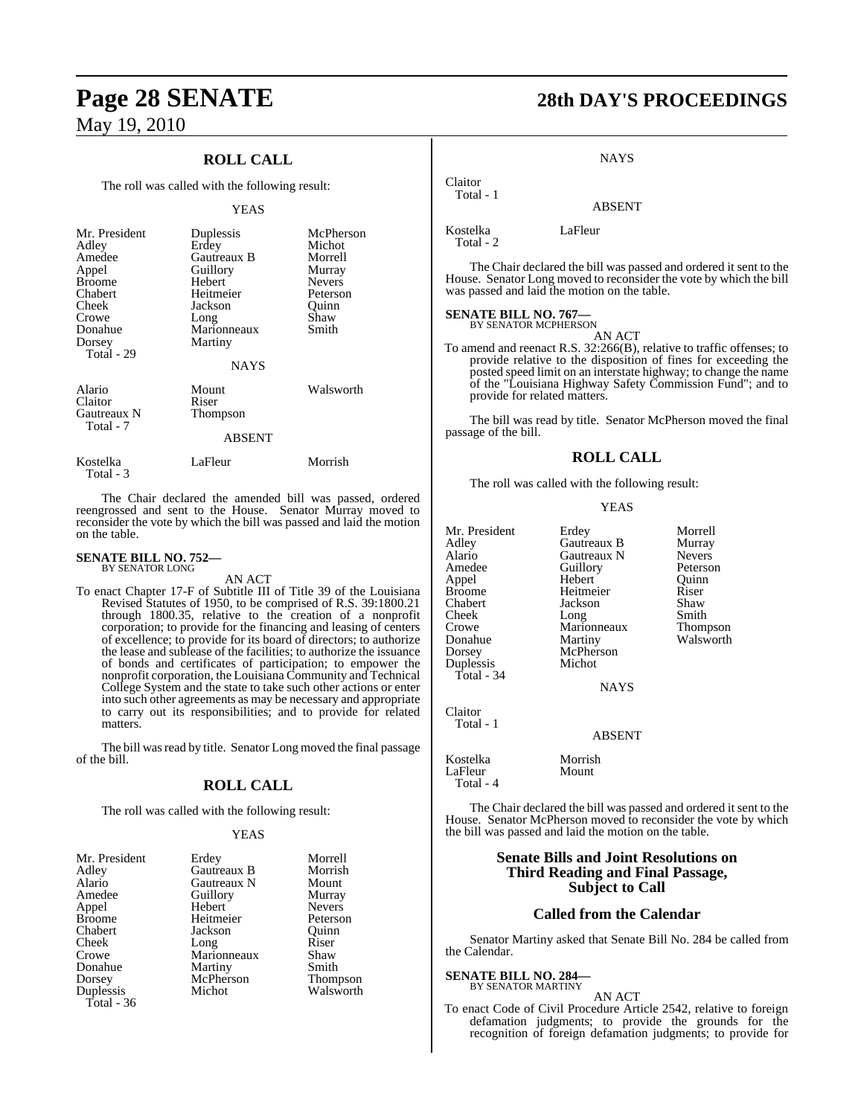## **ROLL CALL**

The roll was called with the following result:

#### YEAS

| Mr. President<br>Adley<br>Amedee<br>Appel<br><b>Broome</b><br>Chabert<br>Cheek<br>Crowe<br>Donahue<br>Dorsey<br>Total - 29 | Duplessis<br>Erdey<br>Gautreaux B<br>Guillory<br>Hebert<br>Heitmeier<br>Jackson<br>Long<br>Marionneaux<br>Martiny | McPherson<br>Michot<br>Morrell<br>Murray<br><b>Nevers</b><br>Peterson<br>Ouinn<br>Shaw<br>Smith |
|----------------------------------------------------------------------------------------------------------------------------|-------------------------------------------------------------------------------------------------------------------|-------------------------------------------------------------------------------------------------|
|                                                                                                                            | <b>NAYS</b>                                                                                                       |                                                                                                 |
| Alario<br>Claitor<br>Gautreaux N<br>Total - 7                                                                              | Mount<br>Riser<br>Thompson<br><b>ABSENT</b>                                                                       | Walsworth                                                                                       |
| Kostelka<br>Total - 3                                                                                                      | LaFleur                                                                                                           | Morrish                                                                                         |

The Chair declared the amended bill was passed, ordered reengrossed and sent to the House. Senator Murray moved to reconsider the vote by which the bill was passed and laid the motion on the table.

#### **SENATE BILL NO. 752—** BY SENATOR LONG

AN ACT

To enact Chapter 17-F of Subtitle III of Title 39 of the Louisiana Revised Statutes of 1950, to be comprised of R.S. 39:1800.21 through 1800.35, relative to the creation of a nonprofit corporation; to provide for the financing and leasing of centers of excellence; to provide for its board of directors; to authorize the lease and sublease of the facilities; to authorize the issuance of bonds and certificates of participation; to empower the nonprofit corporation, the Louisiana Community and Technical College System and the state to take such other actions or enter into such other agreements as may be necessary and appropriate to carry out its responsibilities; and to provide for related matters.

The bill was read by title. Senator Long moved the final passage of the bill.

#### **ROLL CALL**

The roll was called with the following result:

#### YEAS

| Mr. President | Erdey       | Morrell         |
|---------------|-------------|-----------------|
| Adley         | Gautreaux B | Morrish         |
| Alario        | Gautreaux N | Mount           |
| Amedee        | Guillory    | Murray          |
| Appel         | Hebert      | <b>Nevers</b>   |
| <b>Broome</b> | Heitmeier   | Peterson        |
| Chabert       | Jackson     | Ouinn           |
| Cheek         | Long        | Riser           |
| Crowe         | Marionneaux | Shaw            |
| Donahue       | Martiny     | Smith           |
| Dorsey        | McPherson   | <b>Thompson</b> |
| Duplessis     | Michot      | Walsworth       |
| Total - 36    |             |                 |

## **Page 28 SENATE 28th DAY'S PROCEEDINGS**

#### **NAYS**

ABSENT

Claitor Total - 1

Kostelka LaFleur Total - 2

The Chair declared the bill was passed and ordered it sent to the House. Senator Long moved to reconsider the vote by which the bill was passed and laid the motion on the table.

## **SENATE BILL NO. 767—**

BY SENATOR MCPHERSON AN ACT

To amend and reenact R.S. 32:266(B), relative to traffic offenses; to provide relative to the disposition of fines for exceeding the posted speed limit on an interstate highway; to change the name of the "Louisiana Highway Safety Commission Fund"; and to provide for related matters.

The bill was read by title. Senator McPherson moved the final passage of the bill.

#### **ROLL CALL**

The roll was called with the following result:

#### YEAS

| Mr. President | Erdey         | Morrell       |
|---------------|---------------|---------------|
| Adley         | Gautreaux B   | Murray        |
| Alario        | Gautreaux N   | <b>Nevers</b> |
| Amedee        | Guillory      | Peterson      |
| Appel         | Hebert        | Ouinn         |
| <b>Broome</b> | Heitmeier     | Riser         |
| Chabert       | Jackson       | Shaw          |
| Cheek         | Long          | Smith         |
| Crowe         | Marionneaux   | Thompson      |
| Donahue       | Martiny       | Walsworth     |
| Dorsey        | McPherson     |               |
| Duplessis     | Michot        |               |
| Total - 34    |               |               |
|               | NAYS          |               |
| Claitor       |               |               |
| Total - 1     |               |               |
|               | <b>ABSENT</b> |               |
| Kostelka      | Morrish       |               |
| LaFleur       | Mount         |               |

The Chair declared the bill was passed and ordered it sent to the House. Senator McPherson moved to reconsider the vote by which the bill was passed and laid the motion on the table.

#### **Senate Bills and Joint Resolutions on Third Reading and Final Passage, Subject to Call**

#### **Called from the Calendar**

Senator Martiny asked that Senate Bill No. 284 be called from the Calendar.

#### **SENATE BILL NO. 284—** BY SENATOR MARTINY

Total - 4

AN ACT

To enact Code of Civil Procedure Article 2542, relative to foreign defamation judgments; to provide the grounds for the recognition of foreign defamation judgments; to provide for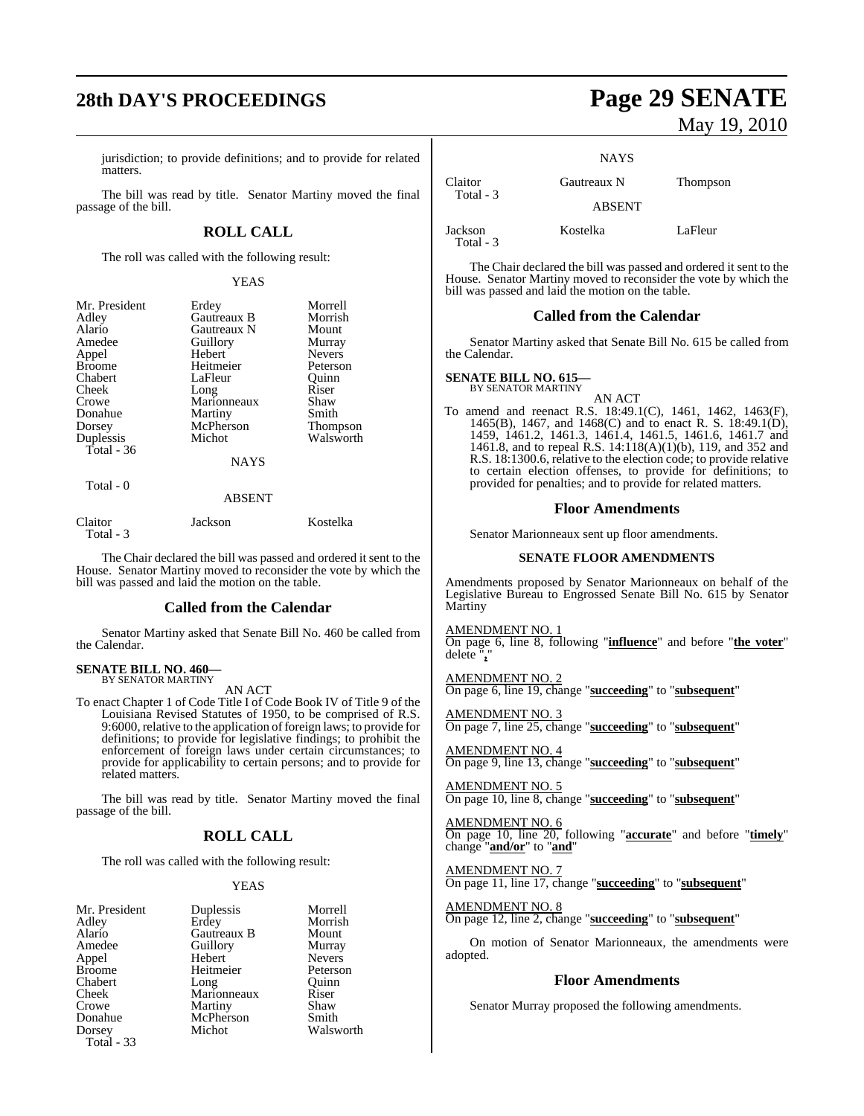## **28th DAY'S PROCEEDINGS Page 29 SENATE**

jurisdiction; to provide definitions; and to provide for related matters.

The bill was read by title. Senator Martiny moved the final passage of the bill.

#### **ROLL CALL**

The roll was called with the following result:

#### YEAS

| Mr. President | Erdey       | Morrell         |
|---------------|-------------|-----------------|
| Adley         | Gautreaux B | Morrish         |
| Alario        | Gautreaux N | Mount           |
| Amedee        | Guillory    | Murray          |
| Appel         | Hebert      | <b>Nevers</b>   |
| <b>Broome</b> | Heitmeier   | Peterson        |
| Chabert       | LaFleur     | Ouinn           |
| Cheek         | Long        | Riser           |
| Crowe         | Marionneaux | Shaw            |
| Donahue       | Martiny     | Smith           |
| Dorsey        | McPherson   | <b>Thompson</b> |
| Duplessis     | Michot      | Walsworth       |
| Total - 36    |             |                 |
|               | <b>NAYS</b> |                 |
| $Total - 0$   |             |                 |

#### ABSENT

| Claitor   | Jackson | Kostelka |
|-----------|---------|----------|
| Total - 3 |         |          |

The Chair declared the bill was passed and ordered it sent to the House. Senator Martiny moved to reconsider the vote by which the bill was passed and laid the motion on the table.

#### **Called from the Calendar**

Senator Martiny asked that Senate Bill No. 460 be called from the Calendar.

#### **SENATE BILL NO. 460—** BY SENATOR MARTINY

AN ACT

To enact Chapter 1 of Code Title I of Code Book IV of Title 9 of the Louisiana Revised Statutes of 1950, to be comprised of R.S. 9:6000, relative to the application of foreign laws; to provide for definitions; to provide for legislative findings; to prohibit the enforcement of foreign laws under certain circumstances; to provide for applicability to certain persons; and to provide for related matters.

The bill was read by title. Senator Martiny moved the final passage of the bill.

### **ROLL CALL**

The roll was called with the following result:

#### YEAS

| Mr. President |
|---------------|
| Adley         |
| Alario        |
| Amedee        |
| Appel         |
| <b>Broome</b> |
| Chabert       |
| Cheek         |
| Crowe         |
| Donahue       |
| Dorsey        |
| Total - 33    |

**Gautreaux B** Mount<br> **Guillory** Murray Guillory Hebert Nevers<br>
Heitmeier Peterson Heitmeier Peterson<br>Long Ouinn Long Marionneaux Riser<br>
Martiny Shaw Martiny Shaw<br>
McPherson Smith McPherson<br>Michot

t Duplessis Morrell<br>Erdey Morrish Morrish<br>Mount Walsworth

# May 19, 2010

**NAYS** 

| Claitor<br>Total - 3   | Gautreaux N   | <b>Thompson</b> |
|------------------------|---------------|-----------------|
|                        | <b>ABSENT</b> |                 |
| Jackson<br>$Total - 3$ | Kostelka      | LaFleur         |

The Chair declared the bill was passed and ordered it sent to the House. Senator Martiny moved to reconsider the vote by which the bill was passed and laid the motion on the table.

#### **Called from the Calendar**

Senator Martiny asked that Senate Bill No. 615 be called from the Calendar.

## **SENATE BILL NO. 615—** BY SENATOR MARTINY

AN ACT

To amend and reenact R.S. 18:49.1(C), 1461, 1462, 1463(F), 1465(B), 1467, and 1468(C) and to enact R. S. 18:49.1(D), 1459, 1461.2, 1461.3, 1461.4, 1461.5, 1461.6, 1461.7 and 1461.8, and to repeal R.S. 14:118(A)(1)(b), 119, and 352 and R.S. 18:1300.6, relative to the election code; to provide relative to certain election offenses, to provide for definitions; to provided for penalties; and to provide for related matters.

#### **Floor Amendments**

Senator Marionneaux sent up floor amendments.

#### **SENATE FLOOR AMENDMENTS**

Amendments proposed by Senator Marionneaux on behalf of the Legislative Bureau to Engrossed Senate Bill No. 615 by Senator **Martiny** 

AMENDMENT NO. 1 On page 6, line 8, following "**influence**" and before "**the voter**" delete "**,**"

AMENDMENT NO. 2 On page 6, line 19, change "**succeeding**" to "**subsequent**"

AMENDMENT NO. 3 On page 7, line 25, change "**succeeding**" to "**subsequent**"

AMENDMENT NO. 4 On page 9, line 13, change "**succeeding**" to "**subsequent**"

AMENDMENT NO. 5 On page 10, line 8, change "**succeeding**" to "**subsequent**"

AMENDMENT NO. 6 On page 10, line 20, following "**accurate**" and before "**timely**" change "**and/or**" to "**and**"

## AMENDMENT NO. 7

On page 11, line 17, change "**succeeding**" to "**subsequent**"

AMENDMENT NO. 8

On page 12, line 2, change "**succeeding**" to "**subsequent**"

On motion of Senator Marionneaux, the amendments were adopted.

#### **Floor Amendments**

Senator Murray proposed the following amendments.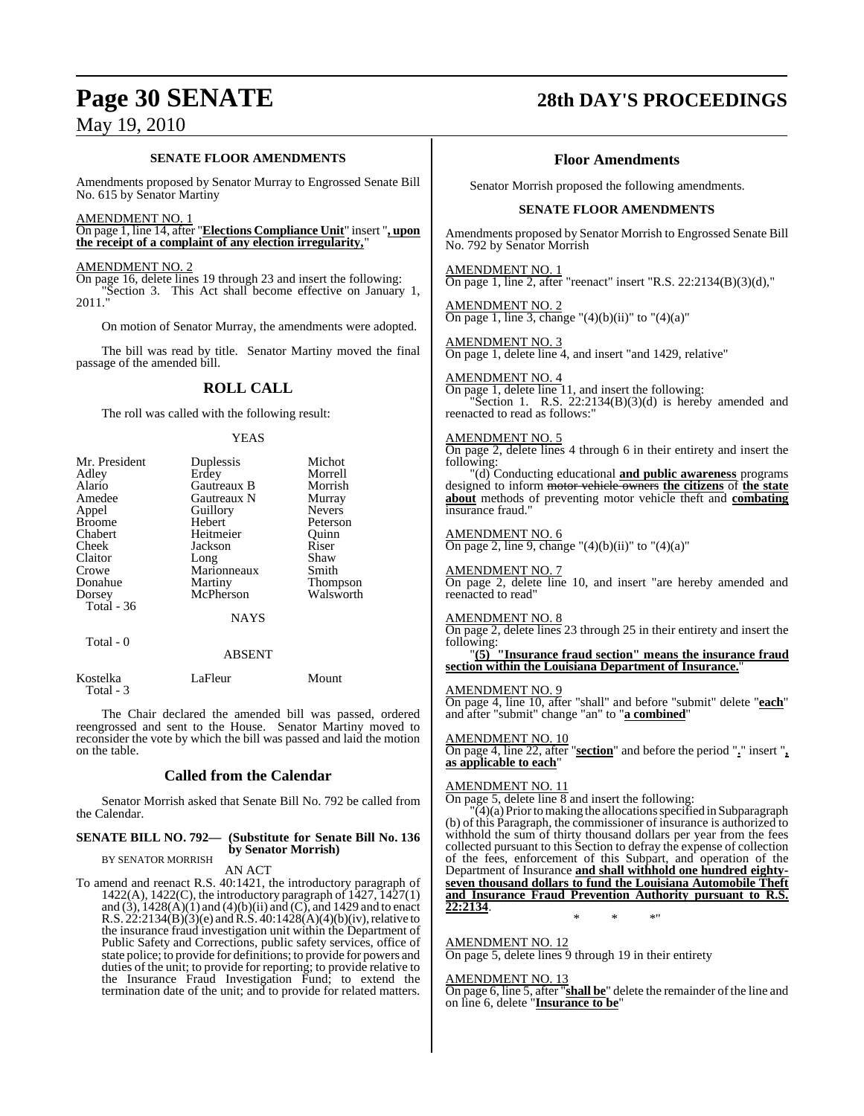#### **SENATE FLOOR AMENDMENTS**

Amendments proposed by Senator Murray to Engrossed Senate Bill No. 615 by Senator Martiny

#### AMENDMENT NO. 1

On page 1, line 14, after "**Elections Compliance Unit**" insert "**, upon the receipt of a complaint of any election irregularity,**"

 $\frac{\text{AMENDMENT NO. 2}}{\text{On page 16, delete lines 19 through 23 and insert the following:}$ On page 16, delete lines 19 through 23 and insert the following: "Section 3. This Act shall become effective on January 1, 2011."

On motion of Senator Murray, the amendments were adopted.

The bill was read by title. Senator Martiny moved the final passage of the amended bill.

#### **ROLL CALL**

The roll was called with the following result:

#### YEAS

| Mr. President | Duplessis     | Michot          |
|---------------|---------------|-----------------|
| Adley         | Erdey         | Morrell         |
| Alario        | Gautreaux B   | Morrish         |
| Amedee        | Gautreaux N   | Murray          |
| Appel         | Guillory      | <b>Nevers</b>   |
| <b>Broome</b> | Hebert        | Peterson        |
| Chabert       | Heitmeier     | Ouinn           |
| Cheek         | Jackson       | Riser           |
| Claitor       | Long          | Shaw            |
| Crowe         | Marionneaux   | Smith           |
| Donahue       | Martiny       | <b>Thompson</b> |
| Dorsey        | McPherson     | Walsworth       |
| Total - 36    |               |                 |
|               | <b>NAYS</b>   |                 |
| Total - 0     |               |                 |
|               | <b>ABSENT</b> |                 |

| Kostelka  | LaFleur | Mount |
|-----------|---------|-------|
| Total - 3 |         |       |

The Chair declared the amended bill was passed, ordered reengrossed and sent to the House. Senator Martiny moved to reconsider the vote by which the bill was passed and laid the motion on the table.

#### **Called from the Calendar**

Senator Morrish asked that Senate Bill No. 792 be called from the Calendar.

#### **SENATE BILL NO. 792— (Substitute for Senate Bill No. 136 by Senator Morrish)** BY SENATOR MORRISH

AN ACT

To amend and reenact R.S. 40:1421, the introductory paragraph of  $1422(A)$ ,  $1422(C)$ , the introductory paragraph of  $1427$ ,  $1427(1)$ and  $(3)$ ,  $1428(A)(1)$  and  $(4)(b)(ii)$  and  $(C)$ , and 1429 and to enact R.S.  $22:2134(B)(3)(e)$  and R.S.  $40:1428(A)(4)(b)(iv)$ , relative to the insurance fraud investigation unit within the Department of Public Safety and Corrections, public safety services, office of state police; to provide for definitions; to provide for powers and duties of the unit; to provide for reporting; to provide relative to the Insurance Fraud Investigation Fund; to extend the termination date of the unit; and to provide for related matters.

## **Page 30 SENATE 28th DAY'S PROCEEDINGS**

#### **Floor Amendments**

Senator Morrish proposed the following amendments.

#### **SENATE FLOOR AMENDMENTS**

Amendments proposed by Senator Morrish to Engrossed Senate Bill No. 792 by Senator Morrish

#### AMENDMENT NO. 1

On page 1, line 2, after "reenact" insert "R.S. 22:2134(B)(3)(d),"

#### AMENDMENT NO. 2

On page 1, line 3, change " $(4)(b)(ii)$ " to " $(4)(a)$ "

#### AMENDMENT NO. 3

On page 1, delete line 4, and insert "and 1429, relative"

#### AMENDMENT NO. 4

On page 1, delete line 11, and insert the following: "Section 1. R.S.  $22:2134(B)(3)(d)$  is hereby amended and reenacted to read as follows:"

#### AMENDMENT NO. 5

On page 2, delete lines 4 through 6 in their entirety and insert the following:

"(d) Conducting educational **and public awareness** programs designed to inform motor vehicle owners **the citizens** of **the state about** methods of preventing motor vehicle theft and **combating** insurance fraud."

#### AMENDMENT NO. 6

On page 2, line 9, change " $(4)(b)(ii)$ " to " $(4)(a)$ "

#### AMENDMENT NO. 7

On page 2, delete line 10, and insert "are hereby amended and reenacted to read"

#### AMENDMENT NO. 8

On page 2, delete lines 23 through 25 in their entirety and insert the following:

#### "**(5) "Insurance fraud section" means the insurance fraud section within the Louisiana Department of Insurance.**"

#### AMENDMENT NO. 9

On page 4, line 10, after "shall" and before "submit" delete "**each**" and after "submit" change "an" to "**a combined**"

#### AMENDMENT NO. 10

On page 4, line 22, after "**section**" and before the period "**.**" insert "**, as applicable to each**"

#### AMENDMENT NO. 11

On page 5, delete line 8 and insert the following:

 $(4)(a)$  Prior to making the allocations specified in Subparagraph (b) of this Paragraph, the commissioner of insurance is authorized to withhold the sum of thirty thousand dollars per year from the fees collected pursuant to this Section to defray the expense of collection of the fees, enforcement of this Subpart, and operation of the Department of Insurance **and shall withhold one hundred eightyseven thousand dollars to fund the Louisiana Automobile Theft and Insurance Fraud Prevention Authority pursuant to R.S. 22:2134**. \* \* \*"

#### AMENDMENT NO. 12

On page 5, delete lines 9 through 19 in their entirety

#### AMENDMENT NO. 13

On page 6, line 5, after "**shall be**" delete the remainder of the line and on line 6, delete "**Insurance to be**"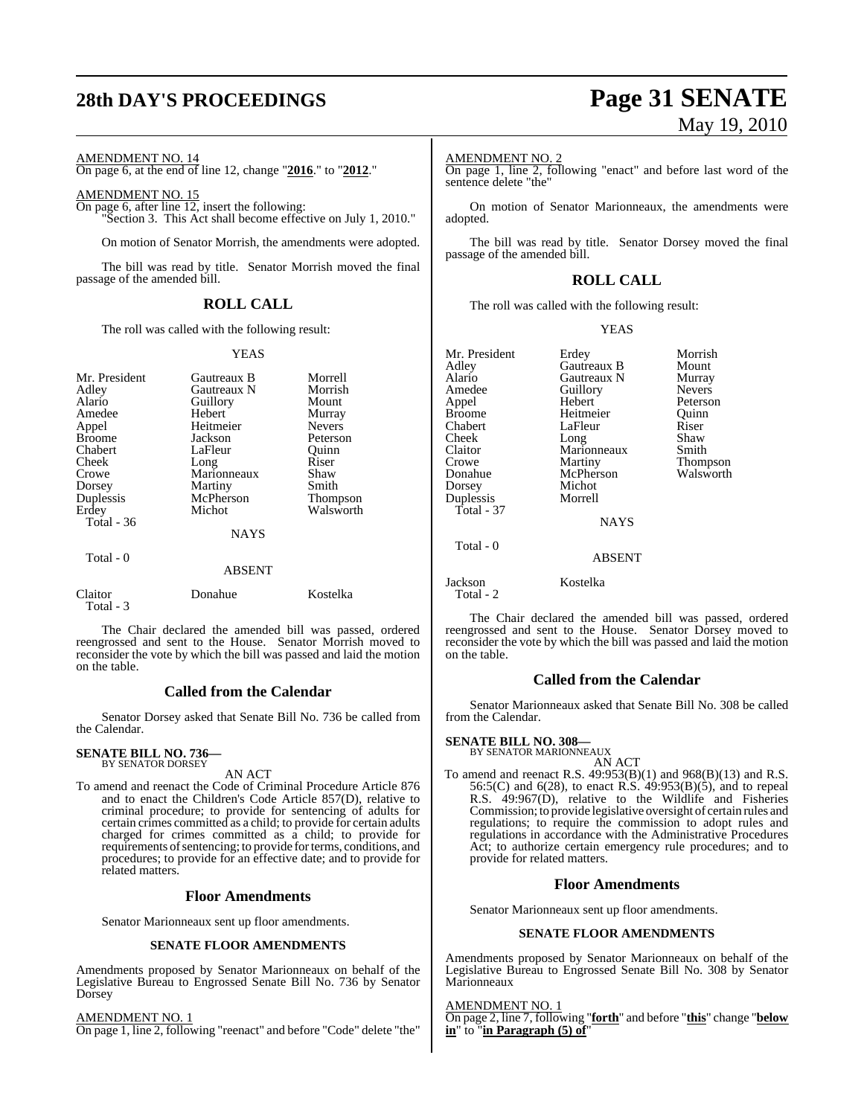## **28th DAY'S PROCEEDINGS Page 31 SENATE**

#### AMENDMENT NO. 14

On page 6, at the end of line 12, change "**2016**." to "**2012**."

AMENDMENT NO. 15

On page 6, after line 12, insert the following: "Section 3. This Act shall become effective on July 1, 2010."

On motion of Senator Morrish, the amendments were adopted.

The bill was read by title. Senator Morrish moved the final passage of the amended bill.

### **ROLL CALL**

The roll was called with the following result:

#### YEAS

| Mr. President<br>Adley<br>Alario<br>Amedee<br>Appel<br><b>Broome</b><br>Chabert<br>Cheek<br>Crowe<br>Dorsey<br>Duplessis<br>Erdey<br>Total $-36$<br>Total - 0 | Gautreaux B<br>Gautreaux N<br>Guillory<br>Hebert<br>Heitmeier<br>Jackson<br>LaFleur<br>Long<br>Marionneaux<br>Martiny<br>McPherson<br>Michot<br><b>NAYS</b> | Morrell<br>Morrish<br>Mount<br>Murray<br><b>Nevers</b><br>Peterson<br>Quinn<br>Riser<br>Shaw<br>Smith<br>Thompson<br>Walsworth |
|---------------------------------------------------------------------------------------------------------------------------------------------------------------|-------------------------------------------------------------------------------------------------------------------------------------------------------------|--------------------------------------------------------------------------------------------------------------------------------|
|                                                                                                                                                               | <b>ABSENT</b>                                                                                                                                               |                                                                                                                                |
| Claitor<br>Total - 3                                                                                                                                          | Donahue                                                                                                                                                     | Kostelka                                                                                                                       |

The Chair declared the amended bill was passed, ordered reengrossed and sent to the House. Senator Morrish moved to reconsider the vote by which the bill was passed and laid the motion on the table.

#### **Called from the Calendar**

Senator Dorsey asked that Senate Bill No. 736 be called from the Calendar.

## **SENATE BILL NO. 736—** BY SENATOR DORSEY

AN ACT

To amend and reenact the Code of Criminal Procedure Article 876 and to enact the Children's Code Article 857(D), relative to criminal procedure; to provide for sentencing of adults for certain crimes committed as a child; to provide for certain adults charged for crimes committed as a child; to provide for requirements of sentencing; to provide for terms, conditions, and procedures; to provide for an effective date; and to provide for related matters.

#### **Floor Amendments**

Senator Marionneaux sent up floor amendments.

#### **SENATE FLOOR AMENDMENTS**

Amendments proposed by Senator Marionneaux on behalf of the Legislative Bureau to Engrossed Senate Bill No. 736 by Senator Dorsey

AMENDMENT NO. 1 On page 1, line 2, following "reenact" and before "Code" delete "the"

# May 19, 2010

#### AMENDMENT NO. 2

On page 1, line 2, following "enact" and before last word of the sentence delete "the"

On motion of Senator Marionneaux, the amendments were adopted.

The bill was read by title. Senator Dorsey moved the final passage of the amended bill.

## **ROLL CALL**

The roll was called with the following result:

#### YEAS

| Mr. President        | Erdey       | Morrish       |
|----------------------|-------------|---------------|
| Adley                | Gautreaux B | Mount         |
| Alario               | Gautreaux N | Murray        |
| Amedee               | Guillory    | <b>Nevers</b> |
| Appel                | Hebert      | Peterson      |
| <b>Broome</b>        | Heitmeier   | Ouinn         |
| Chabert              | LaFleur     | Riser         |
| Cheek                | Long        | Shaw          |
| Claitor              | Marionneaux | Smith         |
| Crowe                | Martiny     | Thompson      |
| Donahue              | McPherson   | Walsworth     |
| Dorsey               | Michot      |               |
| Duplessis            | Morrell     |               |
| $Total - 37$         |             |               |
|                      | <b>NAYS</b> |               |
| Total - 0            |             |               |
|                      | ABSENT      |               |
| Jackson<br>Total - 2 | Kostelka    |               |

The Chair declared the amended bill was passed, ordered reengrossed and sent to the House. Senator Dorsey moved to reconsider the vote by which the bill was passed and laid the motion on the table.

#### **Called from the Calendar**

Senator Marionneaux asked that Senate Bill No. 308 be called from the Calendar.

#### **SENATE BILL NO. 308—**

BY SENATOR MARIONNEAUX AN ACT

To amend and reenact R.S. 49:953(B)(1) and 968(B)(13) and R.S. 56:5(C) and 6(28), to enact R.S. 49:953(B)(5), and to repeal R.S. 49:967(D), relative to the Wildlife and Fisheries Commission; to provide legislative oversight of certain rules and regulations; to require the commission to adopt rules and regulations in accordance with the Administrative Procedures Act; to authorize certain emergency rule procedures; and to provide for related matters.

#### **Floor Amendments**

Senator Marionneaux sent up floor amendments.

#### **SENATE FLOOR AMENDMENTS**

Amendments proposed by Senator Marionneaux on behalf of the Legislative Bureau to Engrossed Senate Bill No. 308 by Senator **Marionneaux** 

#### AMENDMENT NO. 1

On page 2, line 7, following "**forth**" and before "**this**" change "**below in**" to "**in Paragraph (5) of**"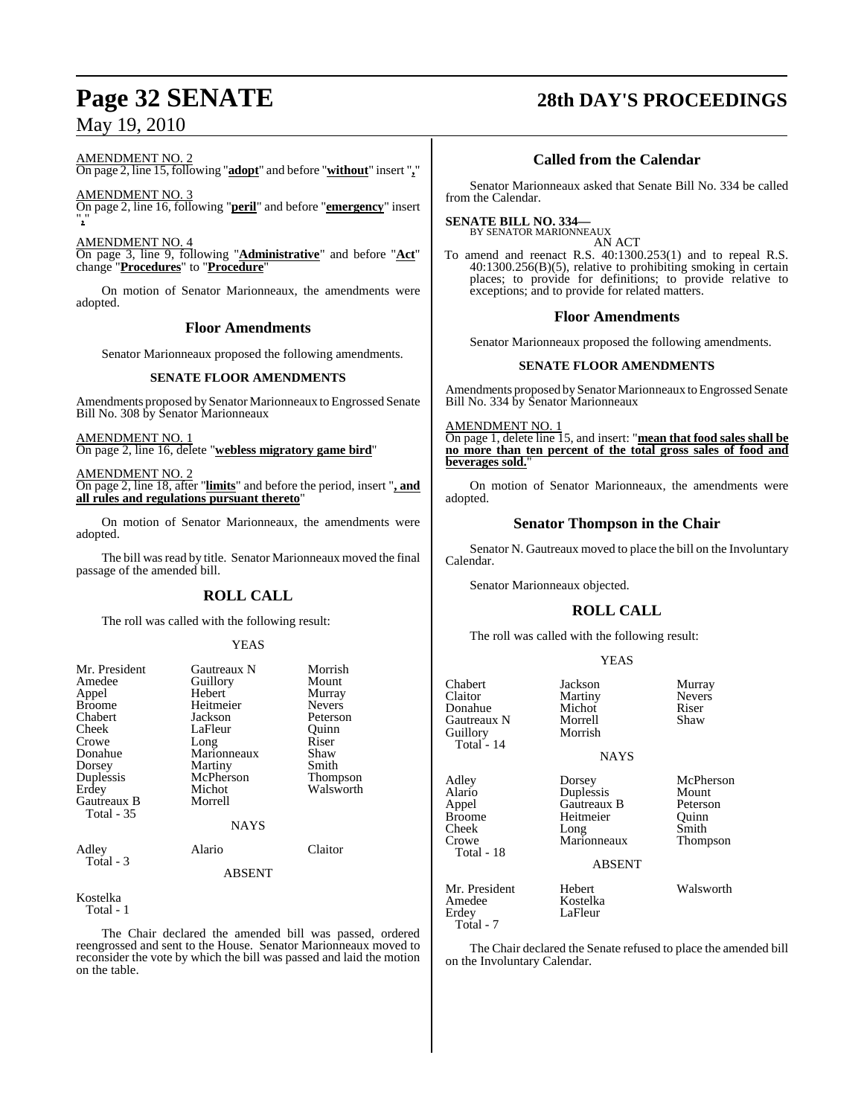# **Page 32 SENATE 28th DAY'S PROCEEDINGS**

AMENDMENT NO. 2

On page 2, line 15, following "**adopt**" and before "**without**" insert "**,**"

AMENDMENT NO. 3 On page 2, line 16, following "**peril**" and before "**emergency**" insert "**,**"

AMENDMENT NO. 4

On page 3, line 9, following "**Administrative**" and before "**Act**" change "**Procedures**" to "**Procedure**"

On motion of Senator Marionneaux, the amendments were adopted.

#### **Floor Amendments**

Senator Marionneaux proposed the following amendments.

#### **SENATE FLOOR AMENDMENTS**

Amendments proposed by Senator Marionneaux to Engrossed Senate Bill No. 308 by Senator Marionneaux

AMENDMENT NO. 1 On page 2, line 16, delete "**webless migratory game bird**"

AMENDMENT NO. 2 On page 2, line 18, after "**limits**" and before the period, insert "**, and all rules and regulations pursuant thereto**"

On motion of Senator Marionneaux, the amendments were adopted.

The bill was read by title. Senator Marionneaux moved the final passage of the amended bill.

## **ROLL CALL**

The roll was called with the following result:

#### YEAS

| Mr. President     | Gautreaux N   | Morrish         |
|-------------------|---------------|-----------------|
| Amedee            | Guillory      | Mount           |
| Appel             | Hebert        | Murray          |
| <b>Broome</b>     | Heitmeier     | <b>Nevers</b>   |
| Chabert           | Jackson       | Peterson        |
| Cheek             | LaFleur       | Ouinn           |
| Crowe             | Long          | Riser           |
| Donahue           | Marionneaux   | Shaw            |
| Dorsey            | Martiny       | Smith           |
| Duplessis         | McPherson     | <b>Thompson</b> |
| Erdey             | Michot        | Walsworth       |
| Gautreaux B       | Morrell       |                 |
| <b>Total - 35</b> |               |                 |
|                   | <b>NAYS</b>   |                 |
| Adley             | Alario        | Claitor         |
| Total - 3         | <b>ABSENT</b> |                 |
|                   |               |                 |

Kostelka

Total - 1

The Chair declared the amended bill was passed, ordered reengrossed and sent to the House. Senator Marionneaux moved to reconsider the vote by which the bill was passed and laid the motion on the table.

## **Called from the Calendar**

Senator Marionneaux asked that Senate Bill No. 334 be called from the Calendar.

#### **SENATE BILL NO. 334—**

BY SENATOR MARIONNEAUX AN ACT

To amend and reenact R.S. 40:1300.253(1) and to repeal R.S. 40:1300.256(B)(5), relative to prohibiting smoking in certain places; to provide for definitions; to provide relative to exceptions; and to provide for related matters.

#### **Floor Amendments**

Senator Marionneaux proposed the following amendments.

#### **SENATE FLOOR AMENDMENTS**

Amendments proposed by Senator Marionneaux to Engrossed Senate Bill No. 334 by Senator Marionneaux

AMENDMENT NO. 1

On page 1, delete line 15, and insert: "**mean that food sales shall be no more than ten percent of the total gross sales of food and beverages sold.**"

On motion of Senator Marionneaux, the amendments were adopted.

### **Senator Thompson in the Chair**

Senator N. Gautreaux moved to place the bill on the Involuntary Calendar.

Senator Marionneaux objected.

### **ROLL CALL**

YEAS

The roll was called with the following result:

| טרום ו                                                                           |                                                              |
|----------------------------------------------------------------------------------|--------------------------------------------------------------|
| Jackson<br>Martiny<br>Michot<br>Morrell<br>Morrish<br><b>NAYS</b>                | Murray<br><b>Nevers</b><br>Riser<br>Shaw                     |
| Dorsey<br>Duplessis<br>Gautreaux B<br>Heitmeier<br>Long<br>Marionneaux<br>ABSENT | McPherson<br>Mount<br>Peterson<br>Ouinn<br>Smith<br>Thompson |
| Hebert<br>Kostelka<br>LaFleur                                                    | Walsworth                                                    |
|                                                                                  |                                                              |

The Chair declared the Senate refused to place the amended bill on the Involuntary Calendar.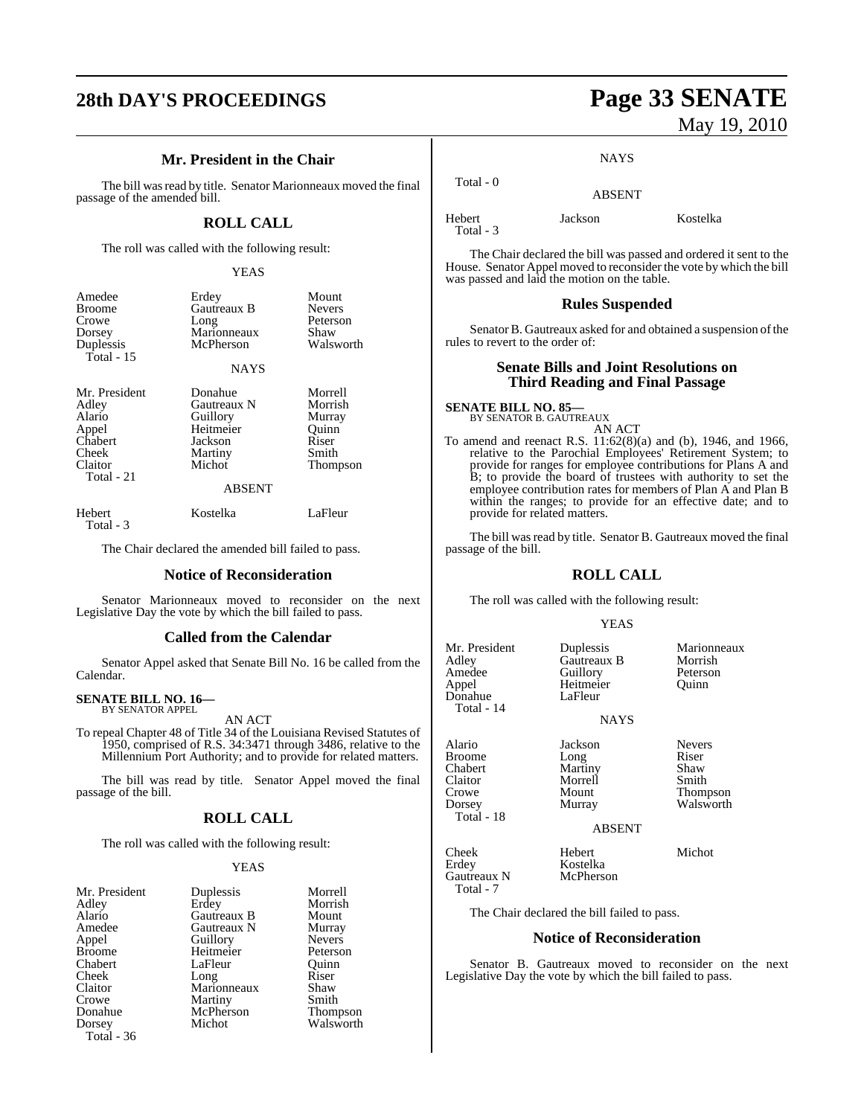# **28th DAY'S PROCEEDINGS Page 33 SENATE**

## **Mr. President in the Chair**

The bill was read by title. Senator Marionneaux moved the final passage of the amended bill.

## **ROLL CALL**

The roll was called with the following result:

#### YEAS

| Amedee<br><b>Broome</b>           | Erdey<br>Gautreaux B     | Mount<br><b>Nevers</b> |
|-----------------------------------|--------------------------|------------------------|
| Crowe                             | Long                     | Peterson               |
| Dorsey<br>Duplessis<br>Total - 15 | Marionneaux<br>McPherson | Shaw<br>Walsworth      |
|                                   | <b>NAYS</b>              |                        |
| Mr. President                     | Donahue<br>Gautreaux N   | Morrell<br>Morrish     |
| Adley<br>Alario                   | Guillory                 | Murray                 |

| Alario           | Guillory      | Murra |
|------------------|---------------|-------|
| Appel<br>Chabert | Heitmeier     | Quinn |
|                  | Jackson       | Riser |
| Cheek            | Martiny       | Smith |
| Claitor          | Michot        | Thom  |
| Total - 21       |               |       |
|                  | <b>ABSENT</b> |       |

#### ABSENT

Thompson

Hebert Kostelka LaFleur Total - 3

The Chair declared the amended bill failed to pass.

#### **Notice of Reconsideration**

Senator Marionneaux moved to reconsider on the next Legislative Day the vote by which the bill failed to pass.

#### **Called from the Calendar**

Senator Appel asked that Senate Bill No. 16 be called from the Calendar.

#### **SENATE BILL NO. 16—** BY SENATOR APPEL

AN ACT

To repeal Chapter 48 of Title 34 of the Louisiana Revised Statutes of 1950, comprised of R.S. 34:3471 through 3486, relative to the Millennium Port Authority; and to provide for related matters.

The bill was read by title. Senator Appel moved the final passage of the bill.

### **ROLL CALL**

The roll was called with the following result:

#### YEAS

| Mr. President | Duplessis   | Morrell         |
|---------------|-------------|-----------------|
| Adley         | Erdey       | Morrish         |
| Alario        | Gautreaux B | Mount           |
| Amedee        | Gautreaux N | Murray          |
| Appel         | Guillory    | <b>Nevers</b>   |
| <b>Broome</b> | Heitmeier   | Peterson        |
| Chabert       | LaFleur     | Ouinn           |
| Cheek         | Long        | Riser           |
| Claitor       | Marionneaux | Shaw            |
| Crowe         | Martiny     | Smith           |
| Donahue       | McPherson   | <b>Thompson</b> |
| Dorsey        | Michot      | Walsworth       |
| Total - 36    |             |                 |

# May 19, 2010

#### **NAYS**

ABSENT

Hebert Jackson Kostelka Total - 3

Total - 0

The Chair declared the bill was passed and ordered it sent to the House. Senator Appel moved to reconsider the vote by which the bill was passed and laid the motion on the table.

#### **Rules Suspended**

Senator B. Gautreaux asked for and obtained a suspension of the rules to revert to the order of:

## **Senate Bills and Joint Resolutions on Third Reading and Final Passage**

## **SENATE BILL NO. 85—** BY SENATOR B. GAUTREAUX

AN ACT

To amend and reenact R.S. 11:62(8)(a) and (b), 1946, and 1966, relative to the Parochial Employees' Retirement System; to provide for ranges for employee contributions for Plans A and B; to provide the board of trustees with authority to set the employee contribution rates for members of Plan A and Plan B within the ranges; to provide for an effective date; and to provide for related matters.

The bill was read by title. Senator B. Gautreaux moved the final passage of the bill.

#### **ROLL CALL**

The roll was called with the following result:

Heitmeier<br>LaFleur

#### YEAS

NAYS

Mr. President Duplessis Marionneaux<br>Adley Gautreaux B Morrish Adley Gautreaux B Morrish<br>Amedee Guillory Peterson Amedee Guillory Peters<br>Appel Heitmeier Quinn Donahue Total - 14

Alario Jackson Nevers<br>Broome Long Riser Broome Long Riser Chabert Martiny Shaw Claitor Morrell Smith Crowe Mount Thompson<br>
Dorsey Murray Walsworth

Total - 18

Walsworth

ABSENT

Cheek Hebert Michot Gautreaux N Total - 7

The Chair declared the bill failed to pass.

Kostelka<br>McPherson

#### **Notice of Reconsideration**

Senator B. Gautreaux moved to reconsider on the next Legislative Day the vote by which the bill failed to pass.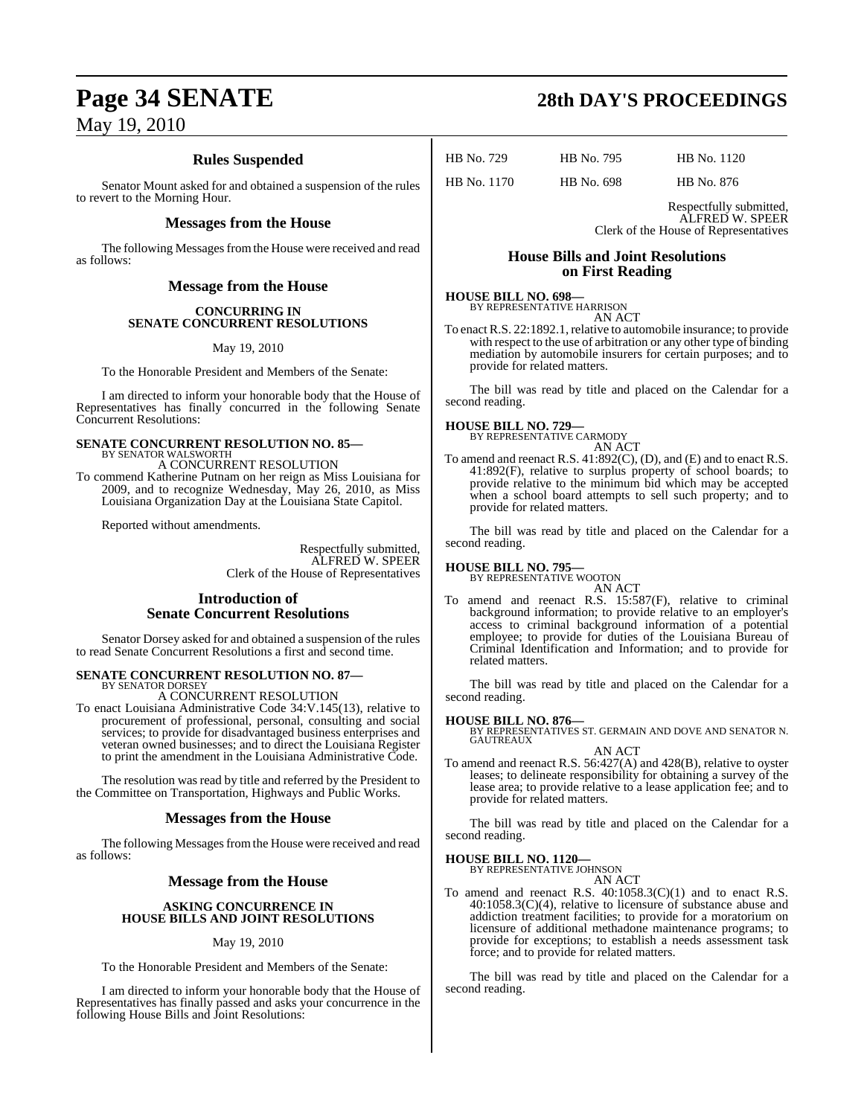## **Rules Suspended**

Senator Mount asked for and obtained a suspension of the rules to revert to the Morning Hour.

#### **Messages from the House**

The following Messages from the House were received and read as follows:

## **Message from the House**

#### **CONCURRING IN SENATE CONCURRENT RESOLUTIONS**

May 19, 2010

To the Honorable President and Members of the Senate:

I am directed to inform your honorable body that the House of Representatives has finally concurred in the following Senate Concurrent Resolutions:

## **SENATE CONCURRENT RESOLUTION NO. 85—** BY SENATOR WALSWORTH

A CONCURRENT RESOLUTION

To commend Katherine Putnam on her reign as Miss Louisiana for 2009, and to recognize Wednesday, May 26, 2010, as Miss Louisiana Organization Day at the Louisiana State Capitol.

Reported without amendments.

Respectfully submitted, ALFRED W. SPEER Clerk of the House of Representatives

### **Introduction of Senate Concurrent Resolutions**

Senator Dorsey asked for and obtained a suspension of the rules to read Senate Concurrent Resolutions a first and second time.

#### **SENATE CONCURRENT RESOLUTION NO. 87—** BY SENATOR DORSEY

A CONCURRENT RESOLUTION

To enact Louisiana Administrative Code 34:V.145(13), relative to procurement of professional, personal, consulting and social services; to provide for disadvantaged business enterprises and veteran owned businesses; and to direct the Louisiana Register to print the amendment in the Louisiana Administrative Code.

The resolution was read by title and referred by the President to the Committee on Transportation, Highways and Public Works.

### **Messages from the House**

The following Messages from the House were received and read as follows:

### **Message from the House**

#### **ASKING CONCURRENCE IN HOUSE BILLS AND JOINT RESOLUTIONS**

May 19, 2010

To the Honorable President and Members of the Senate:

I am directed to inform your honorable body that the House of Representatives has finally passed and asks your concurrence in the following House Bills and Joint Resolutions:

# **Page 34 SENATE 28th DAY'S PROCEEDINGS**

HB No. 729 HB No. 795 HB No. 1120

HB No. 1170 HB No. 698 HB No. 876

Respectfully submitted, ALFRED W. SPEER Clerk of the House of Representatives

#### **House Bills and Joint Resolutions on First Reading**

#### **HOUSE BILL NO. 698—** BY REPRESENTATIVE HARRISON

AN ACT

To enact R.S. 22:1892.1, relative to automobile insurance; to provide with respect to the use of arbitration or any other type of binding mediation by automobile insurers for certain purposes; and to provide for related matters.

The bill was read by title and placed on the Calendar for a second reading.

# **HOUSE BILL NO. 729—** BY REPRESENTATIVE CARMODY

AN ACT

To amend and reenact R.S. 41:892(C), (D), and (E) and to enact R.S. 41:892(F), relative to surplus property of school boards; to provide relative to the minimum bid which may be accepted when a school board attempts to sell such property; and to provide for related matters.

The bill was read by title and placed on the Calendar for a second reading.

**HOUSE BILL NO. 795—** BY REPRESENTATIVE WOOTON AN ACT

To amend and reenact R.S. 15:587(F), relative to criminal background information; to provide relative to an employer's access to criminal background information of a potential employee; to provide for duties of the Louisiana Bureau of Criminal Identification and Information; and to provide for related matters.

The bill was read by title and placed on the Calendar for a second reading.

**HOUSE BILL NO. 876—** BY REPRESENTATIVES ST. GERMAIN AND DOVE AND SENATOR N. GAUTREAUX

AN ACT To amend and reenact R.S. 56:427(A) and 428(B), relative to oyster leases; to delineate responsibility for obtaining a survey of the lease area; to provide relative to a lease application fee; and to provide for related matters.

The bill was read by title and placed on the Calendar for a second reading.

#### **HOUSE BILL NO. 1120—**

BY REPRESENTATIVE JOHNSON AN ACT

To amend and reenact R.S. 40:1058.3(C)(1) and to enact R.S. 40:1058.3(C)(4), relative to licensure of substance abuse and addiction treatment facilities; to provide for a moratorium on licensure of additional methadone maintenance programs; to provide for exceptions; to establish a needs assessment task force; and to provide for related matters.

The bill was read by title and placed on the Calendar for a second reading.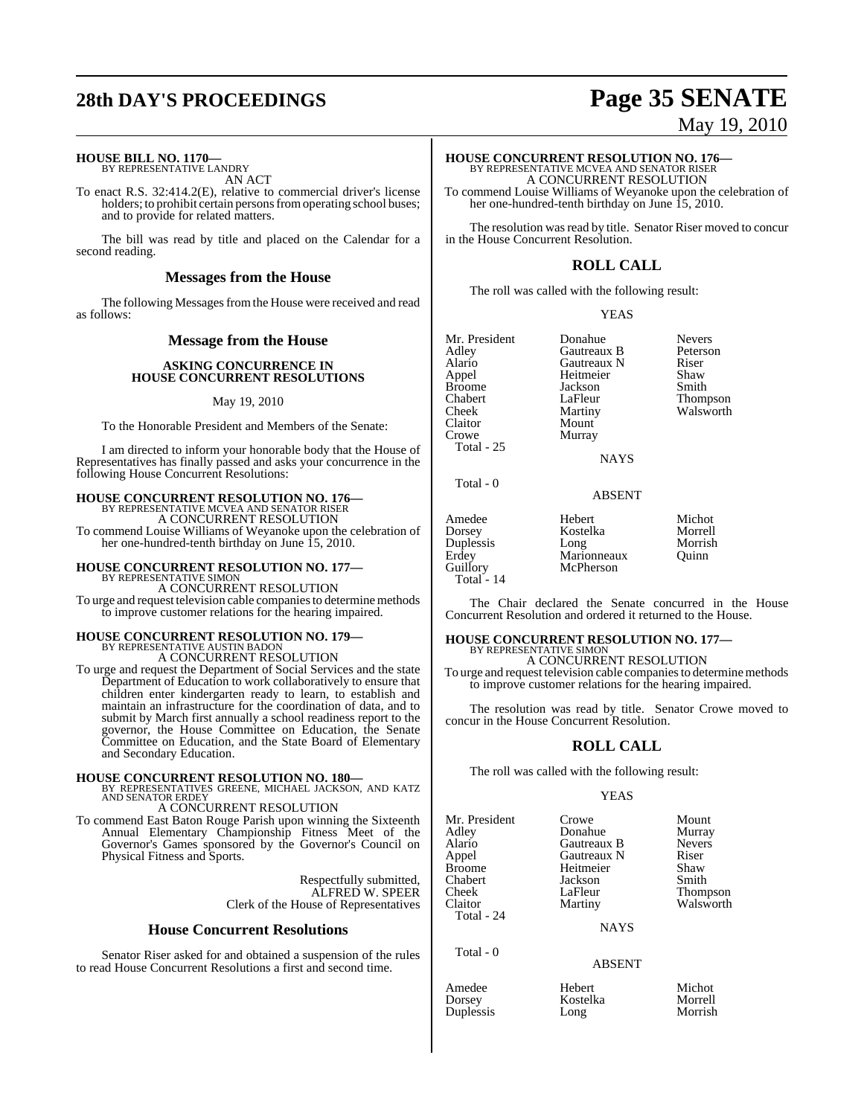# **28th DAY'S PROCEEDINGS Page 35 SENATE**

#### **HOUSE BILL NO. 1170—**

BY REPRESENTATIVE LANDRY AN ACT

To enact R.S. 32:414.2(E), relative to commercial driver's license holders; to prohibit certain persons from operating school buses; and to provide for related matters.

The bill was read by title and placed on the Calendar for a second reading.

#### **Messages from the House**

The following Messages from the House were received and read as follows:

#### **Message from the House**

#### **ASKING CONCURRENCE IN HOUSE CONCURRENT RESOLUTIONS**

#### May 19, 2010

To the Honorable President and Members of the Senate:

I am directed to inform your honorable body that the House of Representatives has finally passed and asks your concurrence in the following House Concurrent Resolutions:

#### **HOUSE CONCURRENT RESOLUTION NO. 176—** BY REPRESENTATIVE MCVEA AND SENATOR RISER

A CONCURRENT RESOLUTION To commend Louise Williams of Weyanoke upon the celebration of her one-hundred-tenth birthday on June 15, 2010.

# **HOUSE CONCURRENT RESOLUTION NO. 177—** BY REPRESENTATIVE SIMON

A CONCURRENT RESOLUTION To urge and request television cable companies to determine methods to improve customer relations for the hearing impaired.

# **HOUSE CONCURRENT RESOLUTION NO. 179—** BY REPRESENTATIVE AUSTIN BADON

A CONCURRENT RESOLUTION

To urge and request the Department of Social Services and the state Department of Education to work collaboratively to ensure that children enter kindergarten ready to learn, to establish and maintain an infrastructure for the coordination of data, and to submit by March first annually a school readiness report to the governor, the House Committee on Education, the Senate Committee on Education, and the State Board of Elementary and Secondary Education.

#### **HOUSE CONCURRENT RESOLUTION NO. 180—**

BY REPRESENTATIVES GREENE, MICHAEL JACKSON, AND KATZ AND SENATOR ERDEY

A CONCURRENT RESOLUTION

To commend East Baton Rouge Parish upon winning the Sixteenth Annual Elementary Championship Fitness Meet of the Governor's Games sponsored by the Governor's Council on Physical Fitness and Sports.

> Respectfully submitted, ALFRED W. SPEER Clerk of the House of Representatives

#### **House Concurrent Resolutions**

Senator Riser asked for and obtained a suspension of the rules to read House Concurrent Resolutions a first and second time.

# May 19, 2010

## **HOUSE CONCURRENT RESOLUTION NO. 176—**

BY REPRESENTATIVE MCVEA AND SENATOR RISER A CONCURRENT RESOLUTION To commend Louise Williams of Weyanoke upon the celebration of her one-hundred-tenth birthday on June 15, 2010.

The resolution was read by title. Senator Riser moved to concur in the House Concurrent Resolution.

#### **ROLL CALL**

The roll was called with the following result:

#### YEAS

| Mr. President<br>Adley<br>Alario<br>Appel<br><b>Broome</b><br>Chabert<br>Cheek<br>Claitor<br>Crowe<br>Total - $25$ | Donahue<br>Gautreaux B<br>Gautreaux N<br>Heitmeier<br>Jackson<br>LaFleur<br>Martiny<br>Mount<br>Murray<br><b>NAYS</b> | <b>Nevers</b><br>Peterson<br>Riser<br>Shaw<br>Smith<br>Thompson<br>Walsworth |
|--------------------------------------------------------------------------------------------------------------------|-----------------------------------------------------------------------------------------------------------------------|------------------------------------------------------------------------------|
| Total - 0                                                                                                          |                                                                                                                       |                                                                              |

ABSENT

| Amedee      | Hebert      | Michot  |
|-------------|-------------|---------|
| Dorsey      | Kostelka    | Morrell |
| Duplessis   | Long        | Morrish |
| Erdey       | Marionneaux | Ouinn   |
| Guillory    | McPherson   |         |
| Total $-14$ |             |         |

The Chair declared the Senate concurred in the House Concurrent Resolution and ordered it returned to the House.

Morrish<br>Ouinn

### **HOUSE CONCURRENT RESOLUTION NO. 177—**

BY REPRESENTATIVE SIMON A CONCURRENT RESOLUTION

To urge and request television cable companies to determine methods to improve customer relations for the hearing impaired.

The resolution was read by title. Senator Crowe moved to concur in the House Concurrent Resolution.

#### **ROLL CALL**

The roll was called with the following result:

#### YEAS

Mr. President Crowe Mount<br>Adley Donahue Murray Adley Donahue Murray Alario Gautreaux B Never<br>
Appel Gautreaux N Riser Appel Gautreaux N Riser Chabert Jackson Smith Cheek LaFleur Thompson<br>Claitor Martiny Walsworth Total - 24

Beitmeier

NAYS

#### ABSENT

| Amedee    | Hebert   | Michot  |
|-----------|----------|---------|
| Dorsey    | Kostelka | Morrell |
| Duplessis | Long     | Morrish |

Total - 0

Long Morrish

Walsworth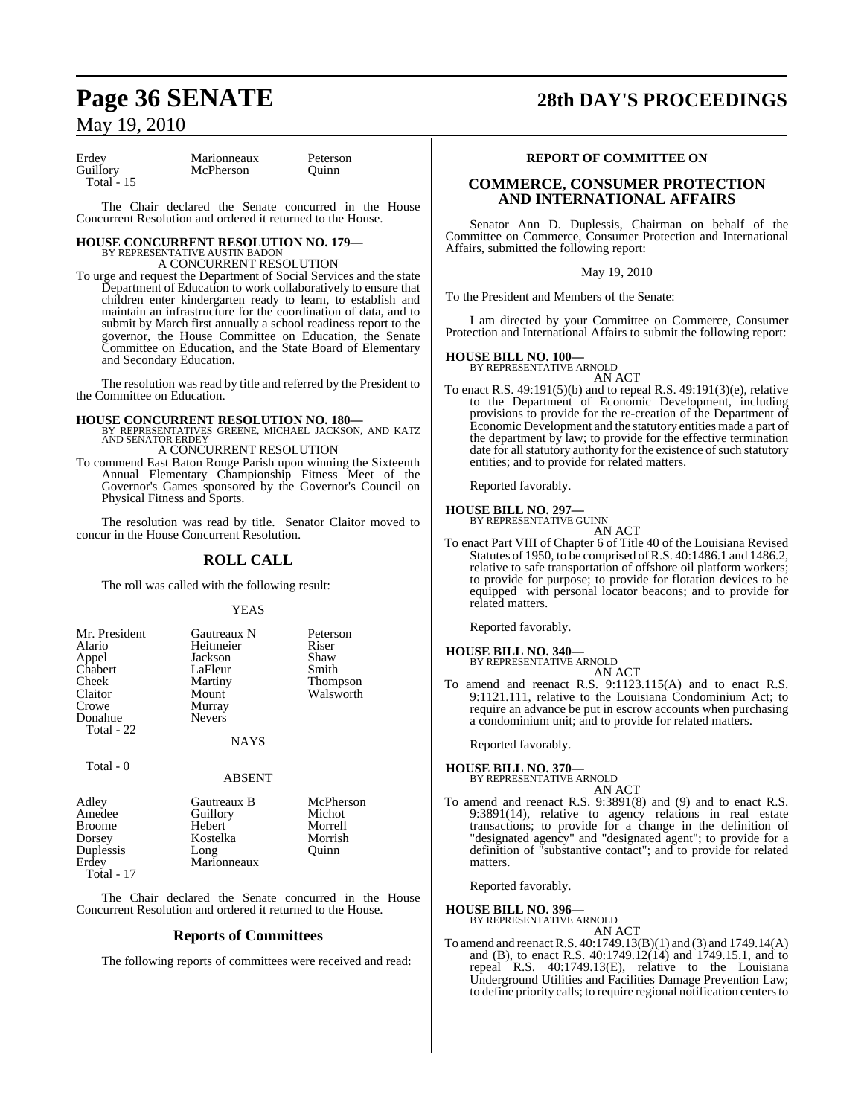Total  $-15$ 

Erdey Marionneaux Peterson<br>Guillory McPherson Quinn McPherson

The Chair declared the Senate concurred in the House Concurrent Resolution and ordered it returned to the House.

#### **HOUSE CONCURRENT RESOLUTION NO. 179—** BY REPRESENTATIVE AUSTIN BADO

A CONCURRENT RESOLUTION

To urge and request the Department of Social Services and the state Department of Education to work collaboratively to ensure that children enter kindergarten ready to learn, to establish and maintain an infrastructure for the coordination of data, and to submit by March first annually a school readiness report to the governor, the House Committee on Education, the Senate Committee on Education, and the State Board of Elementary and Secondary Education.

The resolution was read by title and referred by the President to the Committee on Education.

- **HOUSE CONCURRENT RESOLUTION NO. 180—** BY REPRESENTATIVES GREENE, MICHAEL JACKSON, AND KATZ AND SENATOR ERDEY A CONCURRENT RESOLUTION
- To commend East Baton Rouge Parish upon winning the Sixteenth Annual Elementary Championship Fitness Meet of the Governor's Games sponsored by the Governor's Council on Physical Fitness and Sports.

The resolution was read by title. Senator Claitor moved to concur in the House Concurrent Resolution.

### **ROLL CALL**

The roll was called with the following result:

#### YEAS

| Mr. President<br>Alario<br>Appel<br>Chabert<br>Cheek<br>Claitor<br>Crowe<br>Donahue | Gautreaux N<br>Heitmeier<br>Jackson<br>LaFleur<br>Martiny<br>Mount<br>Murray<br><b>Nevers</b> | Peterson<br>Riser<br>Shaw<br>Smith<br><b>Thompson</b><br>Walsworth |
|-------------------------------------------------------------------------------------|-----------------------------------------------------------------------------------------------|--------------------------------------------------------------------|
| Total - 22                                                                          | <b>NAYS</b>                                                                                   |                                                                    |
| Total - 0                                                                           | <b>ABSENT</b>                                                                                 |                                                                    |

| Adley         | Gautreaux B | McPherson |
|---------------|-------------|-----------|
| Amedee        | Guillory    | Michot    |
| <b>Broome</b> | Hebert      | Morrell   |
| Dorsey        | Kostelka    | Morrish   |
| Duplessis     | Long        | Ouinn     |
| Erdey         | Marionneaux |           |
| $Total - 17$  |             |           |

The Chair declared the Senate concurred in the House Concurrent Resolution and ordered it returned to the House.

#### **Reports of Committees**

The following reports of committees were received and read:

## **Page 36 SENATE 28th DAY'S PROCEEDINGS**

#### **REPORT OF COMMITTEE ON**

#### **COMMERCE, CONSUMER PROTECTION AND INTERNATIONAL AFFAIRS**

Senator Ann D. Duplessis, Chairman on behalf of the Committee on Commerce, Consumer Protection and International Affairs, submitted the following report:

May 19, 2010

To the President and Members of the Senate:

I am directed by your Committee on Commerce, Consumer Protection and International Affairs to submit the following report:

#### **HOUSE BILL NO. 100—**

BY REPRESENTATIVE ARNOLD AN ACT

To enact R.S. 49:191(5)(b) and to repeal R.S. 49:191(3)(e), relative to the Department of Economic Development, including provisions to provide for the re-creation of the Department of Economic Development and the statutory entities made a part of the department by law; to provide for the effective termination date for all statutory authority for the existence of such statutory entities; and to provide for related matters.

Reported favorably.

#### **HOUSE BILL NO. 297—**

BY REPRESENTATIVE GUINN AN ACT

To enact Part VIII of Chapter 6 of Title 40 of the Louisiana Revised Statutes of 1950, to be comprised ofR.S. 40:1486.1 and 1486.2, relative to safe transportation of offshore oil platform workers; to provide for purpose; to provide for flotation devices to be equipped with personal locator beacons; and to provide for related matters.

Reported favorably.

## **HOUSE BILL NO. 340—**

BY REPRESENTATIVE ARNOLD AN ACT

To amend and reenact R.S. 9:1123.115(A) and to enact R.S. 9:1121.111, relative to the Louisiana Condominium Act; to require an advance be put in escrow accounts when purchasing a condominium unit; and to provide for related matters.

Reported favorably.

#### **HOUSE BILL NO. 370—** BY REPRESENTATIVE ARNOLD

AN ACT

To amend and reenact R.S. 9:3891(8) and (9) and to enact R.S. 9:3891(14), relative to agency relations in real estate transactions; to provide for a change in the definition of "designated agency" and "designated agent"; to provide for a definition of "substantive contact"; and to provide for related matters.

Reported favorably.

#### **HOUSE BILL NO. 396—**

BY REPRESENTATIVE ARNOLD AN ACT

To amend and reenactR.S. 40:1749.13(B)(1) and (3) and 1749.14(A) and (B), to enact R.S. 40:1749.12(14) and 1749.15.1, and to repeal R.S. 40:1749.13(E), relative to the Louisiana Underground Utilities and Facilities Damage Prevention Law; to define priority calls; to require regional notification centers to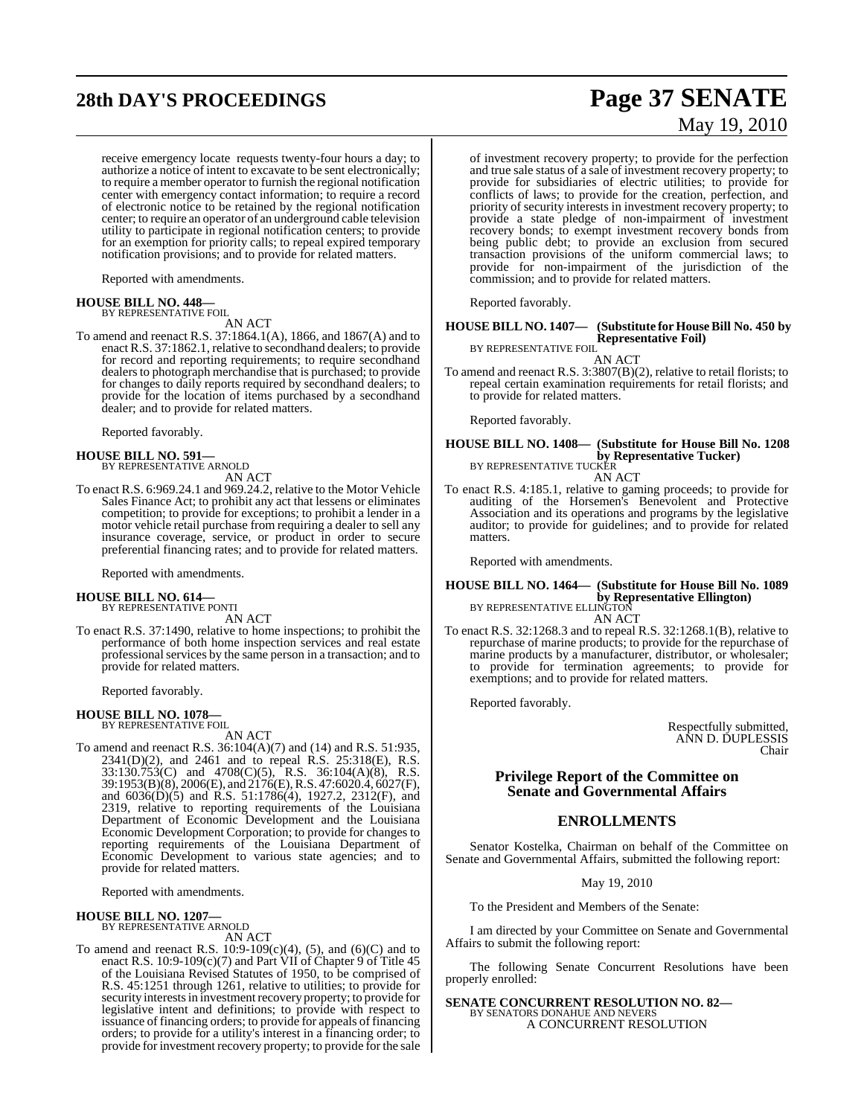# **28th DAY'S PROCEEDINGS Page 37 SENATE**

receive emergency locate requests twenty-four hours a day; to authorize a notice of intent to excavate to be sent electronically; to require a member operator to furnish the regional notification center with emergency contact information; to require a record of electronic notice to be retained by the regional notification center; to require an operator of an underground cable television utility to participate in regional notification centers; to provide for an exemption for priority calls; to repeal expired temporary notification provisions; and to provide for related matters.

Reported with amendments.

#### **HOUSE BILL NO. 448—** BY REPRESENTATIVE FOIL

AN ACT

To amend and reenact R.S. 37:1864.1(A), 1866, and 1867(A) and to enact R.S. 37:1862.1, relative to secondhand dealers; to provide for record and reporting requirements; to require secondhand dealers to photograph merchandise that is purchased; to provide for changes to daily reports required by secondhand dealers; to provide for the location of items purchased by a secondhand dealer; and to provide for related matters.

Reported favorably.

**HOUSE BILL NO. 591—** BY REPRESENTATIVE ARNOLD AN ACT

To enact R.S. 6:969.24.1 and 969.24.2, relative to the Motor Vehicle Sales Finance Act; to prohibit any act that lessens or eliminates competition; to provide for exceptions; to prohibit a lender in a motor vehicle retail purchase from requiring a dealer to sell any insurance coverage, service, or product in order to secure preferential financing rates; and to provide for related matters.

Reported with amendments.

#### **HOUSE BILL NO. 614—** BY REPRESENTATIVE PONTI

AN ACT

To enact R.S. 37:1490, relative to home inspections; to prohibit the performance of both home inspection services and real estate professionalservices by the same person in a transaction; and to provide for related matters.

Reported favorably.

## **HOUSE BILL NO. 1078—** BY REPRESENTATIVE FOIL

AN ACT

To amend and reenact R.S. 36:104(A)(7) and (14) and R.S. 51:935, 2341(D)(2), and 2461 and to repeal R.S. 25:318(E), R.S. 33:130.753(C) and 4708(C)(5), R.S. 36:104(A)(8), R.S. 39:1953(B)(8), 2006(E), and 2176(E), R.S. 47:6020.4, 6027(F), and 6036(D)(5) and R.S. 51:1786(4), 1927.2, 2312(F), and 2319, relative to reporting requirements of the Louisiana Department of Economic Development and the Louisiana Economic Development Corporation; to provide for changes to reporting requirements of the Louisiana Department of Economic Development to various state agencies; and to provide for related matters.

Reported with amendments.

## **HOUSE BILL NO. 1207—** BY REPRESENTATIVE ARNOLD

AN ACT

To amend and reenact R.S. 10:9-109(c)(4), (5), and (6)(C) and to enact R.S. 10:9-109(c)(7) and Part VII of Chapter 9 of Title 45 of the Louisiana Revised Statutes of 1950, to be comprised of R.S. 45:1251 through 1261, relative to utilities; to provide for security interests in investment recovery property; to provide for legislative intent and definitions; to provide with respect to issuance of financing orders; to provide for appeals of financing orders; to provide for a utility's interest in a financing order; to provide for investment recovery property; to provide for the sale

# May 19, 2010

of investment recovery property; to provide for the perfection and true sale status of a sale of investment recovery property; to provide for subsidiaries of electric utilities; to provide for conflicts of laws; to provide for the creation, perfection, and priority of security interests in investment recovery property; to provide a state pledge of non-impairment of investment recovery bonds; to exempt investment recovery bonds from being public debt; to provide an exclusion from secured transaction provisions of the uniform commercial laws; to provide for non-impairment of the jurisdiction of the commission; and to provide for related matters.

Reported favorably.

#### **HOUSE BILL NO. 1407— (Substitute for HouseBill No. 450 by Representative Foil)**

BY REPRESENTATIVE FOIL AN ACT

To amend and reenact R.S. 3:3807(B)(2), relative to retail florists; to repeal certain examination requirements for retail florists; and to provide for related matters.

Reported favorably.

### **HOUSE BILL NO. 1408— (Substitute for House Bill No. 1208 by Representative Tucker)**<br>BY REPRESENTATIVE TUCKER AN ACT

To enact R.S. 4:185.1, relative to gaming proceeds; to provide for auditing of the Horsemen's Benevolent and Protective Association and its operations and programs by the legislative auditor; to provide for guidelines; and to provide for related matters.

Reported with amendments.

## **HOUSE BILL NO. 1464— (Substitute for House Bill No. 1089 by Representative Ellington)**<br>BY REPRESENTATIVE ELLINGTON AN ACT

To enact R.S. 32:1268.3 and to repeal R.S. 32:1268.1(B), relative to repurchase of marine products; to provide for the repurchase of marine products by a manufacturer, distributor, or wholesaler; to provide for termination agreements; to provide for exemptions; and to provide for related matters.

Reported favorably.

Respectfully submitted, ANN D. DUPLESSIS Chair

#### **Privilege Report of the Committee on Senate and Governmental Affairs**

#### **ENROLLMENTS**

Senator Kostelka, Chairman on behalf of the Committee on Senate and Governmental Affairs, submitted the following report:

May 19, 2010

To the President and Members of the Senate:

I am directed by your Committee on Senate and Governmental Affairs to submit the following report:

The following Senate Concurrent Resolutions have been properly enrolled:

**SENATE CONCURRENT RESOLUTION NO. 82—** BY SENATORS DONAHUE AND NEVERS A CONCURRENT RESOLUTION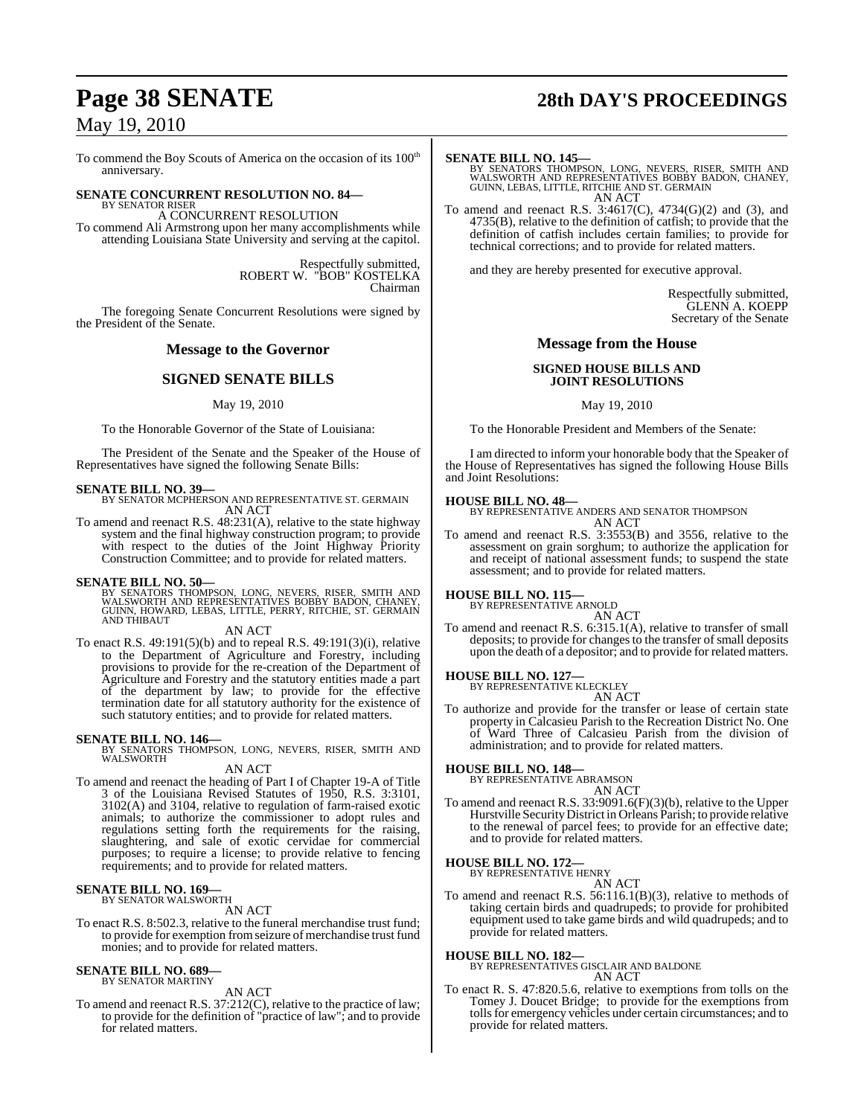To commend the Boy Scouts of America on the occasion of its  $100<sup>th</sup>$ anniversary.

#### **SENATE CONCURRENT RESOLUTION NO. 84—** BY SENATOR RISER

A CONCURRENT RESOLUTION To commend Ali Armstrong upon her many accomplishments while attending Louisiana State University and serving at the capitol.

> Respectfully submitted, ROBERT W. "BOB" KOSTELKA Chairman

The foregoing Senate Concurrent Resolutions were signed by the President of the Senate.

#### **Message to the Governor**

### **SIGNED SENATE BILLS**

#### May 19, 2010

To the Honorable Governor of the State of Louisiana:

The President of the Senate and the Speaker of the House of Representatives have signed the following Senate Bills:

**SENATE BILL NO. 39—** BY SENATOR MCPHERSON AND REPRESENTATIVE ST. GERMAIN AN ACT

To amend and reenact R.S. 48:231(A), relative to the state highway system and the final highway construction program; to provide with respect to the duties of the Joint Highway Priority Construction Committee; and to provide for related matters.

**SENATE BILL NO. 50—**<br>BY SENATORS THOMPSON, LONG, NEVERS, RISER, SMITH AND<br>WALSWORTH AND REPRESENTATIVES BOBBY BADON, CHANEY,<br>GUINN, HOWARD, LEBAS, LITTLE, PERRY, RITCHIE, ST. GERMAIN AND THIBAUT

AN ACT

To enact R.S. 49:191(5)(b) and to repeal R.S. 49:191(3)(i), relative to the Department of Agriculture and Forestry, including provisions to provide for the re-creation of the Department of Agriculture and Forestry and the statutory entities made a part of the department by law; to provide for the effective termination date for all statutory authority for the existence of such statutory entities; and to provide for related matters.

#### **SENATE BILL NO. 146—**

BY SENATORS THOMPSON, LONG, NEVERS, RISER, SMITH AND WALSWORTH

AN ACT

To amend and reenact the heading of Part I of Chapter 19-A of Title 3 of the Louisiana Revised Statutes of 1950, R.S. 3:3101, 3102(A) and 3104, relative to regulation of farm-raised exotic animals; to authorize the commissioner to adopt rules and regulations setting forth the requirements for the raising, slaughtering, and sale of exotic cervidae for commercial purposes; to require a license; to provide relative to fencing requirements; and to provide for related matters.

#### **SENATE BILL NO. 169—** BY SENATOR WALSWORTH

AN ACT

To enact R.S. 8:502.3, relative to the funeral merchandise trust fund; to provide for exemption fromseizure of merchandise trust fund monies; and to provide for related matters.

#### **SENATE BILL NO. 689—** BY SENATOR MARTINY

AN ACT

To amend and reenact R.S. 37:212(C), relative to the practice of law; to provide for the definition of "practice of law"; and to provide for related matters.

# **Page 38 SENATE 28th DAY'S PROCEEDINGS**

**SENATE BILL NO. 145—**<br>BY SENATORS THOMPSON, LONG, NEVERS, RISER, SMITH AND<br>WALSWORTH AND REPRESENTATIVES BOBBY BADON, CHANEY,<br>GUINN, LEBAS, LITTLE, RITCHIE AND ST. GERMAIN AN ACT

To amend and reenact R.S. 3:4617(C), 4734(G)(2) and (3), and 4735(B), relative to the definition of catfish; to provide that the definition of catfish includes certain families; to provide for technical corrections; and to provide for related matters.

and they are hereby presented for executive approval.

Respectfully submitted, GLENN A. KOEPP Secretary of the Senate

#### **Message from the House**

#### **SIGNED HOUSE BILLS AND JOINT RESOLUTIONS**

May 19, 2010

To the Honorable President and Members of the Senate:

I am directed to inform your honorable body that the Speaker of the House of Representatives has signed the following House Bills and Joint Resolutions:

#### **HOUSE BILL NO. 48—**

BY REPRESENTATIVE ANDERS AND SENATOR THOMPSON AN ACT

To amend and reenact R.S. 3:3553(B) and 3556, relative to the assessment on grain sorghum; to authorize the application for and receipt of national assessment funds; to suspend the state assessment; and to provide for related matters.

#### **HOUSE BILL NO. 115—** BY REPRESENTATIVE ARNOLD

AN ACT

To amend and reenact R.S. 6:315.1(A), relative to transfer of small deposits; to provide for changes to the transfer of small deposits upon the death of a depositor; and to provide for related matters.

**HOUSE BILL NO. 127—** BY REPRESENTATIVE KLECKLEY AN ACT

To authorize and provide for the transfer or lease of certain state property in Calcasieu Parish to the Recreation District No. One of Ward Three of Calcasieu Parish from the division of administration; and to provide for related matters.

#### **HOUSE BILL NO. 148—**

BY REPRESENTATIVE ABRAMSON

- AN ACT
- To amend and reenact R.S. 33:9091.6(F)(3)(b), relative to the Upper Hurstville SecurityDistrict in Orleans Parish; to provide relative to the renewal of parcel fees; to provide for an effective date; and to provide for related matters.

#### **HOUSE BILL NO. 172—**

BY REPRESENTATIVE HENRY

AN ACT To amend and reenact R.S. 56:116.1(B)(3), relative to methods of taking certain birds and quadrupeds; to provide for prohibited equipment used to take game birds and wild quadrupeds; and to provide for related matters.

#### **HOUSE BILL NO. 182—**

BY REPRESENTATIVES GISCLAIR AND BALDONE

AN ACT

To enact R. S. 47:820.5.6, relative to exemptions from tolls on the Tomey J. Doucet Bridge; to provide for the exemptions from tolls for emergency vehicles under certain circumstances; and to provide for related matters.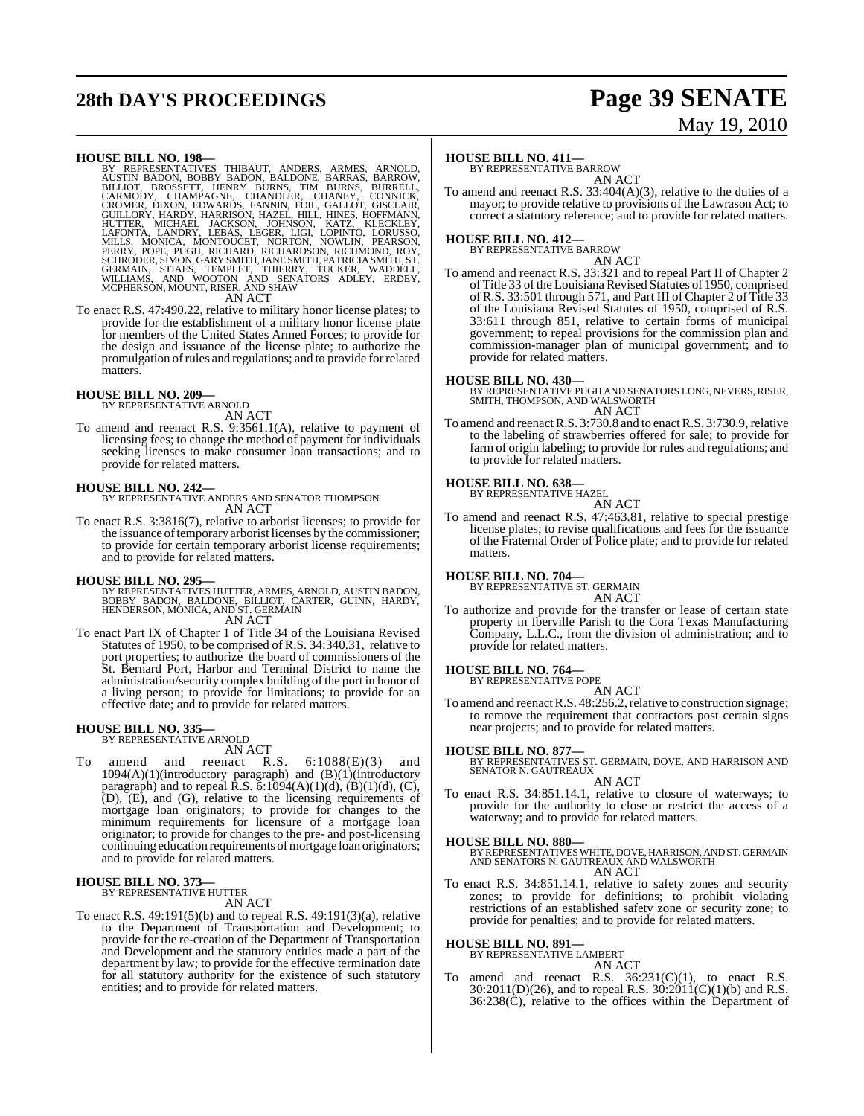# **28th DAY'S PROCEEDINGS Page 39 SENATE**

# May 19, 2010

HOUSE BILL NO. 198-<br>
BY REPRESENTATIVES THIBAUT, ANDERS, ARMES, ARNOLD, AUSTIN BADON, BOBBY BADON, BALDONE, BARRAS, BARROW, BILLIOT, BROSSETT, HENRY BURNS, TIM BURNS, BURRELL, CARMONY, CHAMPAGNE, CROMER, DIXON, EDWARDS, FA

To enact R.S. 47:490.22, relative to military honor license plates; to provide for the establishment of a military honor license plate for members of the United States Armed Forces; to provide for the design and issuance of the license plate; to authorize the promulgation ofrules and regulations; and to provide for related **matters** 

#### **HOUSE BILL NO. 209—**

BY REPRESENTATIVE ARNOLD

AN ACT

To amend and reenact R.S. 9:3561.1(A), relative to payment of licensing fees; to change the method of payment for individuals seeking licenses to make consumer loan transactions; and to provide for related matters.

#### **HOUSE BILL NO. 242—**

BY REPRESENTATIVE ANDERS AND SENATOR THOMPSON AN ACT

To enact R.S. 3:3816(7), relative to arborist licenses; to provide for the issuance of temporary arborist licenses by the commissioner; to provide for certain temporary arborist license requirements; and to provide for related matters.

#### **HOUSE BILL NO. 295—**

- BY REPRESENTATIVES HUTTER, ARMES, ARNOLD, AUSTIN BADON,<br>BOBBY BADON, BALDONE, BILLIOT, CARTER, GUINN, HARDY,<br>HENDERSON, MONICA, AND ST. GERMAIN AN ACT
- To enact Part IX of Chapter 1 of Title 34 of the Louisiana Revised Statutes of 1950, to be comprised of R.S. 34:340.31, relative to port properties; to authorize the board of commissioners of the St. Bernard Port, Harbor and Terminal District to name the administration/security complex building of the port in honor of a living person; to provide for limitations; to provide for an effective date; and to provide for related matters.

#### **HOUSE BILL NO. 335—** BY REPRESENTATIVE ARNOLD

AN ACT

To amend and reenact R.S. 6:1088(E)(3) and 1094(A)(1)(introductory paragraph) and (B)(1)(introductory paragraph) and to repeal  $\overline{R}$ .S.  $\overline{6}$ :1094(A)(1)(d), (B)(1)(d), (C),  $(D)$ ,  $(E)$ , and  $(G)$ , relative to the licensing requirements of mortgage loan originators; to provide for changes to the minimum requirements for licensure of a mortgage loan originator; to provide for changes to the pre- and post-licensing continuing education requirements of mortgage loan originators; and to provide for related matters.

## **HOUSE BILL NO. 373—** BY REPRESENTATIVE HUTTER

AN ACT

To enact R.S. 49:191(5)(b) and to repeal R.S. 49:191(3)(a), relative to the Department of Transportation and Development; to provide for the re-creation of the Department of Transportation and Development and the statutory entities made a part of the department by law; to provide for the effective termination date for all statutory authority for the existence of such statutory entities; and to provide for related matters.

#### **HOUSE BILL NO. 411—**

BY REPRESENTATIVE BARROW AN ACT

To amend and reenact R.S. 33:404(A)(3), relative to the duties of a mayor; to provide relative to provisions of the Lawrason Act; to correct a statutory reference; and to provide for related matters.

## **HOUSE BILL NO. 412—** BY REPRESENTATIVE BARROW

AN ACT To amend and reenact R.S. 33:321 and to repeal Part II of Chapter 2 of Title 33 of the Louisiana Revised Statutes of 1950, comprised of R.S. 33:501 through 571, and Part III of Chapter 2 of Title 33 of the Louisiana Revised Statutes of 1950, comprised of R.S. 33:611 through 851, relative to certain forms of municipal government; to repeal provisions for the commission plan and commission-manager plan of municipal government; and to provide for related matters.

**HOUSE BILL NO. 430—** BY REPRESENTATIVE PUGH AND SENATORS LONG, NEVERS, RISER, SMITH, THOMPSON, AND WALSWORTH AN ACT

To amend and reenact R.S. 3:730.8 and to enact R.S. 3:730.9, relative to the labeling of strawberries offered for sale; to provide for farm of origin labeling; to provide for rules and regulations; and to provide for related matters.

## **HOUSE BILL NO. 638—** BY REPRESENTATIVE HAZEL

AN ACT

To amend and reenact R.S. 47:463.81, relative to special prestige license plates; to revise qualifications and fees for the issuance of the Fraternal Order of Police plate; and to provide for related matters.

#### **HOUSE BILL NO. 704—**

BY REPRESENTATIVE ST. GERMAIN AN ACT

To authorize and provide for the transfer or lease of certain state property in Iberville Parish to the Cora Texas Manufacturing Company, L.L.C., from the division of administration; and to provide for related matters.

#### **HOUSE BILL NO. 764—**

BY REPRESENTATIVE POPE AN ACT

To amend and reenact R.S. 48:256.2, relative to construction signage; to remove the requirement that contractors post certain signs near projects; and to provide for related matters.

#### **HOUSE BILL NO. 877—**

BY REPRESENTATIVES ST. GERMAIN, DOVE, AND HARRISON AND SENATOR N. GAUTREAUX AN ACT

To enact R.S. 34:851.14.1, relative to closure of waterways; to provide for the authority to close or restrict the access of a waterway; and to provide for related matters.

#### **HOUSE BILL NO. 880—**

BY REPRESENTATIVES WHITE, DOVE, HARRISON, AND ST. GERMAIN<br>AND SENATORS N. GAUTREAUX AND WALSWORTH AN ACT

To enact R.S. 34:851.14.1, relative to safety zones and security zones; to provide for definitions; to prohibit violating restrictions of an established safety zone or security zone; to provide for penalties; and to provide for related matters.

#### **HOUSE BILL NO. 891—**

BY REPRESENTATIVE LAMBERT AN ACT

amend and reenact R.S.  $36:231(C)(1)$ , to enact R.S. 30:2011(D)(26), and to repeal R.S.  $30:2011(C)(1)(b)$  and R.S. 36:238(C), relative to the offices within the Department of